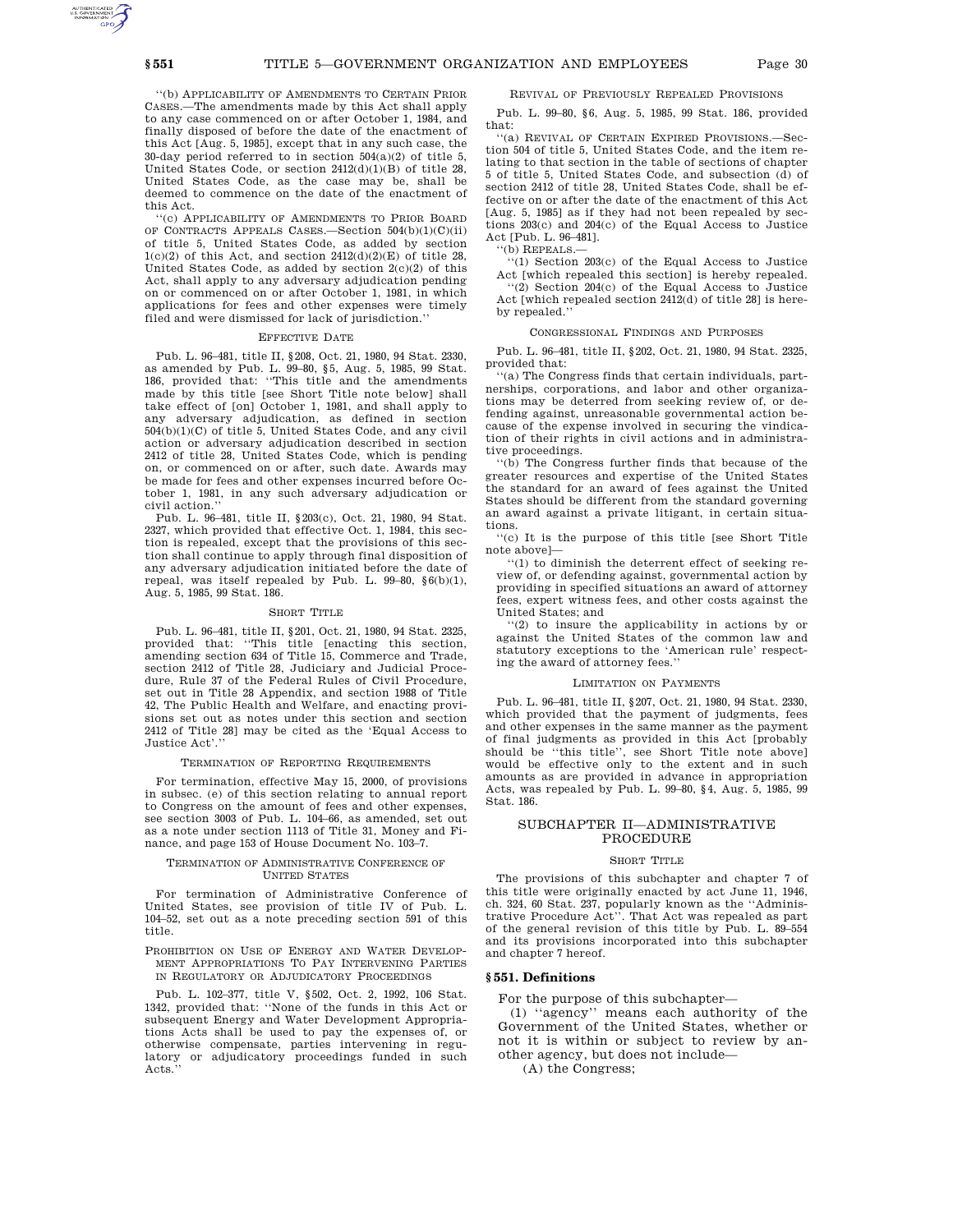''(b) APPLICABILITY OF AMENDMENTS TO CERTAIN PRIOR CASES.—The amendments made by this Act shall apply to any case commenced on or after October 1, 1984, and finally disposed of before the date of the enactment of this Act [Aug. 5, 1985], except that in any such case, the 30-day period referred to in section 504(a)(2) of title 5, United States Code, or section  $2412(d)(1)(B)$  of title 28, United States Code, as the case may be, shall be deemed to commence on the date of the enactment of this Act.

''(c) APPLICABILITY OF AMENDMENTS TO PRIOR BOARD OF CONTRACTS APPEALS CASES.—Section 504(b)(1)(C)(ii) of title 5, United States Code, as added by section 1(c)(2) of this Act, and section  $2412(d)(2)(E)$  of title 28, United States Code, as added by section 2(c)(2) of this Act, shall apply to any adversary adjudication pending on or commenced on or after October 1, 1981, in which applications for fees and other expenses were timely filed and were dismissed for lack of jurisdiction.''

#### EFFECTIVE DATE

Pub. L. 96–481, title II, §208, Oct. 21, 1980, 94 Stat. 2330, as amended by Pub. L. 99–80, §5, Aug. 5, 1985, 99 Stat. 186, provided that: ''This title and the amendments made by this title [see Short Title note below] shall take effect of [on] October 1, 1981, and shall apply to any adversary adjudication, as defined in section 504(b)(1)(C) of title 5, United States Code, and any civil action or adversary adjudication described in section 2412 of title 28, United States Code, which is pending on, or commenced on or after, such date. Awards may be made for fees and other expenses incurred before October 1, 1981, in any such adversary adjudication or civil action.''

Pub. L. 96–481, title II, §203(c), Oct. 21, 1980, 94 Stat. 2327, which provided that effective Oct. 1, 1984, this section is repealed, except that the provisions of this section shall continue to apply through final disposition of any adversary adjudication initiated before the date of repeal, was itself repealed by Pub. L. 99–80, §6(b)(1), Aug. 5, 1985, 99 Stat. 186.

#### SHORT TITLE

Pub. L. 96–481, title II, §201, Oct. 21, 1980, 94 Stat. 2325, provided that: ''This title [enacting this section, amending section 634 of Title 15, Commerce and Trade, section 2412 of Title 28, Judiciary and Judicial Procedure, Rule 37 of the Federal Rules of Civil Procedure, set out in Title 28 Appendix, and section 1988 of Title 42, The Public Health and Welfare, and enacting provisions set out as notes under this section and section 2412 of Title 28] may be cited as the 'Equal Access to Justice Act'.''

### TERMINATION OF REPORTING REQUIREMENTS

For termination, effective May 15, 2000, of provisions in subsec. (e) of this section relating to annual report to Congress on the amount of fees and other expenses, see section 3003 of Pub. L. 104–66, as amended, set out as a note under section 1113 of Title 31, Money and Finance, and page 153 of House Document No. 103–7.

### TERMINATION OF ADMINISTRATIVE CONFERENCE OF UNITED STATES

For termination of Administrative Conference of United States, see provision of title IV of Pub. L. 104–52, set out as a note preceding section 591 of this title.

PROHIBITION ON USE OF ENERGY AND WATER DEVELOP-MENT APPROPRIATIONS TO PAY INTERVENING PARTIES IN REGULATORY OR ADJUDICATORY PROCEEDINGS

Pub. L. 102–377, title V, §502, Oct. 2, 1992, 106 Stat. 1342, provided that: ''None of the funds in this Act or subsequent Energy and Water Development Appropriations Acts shall be used to pay the expenses of, or otherwise compensate, parties intervening in regu-latory or adjudicatory proceedings funded in such Acts.''

REVIVAL OF PREVIOUSLY REPEALED PROVISIONS

Pub. L. 99–80, §6, Aug. 5, 1985, 99 Stat. 186, provided that:

''(a) REVIVAL OF CERTAIN EXPIRED PROVISIONS.—Section 504 of title 5, United States Code, and the item relating to that section in the table of sections of chapter 5 of title 5, United States Code, and subsection (d) of section 2412 of title 28, United States Code, shall be effective on or after the date of the enactment of this Act [Aug. 5, 1985] as if they had not been repealed by sections 203(c) and 204(c) of the Equal Access to Justice Act [Pub. L. 96–481].

''(b) REPEALS.—

''(1) Section 203(c) of the Equal Access to Justice Act [which repealed this section] is hereby repealed. ''(2) Section 204(c) of the Equal Access to Justice

Act [which repealed section 2412(d) of title 28] is hereby repealed.''

### CONGRESSIONAL FINDINGS AND PURPOSES

Pub. L. 96–481, title II, §202, Oct. 21, 1980, 94 Stat. 2325, provided that:

''(a) The Congress finds that certain individuals, partnerships, corporations, and labor and other organizations may be deterred from seeking review of, or defending against, unreasonable governmental action because of the expense involved in securing the vindication of their rights in civil actions and in administrative proceedings.

''(b) The Congress further finds that because of the greater resources and expertise of the United States the standard for an award of fees against the United States should be different from the standard governing an award against a private litigant, in certain situations.

''(c) It is the purpose of this title [see Short Title note above]—

''(1) to diminish the deterrent effect of seeking review of, or defending against, governmental action by providing in specified situations an award of attorney fees, expert witness fees, and other costs against the United States; and

''(2) to insure the applicability in actions by or against the United States of the common law and statutory exceptions to the 'American rule' respecting the award of attorney fees.''

#### LIMITATION ON PAYMENTS

Pub. L. 96–481, title II, §207, Oct. 21, 1980, 94 Stat. 2330, which provided that the payment of judgments, fees and other expenses in the same manner as the payment of final judgments as provided in this Act [probably should be "this title", see Short Title note above] would be effective only to the extent and in such amounts as are provided in advance in appropriation Acts, was repealed by Pub. L. 99–80, §4, Aug. 5, 1985, 99 Stat. 186.

## SUBCHAPTER II—ADMINISTRATIVE PROCEDURE

#### SHORT TITLE

The provisions of this subchapter and chapter 7 of this title were originally enacted by act June 11, 1946, ch. 324, 60 Stat. 237, popularly known as the ''Administrative Procedure Act''. That Act was repealed as part of the general revision of this title by Pub. L. 89–554 and its provisions incorporated into this subchapter and chapter 7 hereof.

# **§ 551. Definitions**

For the purpose of this subchapter—

(1) ''agency'' means each authority of the Government of the United States, whether or not it is within or subject to review by another agency, but does not include—

(A) the Congress;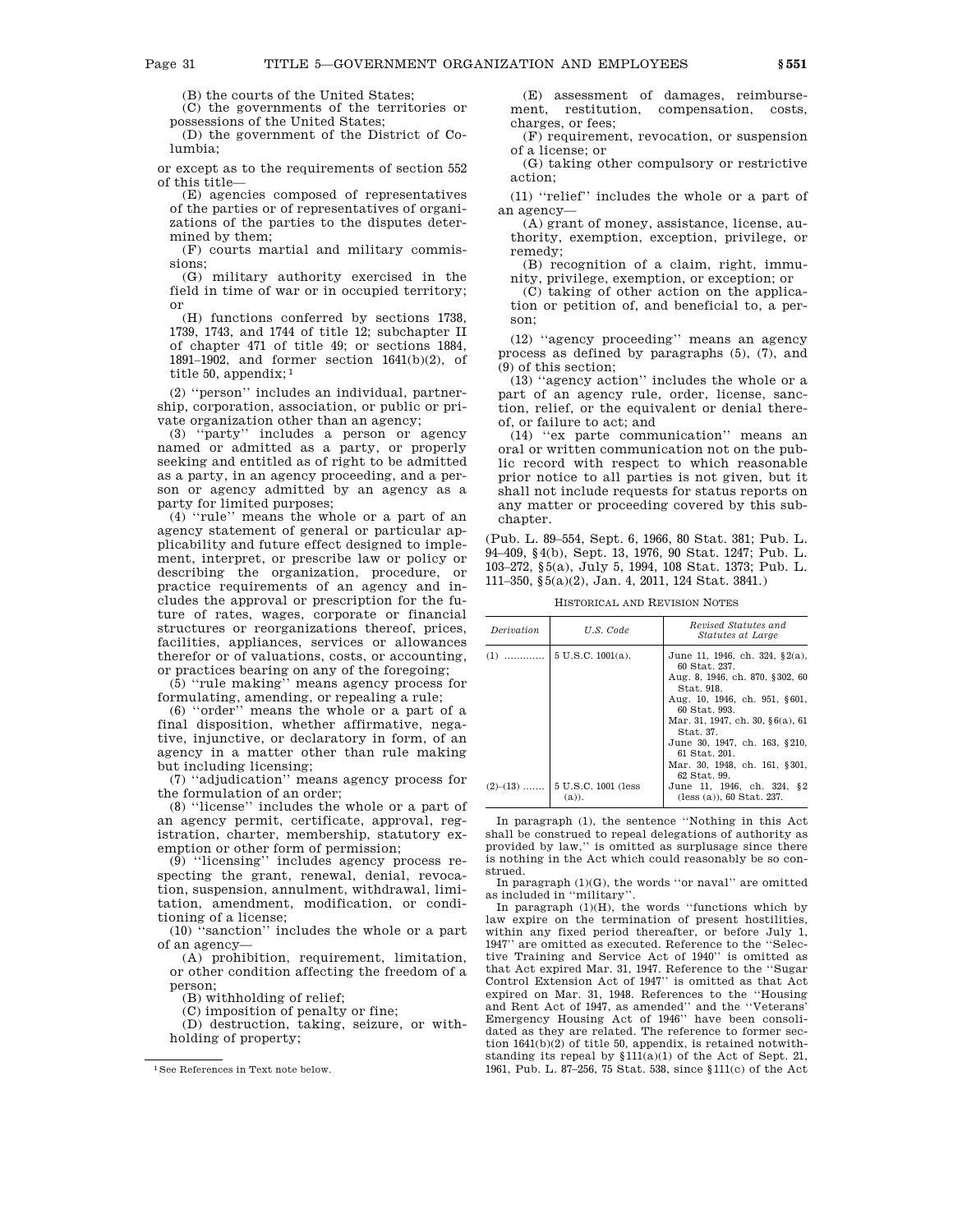(B) the courts of the United States;

(C) the governments of the territories or possessions of the United States;

(D) the government of the District of Columbia;

or except as to the requirements of section 552 of this title—

(E) agencies composed of representatives of the parties or of representatives of organizations of the parties to the disputes determined by them;

(F) courts martial and military commissions;

(G) military authority exercised in the field in time of war or in occupied territory; or

(H) functions conferred by sections 1738, 1739, 1743, and 1744 of title 12; subchapter II of chapter 471 of title 49; or sections 1884, 1891–1902, and former section 1641(b)(2), of title 50, appendix; 1

(2) ''person'' includes an individual, partnership, corporation, association, or public or private organization other than an agency;

(3) ''party'' includes a person or agency named or admitted as a party, or properly seeking and entitled as of right to be admitted as a party, in an agency proceeding, and a person or agency admitted by an agency as a party for limited purposes;

(4) ''rule'' means the whole or a part of an agency statement of general or particular applicability and future effect designed to implement, interpret, or prescribe law or policy or describing the organization, procedure, or practice requirements of an agency and includes the approval or prescription for the future of rates, wages, corporate or financial structures or reorganizations thereof, prices, facilities, appliances, services or allowances therefor or of valuations, costs, or accounting, or practices bearing on any of the foregoing;

(5) ''rule making'' means agency process for formulating, amending, or repealing a rule;

(6) ''order'' means the whole or a part of a final disposition, whether affirmative, negative, injunctive, or declaratory in form, of an agency in a matter other than rule making but including licensing;

(7) ''adjudication'' means agency process for the formulation of an order;

(8) ''license'' includes the whole or a part of an agency permit, certificate, approval, registration, charter, membership, statutory exemption or other form of permission;

(9) ''licensing'' includes agency process respecting the grant, renewal, denial, revocation, suspension, annulment, withdrawal, limitation, amendment, modification, or conditioning of a license;

(10) ''sanction'' includes the whole or a part of an agency—

(A) prohibition, requirement, limitation, or other condition affecting the freedom of a person;

(B) withholding of relief;

(C) imposition of penalty or fine;

(D) destruction, taking, seizure, or withholding of property;

(E) assessment of damages, reimbursement, restitution, compensation, costs, charges, or fees;

(F) requirement, revocation, or suspension of a license; or

(G) taking other compulsory or restrictive action;

(11) ''relief'' includes the whole or a part of an agency—

(A) grant of money, assistance, license, authority, exemption, exception, privilege, or remedy;

(B) recognition of a claim, right, immunity, privilege, exemption, or exception; or

(C) taking of other action on the application or petition of, and beneficial to, a person;

(12) ''agency proceeding'' means an agency process as defined by paragraphs (5), (7), and (9) of this section;

(13) ''agency action'' includes the whole or a part of an agency rule, order, license, sanction, relief, or the equivalent or denial thereof, or failure to act; and

(14) ''ex parte communication'' means an oral or written communication not on the public record with respect to which reasonable prior notice to all parties is not given, but it shall not include requests for status reports on any matter or proceeding covered by this subchapter.

(Pub. L. 89–554, Sept. 6, 1966, 80 Stat. 381; Pub. L. 94–409, §4(b), Sept. 13, 1976, 90 Stat. 1247; Pub. L. 103–272, §5(a), July 5, 1994, 108 Stat. 1373; Pub. L. 111–350, §5(a)(2), Jan. 4, 2011, 124 Stat. 3841.)

HISTORICAL AND REVISION NOTES

| <i>Derivation</i> | U.S. Code                       | Revised Statutes and<br><i>Statutes at Large</i>                                                                                                                                                                                                                                                       |
|-------------------|---------------------------------|--------------------------------------------------------------------------------------------------------------------------------------------------------------------------------------------------------------------------------------------------------------------------------------------------------|
| (1)<br>.          | $5 U.S.C. 1001(a)$ .            | June 11, 1946, ch. 324, §2(a),<br>60 Stat. 237.<br>Aug. 8, 1946, ch. 870, §302, 60<br>Stat. 918.<br>Aug. 10, 1946, ch. 951, §601,<br>60 Stat. 993.<br>Mar. 31, 1947, ch. 30, §6(a), 61<br>Stat. 37.<br>June 30, 1947, ch. 163, §210,<br>61 Stat. 201.<br>Mar. 30, 1948, ch. 161, §301,<br>62 Stat. 99. |
| $(2)$ – $(13)$    | 5 U.S.C. 1001 (less<br>$(a)$ ). | June 11, 1946, ch. 324, §2<br>(less (a)), 60 Stat. 237.                                                                                                                                                                                                                                                |

In paragraph (1), the sentence ''Nothing in this Act shall be construed to repeal delegations of authority as provided by law,'' is omitted as surplusage since there is nothing in the Act which could reasonably be so construed.

In paragraph  $(1)(G)$ , the words "or naval" are omitted as included in ''military''.

In paragraph  $(1)(H)$ , the words "functions which by law expire on the termination of present hostilities, within any fixed period thereafter, or before July 1, 1947'' are omitted as executed. Reference to the ''Selective Training and Service Act of 1940'' is omitted as that Act expired Mar. 31, 1947. Reference to the ''Sugar Control Extension Act of 1947'' is omitted as that Act expired on Mar. 31, 1948. References to the ''Housing and Rent Act of 1947, as amended'' and the ''Veterans' Emergency Housing Act of 1946'' have been consolidated as they are related. The reference to former section 1641(b)(2) of title 50, appendix, is retained notwithstanding its repeal by §111(a)(1) of the Act of Sept. 21, 1961, Pub. L. 87–256, 75 Stat. 538, since  $$111(c)$  of the Act

<sup>1</sup>See References in Text note below.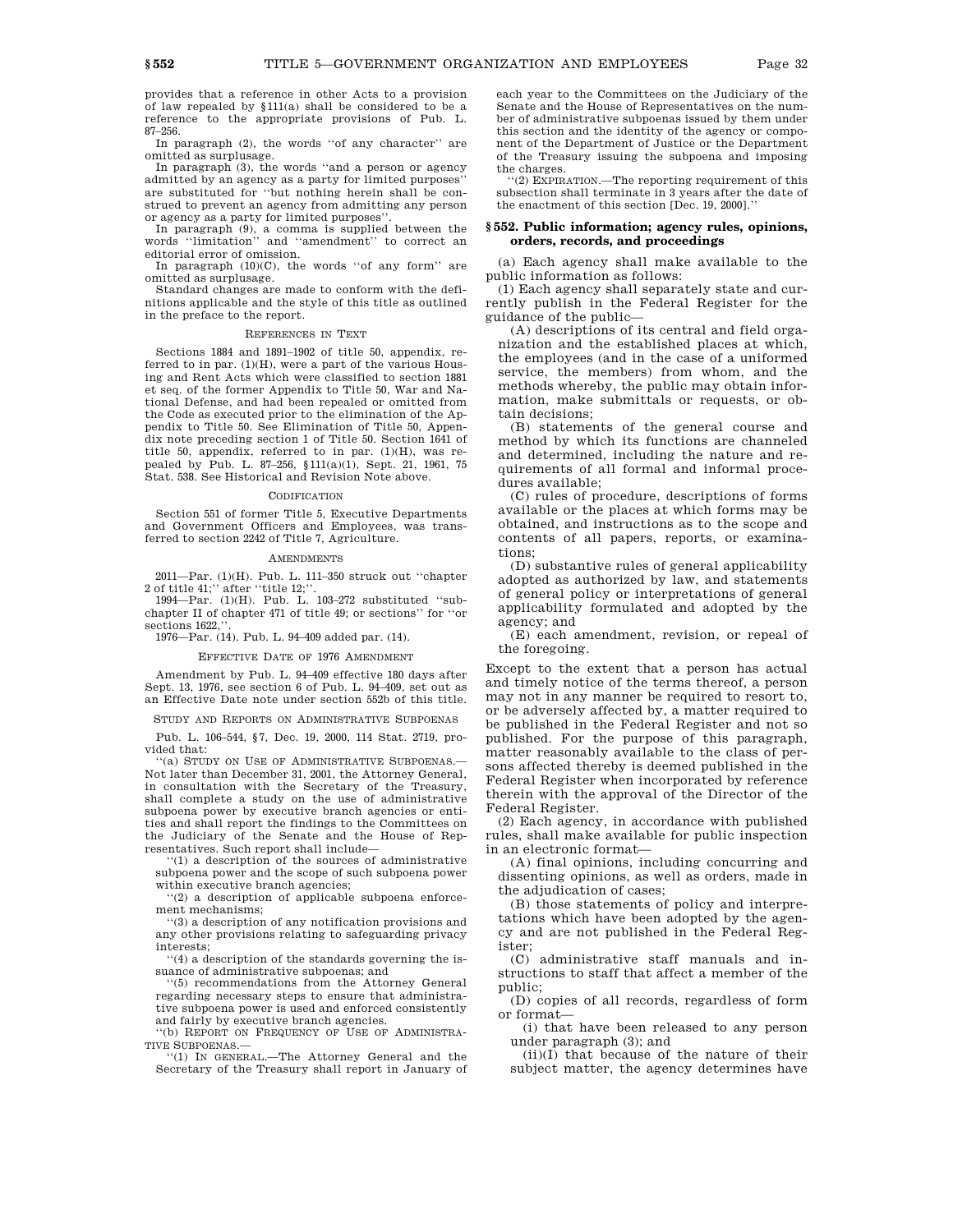provides that a reference in other Acts to a provision of law repealed by §111(a) shall be considered to be a reference to the appropriate provisions of Pub. L. 87–256.

In paragraph (2), the words ''of any character'' are omitted as surplusage.

In paragraph (3), the words ''and a person or agency admitted by an agency as a party for limited purposes'' are substituted for ''but nothing herein shall be construed to prevent an agency from admitting any person or agency as a party for limited purposes''.

In paragraph (9), a comma is supplied between the words ''limitation'' and ''amendment'' to correct an editorial error of omission.

In paragraph (10)(C), the words ''of any form'' are omitted as surplusage.

Standard changes are made to conform with the definitions applicable and the style of this title as outlined in the preface to the report.

#### REFERENCES IN TEXT

Sections 1884 and 1891–1902 of title 50, appendix, referred to in par. (1)(H), were a part of the various Housing and Rent Acts which were classified to section 1881 et seq. of the former Appendix to Title 50, War and National Defense, and had been repealed or omitted from the Code as executed prior to the elimination of the Appendix to Title 50. See Elimination of Title 50, Appendix note preceding section 1 of Title 50. Section 1641 of title 50, appendix, referred to in par.  $(1)(H)$ , was repealed by Pub. L. 87–256, §111(a)(1), Sept. 21, 1961, 75 Stat. 538. See Historical and Revision Note above.

#### CODIFICATION

Section 551 of former Title 5, Executive Departments and Government Officers and Employees, was transferred to section 2242 of Title 7, Agriculture.

#### **AMENDMENTS**

2011—Par. (1)(H). Pub. L. 111–350 struck out ''chapter

2 of title 41;'' after ''title 12;''. 1994—Par. (1)(H). Pub. L. 103–272 substituted ''subchapter II of chapter 471 of title 49; or sections'' for ''or sections 1622.

1976—Par. (14). Pub. L. 94–409 added par. (14).

# EFFECTIVE DATE OF 1976 AMENDMENT

Amendment by Pub. L. 94–409 effective 180 days after Sept. 13, 1976, see section 6 of Pub. L. 94–409, set out as an Effective Date note under section 552b of this title.

STUDY AND REPORTS ON ADMINISTRATIVE SUBPOENAS

Pub. L. 106–544, §7, Dec. 19, 2000, 114 Stat. 2719, provided that:

'(a) STUDY ON USE OF ADMINISTRATIVE SUBPOENAS.-Not later than December 31, 2001, the Attorney General, in consultation with the Secretary of the Treasury, shall complete a study on the use of administrative subpoena power by executive branch agencies or entities and shall report the findings to the Committees on the Judiciary of the Senate and the House of Representatives. Such report shall include—

''(1) a description of the sources of administrative subpoena power and the scope of such subpoena power within executive branch agencies;

''(2) a description of applicable subpoena enforcement mechanisms;

''(3) a description of any notification provisions and any other provisions relating to safeguarding privacy interests;

''(4) a description of the standards governing the issuance of administrative subpoenas; and

''(5) recommendations from the Attorney General regarding necessary steps to ensure that administrative subpoena power is used and enforced consistently

and fairly by executive branch agencies. ''(b) REPORT ON FREQUENCY OF USE OF ADMINISTRA-TIVE SUBPOENAS.—

''(1) IN GENERAL.—The Attorney General and the Secretary of the Treasury shall report in January of each year to the Committees on the Judiciary of the Senate and the House of Representatives on the number of administrative subpoenas issued by them under this section and the identity of the agency or component of the Department of Justice or the Department of the Treasury issuing the subpoena and imposing the charges.

''(2) EXPIRATION.—The reporting requirement of this subsection shall terminate in 3 years after the date of the enactment of this section [Dec. 19, 2000].

## **§ 552. Public information; agency rules, opinions, orders, records, and proceedings**

(a) Each agency shall make available to the public information as follows:

(1) Each agency shall separately state and currently publish in the Federal Register for the guidance of the public—

(A) descriptions of its central and field organization and the established places at which, the employees (and in the case of a uniformed service, the members) from whom, and the methods whereby, the public may obtain information, make submittals or requests, or obtain decisions;

(B) statements of the general course and method by which its functions are channeled and determined, including the nature and requirements of all formal and informal procedures available;

(C) rules of procedure, descriptions of forms available or the places at which forms may be obtained, and instructions as to the scope and contents of all papers, reports, or examinations;

(D) substantive rules of general applicability adopted as authorized by law, and statements of general policy or interpretations of general applicability formulated and adopted by the agency; and

(E) each amendment, revision, or repeal of the foregoing.

Except to the extent that a person has actual and timely notice of the terms thereof, a person may not in any manner be required to resort to, or be adversely affected by, a matter required to be published in the Federal Register and not so published. For the purpose of this paragraph, matter reasonably available to the class of persons affected thereby is deemed published in the Federal Register when incorporated by reference therein with the approval of the Director of the Federal Register.

(2) Each agency, in accordance with published rules, shall make available for public inspection in an electronic format—

(A) final opinions, including concurring and dissenting opinions, as well as orders, made in the adjudication of cases;

(B) those statements of policy and interpretations which have been adopted by the agency and are not published in the Federal Register;

(C) administrative staff manuals and instructions to staff that affect a member of the public;

(D) copies of all records, regardless of form or format—

(i) that have been released to any person under paragraph (3); and

(ii)(I) that because of the nature of their subject matter, the agency determines have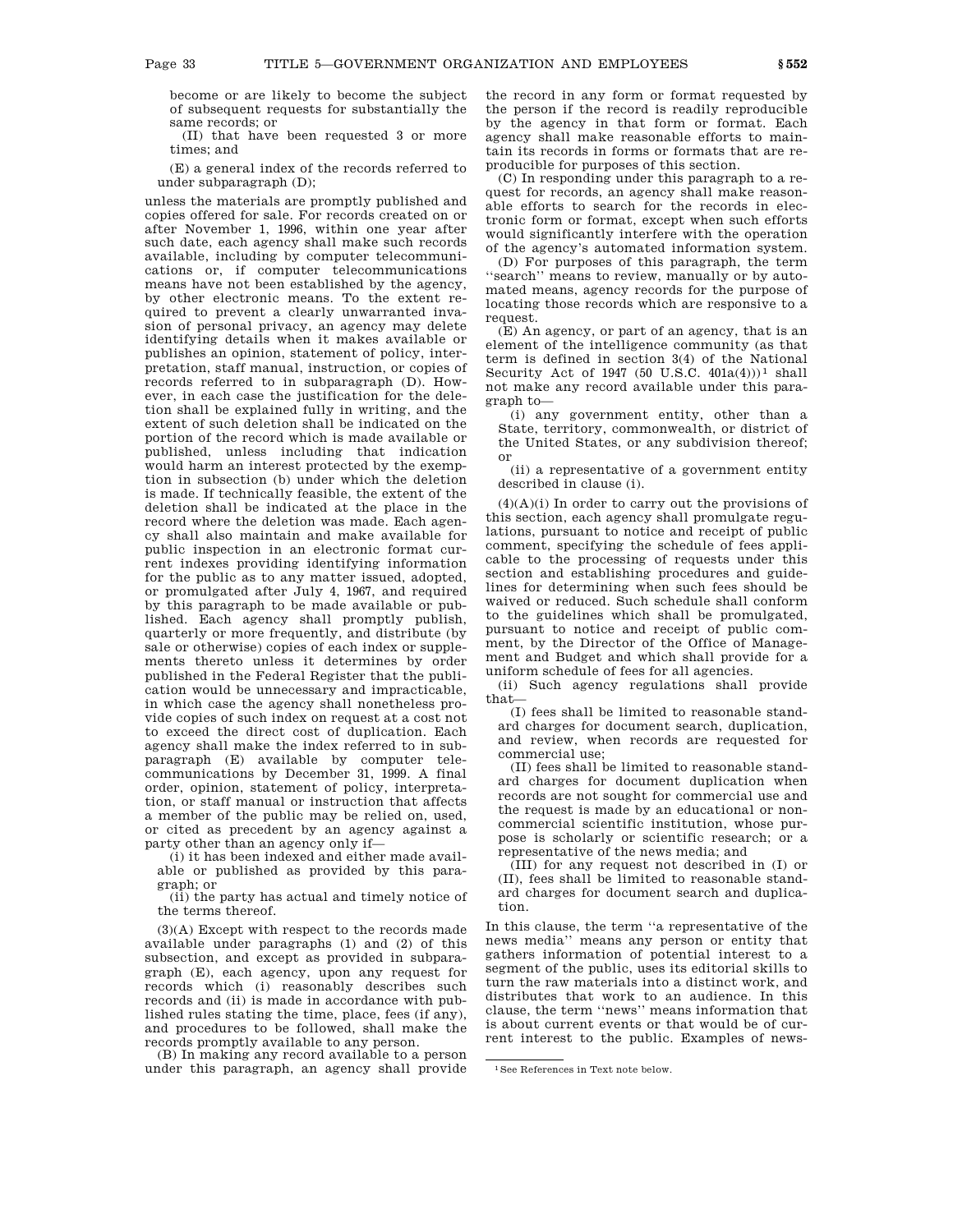become or are likely to become the subject of subsequent requests for substantially the same records; or

(II) that have been requested 3 or more times; and

(E) a general index of the records referred to under subparagraph (D);

unless the materials are promptly published and copies offered for sale. For records created on or after November 1, 1996, within one year after such date, each agency shall make such records available, including by computer telecommunications or, if computer telecommunications means have not been established by the agency, by other electronic means. To the extent required to prevent a clearly unwarranted invasion of personal privacy, an agency may delete identifying details when it makes available or publishes an opinion, statement of policy, interpretation, staff manual, instruction, or copies of records referred to in subparagraph (D). However, in each case the justification for the deletion shall be explained fully in writing, and the extent of such deletion shall be indicated on the portion of the record which is made available or published, unless including that indication would harm an interest protected by the exemption in subsection (b) under which the deletion is made. If technically feasible, the extent of the deletion shall be indicated at the place in the record where the deletion was made. Each agency shall also maintain and make available for public inspection in an electronic format current indexes providing identifying information for the public as to any matter issued, adopted, or promulgated after July 4, 1967, and required by this paragraph to be made available or published. Each agency shall promptly publish, quarterly or more frequently, and distribute (by sale or otherwise) copies of each index or supplements thereto unless it determines by order published in the Federal Register that the publication would be unnecessary and impracticable, in which case the agency shall nonetheless provide copies of such index on request at a cost not to exceed the direct cost of duplication. Each agency shall make the index referred to in subparagraph (E) available by computer telecommunications by December 31, 1999. A final order, opinion, statement of policy, interpretation, or staff manual or instruction that affects a member of the public may be relied on, used, or cited as precedent by an agency against a party other than an agency only if—

(i) it has been indexed and either made available or published as provided by this paragraph; or

(ii) the party has actual and timely notice of the terms thereof.

 $\rm(3)(A)$  Except with respect to the records made available under paragraphs (1) and (2) of this subsection, and except as provided in subparagraph (E), each agency, upon any request for records which (i) reasonably describes such records and (ii) is made in accordance with published rules stating the time, place, fees (if any), and procedures to be followed, shall make the records promptly available to any person.

(B) In making any record available to a person under this paragraph, an agency shall provide the record in any form or format requested by the person if the record is readily reproducible by the agency in that form or format. Each agency shall make reasonable efforts to maintain its records in forms or formats that are reproducible for purposes of this section.

(C) In responding under this paragraph to a request for records, an agency shall make reasonable efforts to search for the records in electronic form or format, except when such efforts would significantly interfere with the operation of the agency's automated information system.

(D) For purposes of this paragraph, the term ''search'' means to review, manually or by automated means, agency records for the purpose of locating those records which are responsive to a request.

(E) An agency, or part of an agency, that is an element of the intelligence community (as that term is defined in section 3(4) of the National Security Act of 1947 (50 U.S.C.  $401a(4))$ <sup>1</sup> shall not make any record available under this paragraph to—

(i) any government entity, other than a State, territory, commonwealth, or district of the United States, or any subdivision thereof; or

(ii) a representative of a government entity described in clause (i).

 $(4)(A)(i)$  In order to carry out the provisions of this section, each agency shall promulgate regulations, pursuant to notice and receipt of public comment, specifying the schedule of fees applicable to the processing of requests under this section and establishing procedures and guidelines for determining when such fees should be waived or reduced. Such schedule shall conform to the guidelines which shall be promulgated, pursuant to notice and receipt of public comment, by the Director of the Office of Management and Budget and which shall provide for a uniform schedule of fees for all agencies.

(ii) Such agency regulations shall provide that—

(I) fees shall be limited to reasonable standard charges for document search, duplication, and review, when records are requested for commercial use;

(II) fees shall be limited to reasonable standard charges for document duplication when records are not sought for commercial use and the request is made by an educational or noncommercial scientific institution, whose purpose is scholarly or scientific research; or a representative of the news media; and

(III) for any request not described in (I) or (II), fees shall be limited to reasonable standard charges for document search and duplication.

In this clause, the term ''a representative of the news media'' means any person or entity that gathers information of potential interest to a segment of the public, uses its editorial skills to turn the raw materials into a distinct work, and distributes that work to an audience. In this clause, the term ''news'' means information that is about current events or that would be of current interest to the public. Examples of news-

<sup>1</sup>See References in Text note below.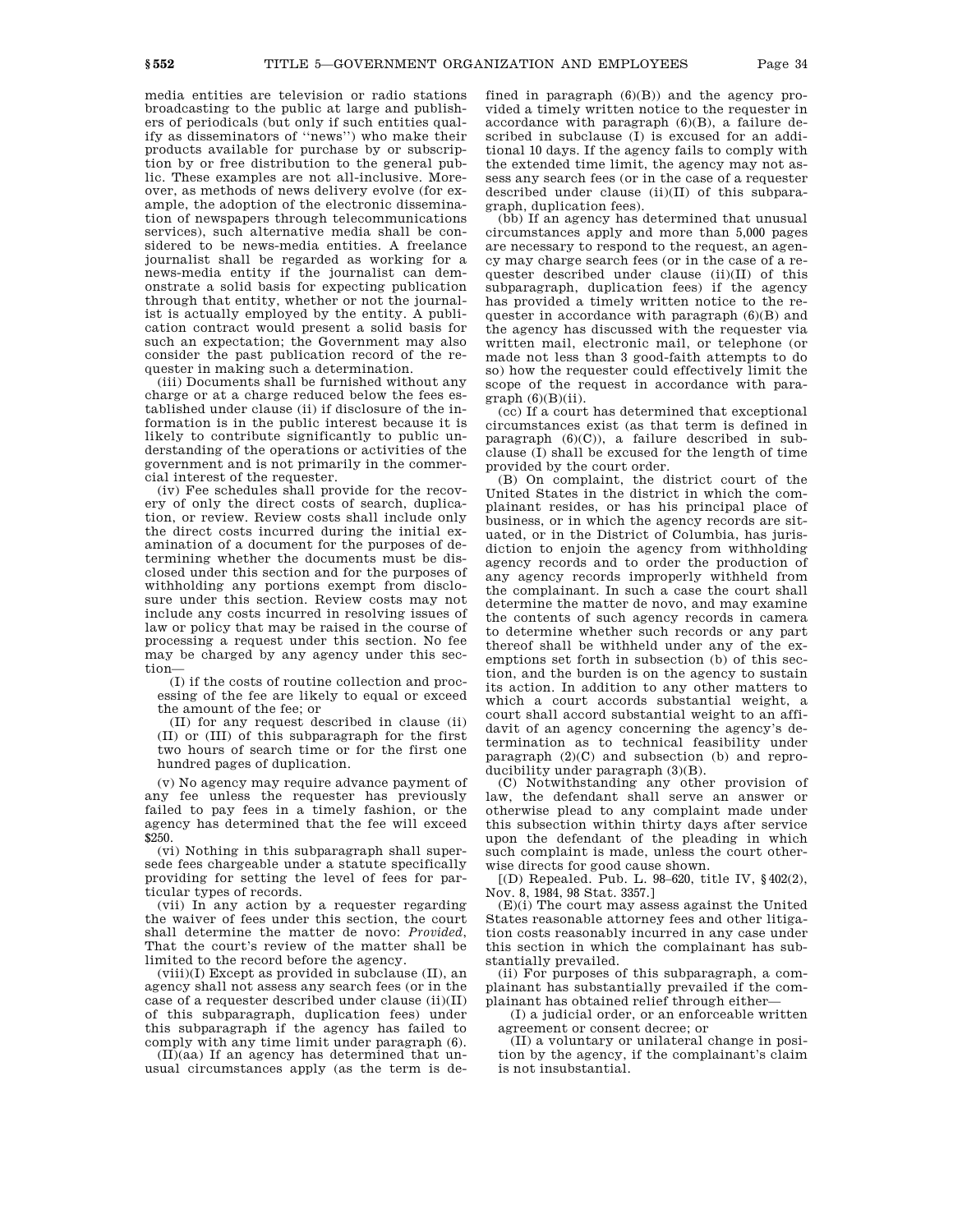media entities are television or radio stations broadcasting to the public at large and publishers of periodicals (but only if such entities qualify as disseminators of ''news'') who make their products available for purchase by or subscription by or free distribution to the general public. These examples are not all-inclusive. Moreover, as methods of news delivery evolve (for example, the adoption of the electronic dissemination of newspapers through telecommunications services), such alternative media shall be considered to be news-media entities. A freelance journalist shall be regarded as working for a news-media entity if the journalist can demonstrate a solid basis for expecting publication through that entity, whether or not the journalist is actually employed by the entity. A publication contract would present a solid basis for such an expectation; the Government may also consider the past publication record of the requester in making such a determination.

(iii) Documents shall be furnished without any charge or at a charge reduced below the fees established under clause (ii) if disclosure of the information is in the public interest because it is likely to contribute significantly to public understanding of the operations or activities of the government and is not primarily in the commercial interest of the requester.

(iv) Fee schedules shall provide for the recovery of only the direct costs of search, duplication, or review. Review costs shall include only the direct costs incurred during the initial examination of a document for the purposes of determining whether the documents must be disclosed under this section and for the purposes of withholding any portions exempt from disclosure under this section. Review costs may not include any costs incurred in resolving issues of law or policy that may be raised in the course of processing a request under this section. No fee may be charged by any agency under this section—

(I) if the costs of routine collection and processing of the fee are likely to equal or exceed the amount of the fee; or

(II) for any request described in clause (ii) (II) or (III) of this subparagraph for the first two hours of search time or for the first one hundred pages of duplication.

(v) No agency may require advance payment of any fee unless the requester has previously failed to pay fees in a timely fashion, or the agency has determined that the fee will exceed \$250.

(vi) Nothing in this subparagraph shall supersede fees chargeable under a statute specifically providing for setting the level of fees for particular types of records.

(vii) In any action by a requester regarding the waiver of fees under this section, the court shall determine the matter de novo: *Provided*, That the court's review of the matter shall be limited to the record before the agency.

 $(viii)(I)$  Except as provided in subclause  $(II)$ , an agency shall not assess any search fees (or in the case of a requester described under clause  $\rm (ii)(II)$ of this subparagraph, duplication fees) under this subparagraph if the agency has failed to comply with any time limit under paragraph (6).

(II)(aa) If an agency has determined that unusual circumstances apply (as the term is defined in paragraph  $(6)(B)$  and the agency provided a timely written notice to the requester in accordance with paragraph (6)(B), a failure described in subclause (I) is excused for an additional 10 days. If the agency fails to comply with the extended time limit, the agency may not assess any search fees (or in the case of a requester described under clause (ii)(II) of this subparagraph, duplication fees).

(bb) If an agency has determined that unusual circumstances apply and more than 5,000 pages are necessary to respond to the request, an agency may charge search fees (or in the case of a requester described under clause (ii)(II) of this subparagraph, duplication fees) if the agency has provided a timely written notice to the requester in accordance with paragraph (6)(B) and the agency has discussed with the requester via written mail, electronic mail, or telephone (or made not less than 3 good-faith attempts to do so) how the requester could effectively limit the scope of the request in accordance with para $graph (6)(B)(ii)$ .

(cc) If a court has determined that exceptional circumstances exist (as that term is defined in paragraph  $(6)(C)$ , a failure described in subclause (I) shall be excused for the length of time provided by the court order.

(B) On complaint, the district court of the United States in the district in which the complainant resides, or has his principal place of business, or in which the agency records are situated, or in the District of Columbia, has jurisdiction to enjoin the agency from withholding agency records and to order the production of any agency records improperly withheld from the complainant. In such a case the court shall determine the matter de novo, and may examine the contents of such agency records in camera to determine whether such records or any part thereof shall be withheld under any of the exemptions set forth in subsection (b) of this section, and the burden is on the agency to sustain its action. In addition to any other matters to which a court accords substantial weight, a court shall accord substantial weight to an affidavit of an agency concerning the agency's determination as to technical feasibility under paragraph  $(2)(C)$  and subsection (b) and reproducibility under paragraph (3)(B).

(C) Notwithstanding any other provision of law, the defendant shall serve an answer or otherwise plead to any complaint made under this subsection within thirty days after service upon the defendant of the pleading in which such complaint is made, unless the court otherwise directs for good cause shown.

 $[(D)$  Repealed. Pub. L. 98–620, title IV, §402 $(2)$ , Nov. 8, 1984, 98 Stat. 3357.]

(E)(i) The court may assess against the United States reasonable attorney fees and other litigation costs reasonably incurred in any case under this section in which the complainant has substantially prevailed.

(ii) For purposes of this subparagraph, a complainant has substantially prevailed if the complainant has obtained relief through either—

(I) a judicial order, or an enforceable written agreement or consent decree; or

(II) a voluntary or unilateral change in position by the agency, if the complainant's claim is not insubstantial.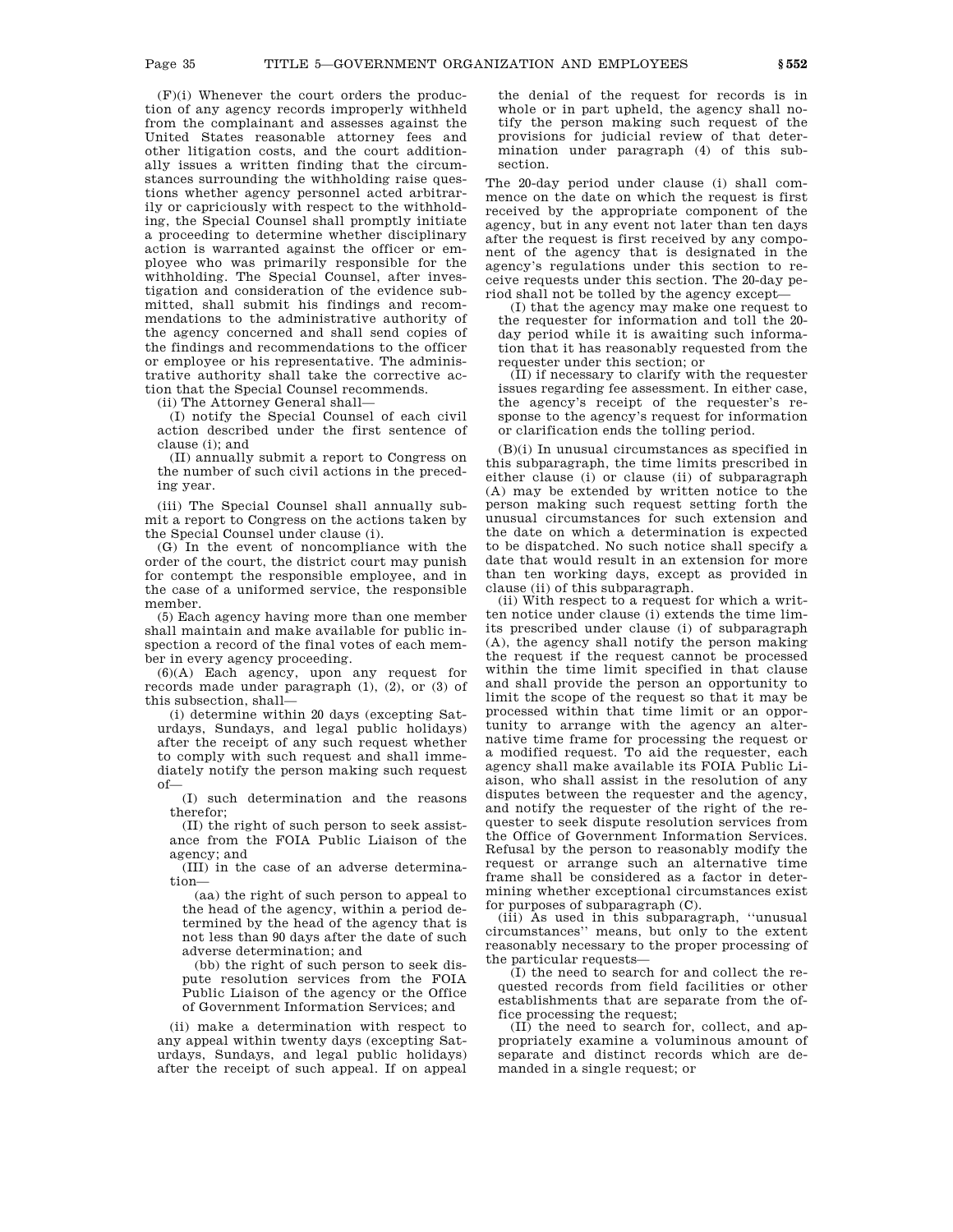$(F)(i)$  Whenever the court orders the production of any agency records improperly withheld from the complainant and assesses against the United States reasonable attorney fees and other litigation costs, and the court additionally issues a written finding that the circumstances surrounding the withholding raise questions whether agency personnel acted arbitrarily or capriciously with respect to the withholding, the Special Counsel shall promptly initiate a proceeding to determine whether disciplinary action is warranted against the officer or employee who was primarily responsible for the withholding. The Special Counsel, after investigation and consideration of the evidence submitted, shall submit his findings and recommendations to the administrative authority of the agency concerned and shall send copies of the findings and recommendations to the officer or employee or his representative. The administrative authority shall take the corrective action that the Special Counsel recommends.

(ii) The Attorney General shall—

(I) notify the Special Counsel of each civil action described under the first sentence of clause (i); and

(II) annually submit a report to Congress on the number of such civil actions in the preceding year.

(iii) The Special Counsel shall annually submit a report to Congress on the actions taken by the Special Counsel under clause (i).

(G) In the event of noncompliance with the order of the court, the district court may punish for contempt the responsible employee, and in the case of a uniformed service, the responsible member.

(5) Each agency having more than one member shall maintain and make available for public inspection a record of the final votes of each member in every agency proceeding.

(6)(A) Each agency, upon any request for records made under paragraph (1), (2), or (3) of this subsection, shall—

(i) determine within 20 days (excepting Saturdays, Sundays, and legal public holidays) after the receipt of any such request whether to comply with such request and shall immediately notify the person making such request of—

(I) such determination and the reasons therefor;

(II) the right of such person to seek assistance from the FOIA Public Liaison of the agency; and

(III) in the case of an adverse determination—

(aa) the right of such person to appeal to the head of the agency, within a period determined by the head of the agency that is not less than 90 days after the date of such adverse determination; and

(bb) the right of such person to seek dispute resolution services from the FOIA Public Liaison of the agency or the Office of Government Information Services; and

(ii) make a determination with respect to any appeal within twenty days (excepting Saturdays, Sundays, and legal public holidays) after the receipt of such appeal. If on appeal the denial of the request for records is in whole or in part upheld, the agency shall notify the person making such request of the provisions for judicial review of that determination under paragraph (4) of this subsection.

The 20-day period under clause (i) shall commence on the date on which the request is first received by the appropriate component of the agency, but in any event not later than ten days after the request is first received by any component of the agency that is designated in the agency's regulations under this section to receive requests under this section. The 20-day period shall not be tolled by the agency except—

(I) that the agency may make one request to the requester for information and toll the 20 day period while it is awaiting such information that it has reasonably requested from the requester under this section; or

(II) if necessary to clarify with the requester issues regarding fee assessment. In either case, the agency's receipt of the requester's response to the agency's request for information or clarification ends the tolling period.

(B)(i) In unusual circumstances as specified in this subparagraph, the time limits prescribed in either clause (i) or clause (ii) of subparagraph (A) may be extended by written notice to the person making such request setting forth the unusual circumstances for such extension and the date on which a determination is expected to be dispatched. No such notice shall specify a date that would result in an extension for more than ten working days, except as provided in clause (ii) of this subparagraph.

(ii) With respect to a request for which a written notice under clause (i) extends the time limits prescribed under clause (i) of subparagraph (A), the agency shall notify the person making the request if the request cannot be processed within the time limit specified in that clause and shall provide the person an opportunity to limit the scope of the request so that it may be processed within that time limit or an opportunity to arrange with the agency an alternative time frame for processing the request or a modified request. To aid the requester, each agency shall make available its FOIA Public Liaison, who shall assist in the resolution of any disputes between the requester and the agency, and notify the requester of the right of the requester to seek dispute resolution services from the Office of Government Information Services. Refusal by the person to reasonably modify the request or arrange such an alternative time frame shall be considered as a factor in determining whether exceptional circumstances exist for purposes of subparagraph (C).

(iii) As used in this subparagraph, ''unusual circumstances'' means, but only to the extent reasonably necessary to the proper processing of the particular requests—

(I) the need to search for and collect the requested records from field facilities or other establishments that are separate from the office processing the request;

(II) the need to search for, collect, and appropriately examine a voluminous amount of separate and distinct records which are demanded in a single request; or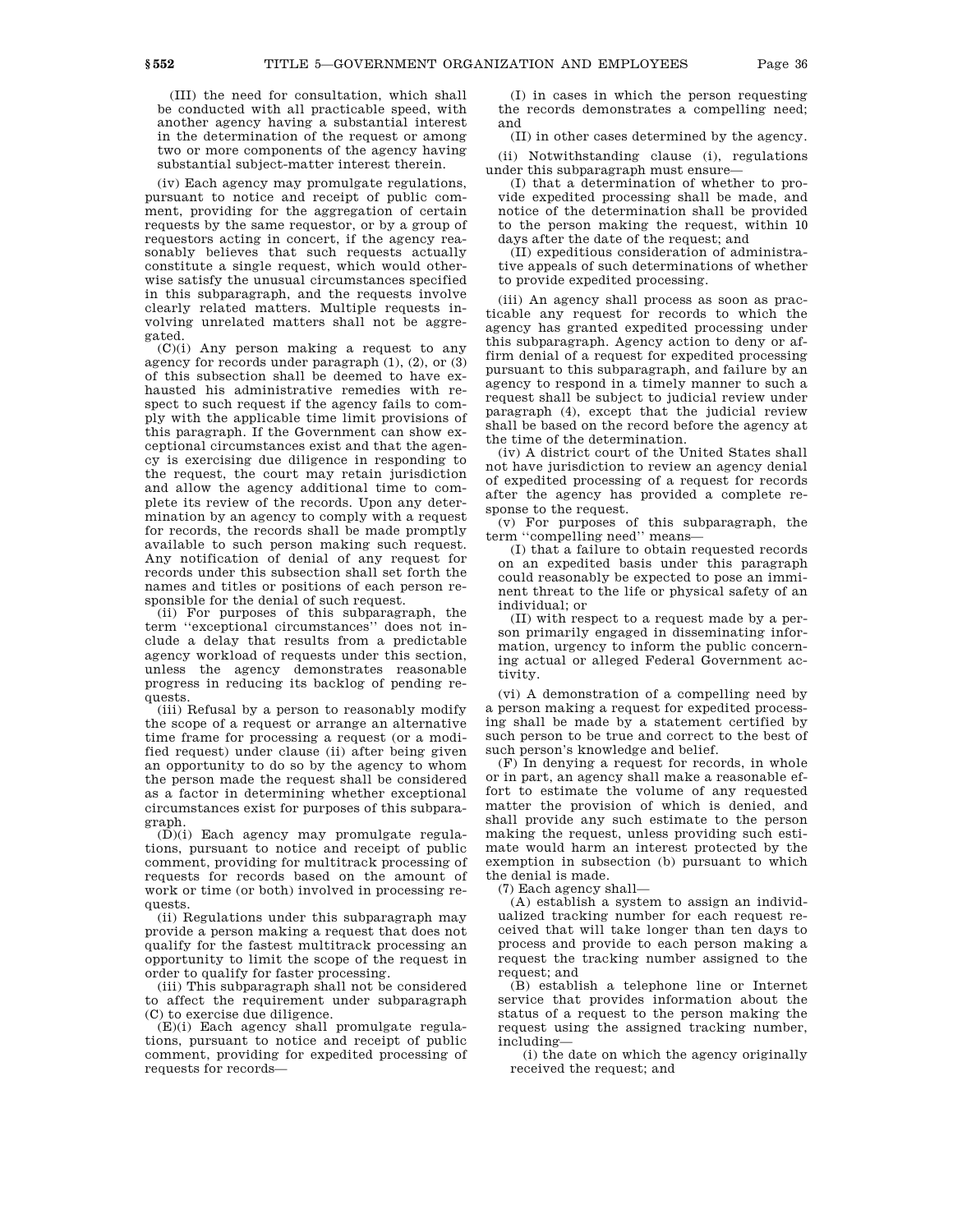(III) the need for consultation, which shall be conducted with all practicable speed, with another agency having a substantial interest in the determination of the request or among two or more components of the agency having substantial subject-matter interest therein.

(iv) Each agency may promulgate regulations, pursuant to notice and receipt of public comment, providing for the aggregation of certain requests by the same requestor, or by a group of requestors acting in concert, if the agency reasonably believes that such requests actually constitute a single request, which would otherwise satisfy the unusual circumstances specified in this subparagraph, and the requests involve clearly related matters. Multiple requests involving unrelated matters shall not be aggregated.

(C)(i) Any person making a request to any agency for records under paragraph (1), (2), or (3) of this subsection shall be deemed to have exhausted his administrative remedies with respect to such request if the agency fails to comply with the applicable time limit provisions of this paragraph. If the Government can show exceptional circumstances exist and that the agency is exercising due diligence in responding to the request, the court may retain jurisdiction and allow the agency additional time to complete its review of the records. Upon any determination by an agency to comply with a request for records, the records shall be made promptly available to such person making such request. Any notification of denial of any request for records under this subsection shall set forth the names and titles or positions of each person responsible for the denial of such request.

(ii) For purposes of this subparagraph, the term ''exceptional circumstances'' does not include a delay that results from a predictable agency workload of requests under this section, unless the agency demonstrates reasonable progress in reducing its backlog of pending requests.

(iii) Refusal by a person to reasonably modify the scope of a request or arrange an alternative time frame for processing a request (or a modified request) under clause (ii) after being given an opportunity to do so by the agency to whom the person made the request shall be considered as a factor in determining whether exceptional circumstances exist for purposes of this subparagraph.

 $(\overline{D})(i)$  Each agency may promulgate regulations, pursuant to notice and receipt of public comment, providing for multitrack processing of requests for records based on the amount of work or time (or both) involved in processing requests.

(ii) Regulations under this subparagraph may provide a person making a request that does not qualify for the fastest multitrack processing an opportunity to limit the scope of the request in order to qualify for faster processing.

(iii) This subparagraph shall not be considered to affect the requirement under subparagraph (C) to exercise due diligence.

(E)(i) Each agency shall promulgate regulations, pursuant to notice and receipt of public comment, providing for expedited processing of requests for records—

(I) in cases in which the person requesting the records demonstrates a compelling need; and

(II) in other cases determined by the agency.

(ii) Notwithstanding clause (i), regulations under this subparagraph must ensure—

(I) that a determination of whether to provide expedited processing shall be made, and notice of the determination shall be provided to the person making the request, within 10 days after the date of the request; and

(II) expeditious consideration of administrative appeals of such determinations of whether to provide expedited processing.

(iii) An agency shall process as soon as practicable any request for records to which the agency has granted expedited processing under this subparagraph. Agency action to deny or affirm denial of a request for expedited processing pursuant to this subparagraph, and failure by an agency to respond in a timely manner to such a request shall be subject to judicial review under paragraph (4), except that the judicial review shall be based on the record before the agency at the time of the determination.

(iv) A district court of the United States shall not have jurisdiction to review an agency denial of expedited processing of a request for records after the agency has provided a complete response to the request.

(v) For purposes of this subparagraph, the term ''compelling need'' means—

(I) that a failure to obtain requested records on an expedited basis under this paragraph could reasonably be expected to pose an imminent threat to the life or physical safety of an individual; or

(II) with respect to a request made by a person primarily engaged in disseminating information, urgency to inform the public concerning actual or alleged Federal Government activity.

(vi) A demonstration of a compelling need by a person making a request for expedited processing shall be made by a statement certified by such person to be true and correct to the best of such person's knowledge and belief.

(F) In denying a request for records, in whole or in part, an agency shall make a reasonable effort to estimate the volume of any requested matter the provision of which is denied, and shall provide any such estimate to the person making the request, unless providing such estimate would harm an interest protected by the exemption in subsection (b) pursuant to which the denial is made.

(7) Each agency shall—

(A) establish a system to assign an individualized tracking number for each request received that will take longer than ten days to process and provide to each person making a request the tracking number assigned to the request; and

(B) establish a telephone line or Internet service that provides information about the status of a request to the person making the request using the assigned tracking number, including—

(i) the date on which the agency originally received the request; and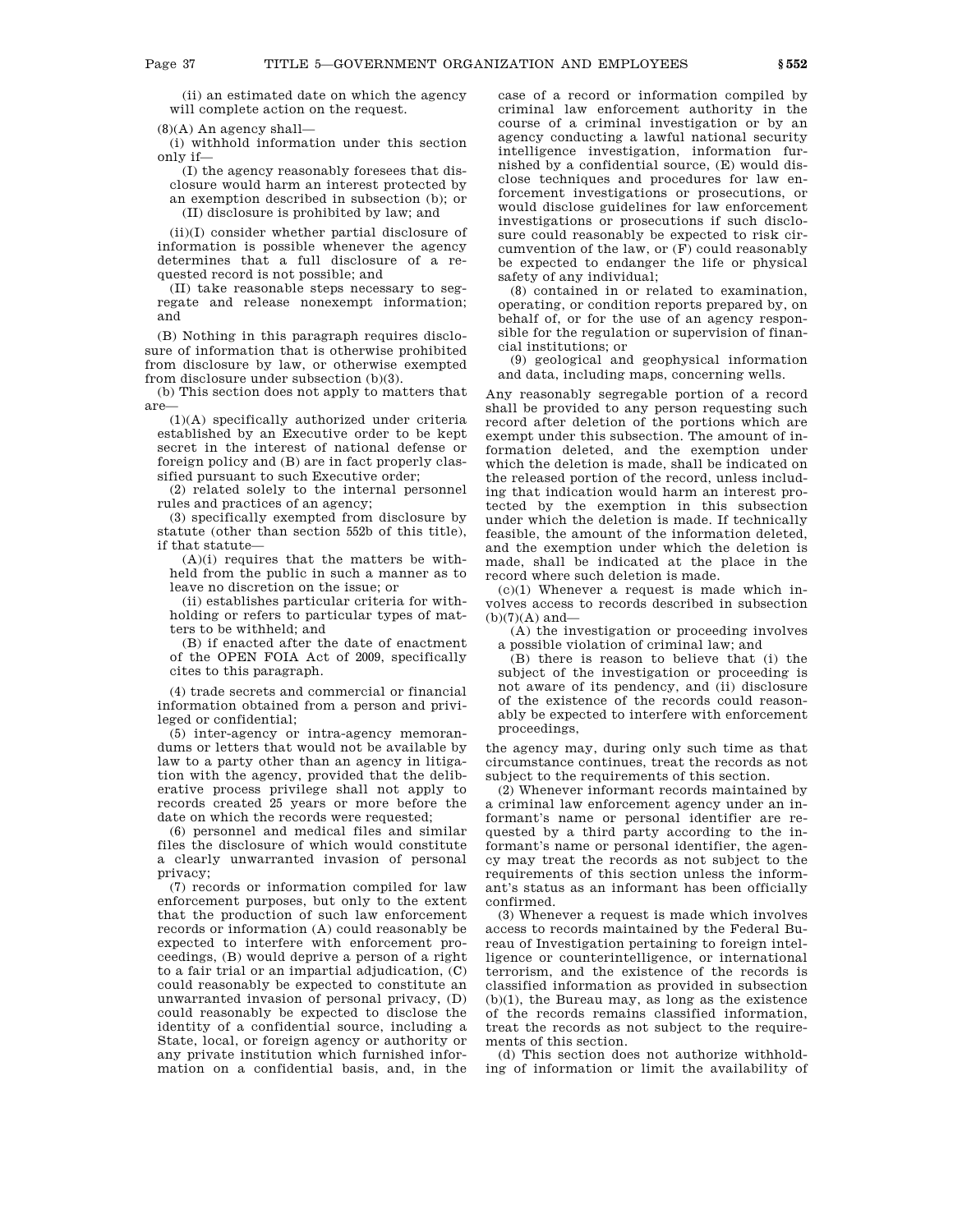(ii) an estimated date on which the agency will complete action on the request.

 $(8)(A)$  An agency shall-

(i) withhold information under this section only if—

(I) the agency reasonably foresees that disclosure would harm an interest protected by an exemption described in subsection (b); or (II) disclosure is prohibited by law; and

(ii)(I) consider whether partial disclosure of information is possible whenever the agency determines that a full disclosure of a requested record is not possible; and

(II) take reasonable steps necessary to segregate and release nonexempt information; and

(B) Nothing in this paragraph requires disclosure of information that is otherwise prohibited from disclosure by law, or otherwise exempted from disclosure under subsection (b)(3).

(b) This section does not apply to matters that are—

(1)(A) specifically authorized under criteria established by an Executive order to be kept secret in the interest of national defense or foreign policy and (B) are in fact properly classified pursuant to such Executive order;

(2) related solely to the internal personnel rules and practices of an agency;

(3) specifically exempted from disclosure by statute (other than section 552b of this title), if that statute—

 $(A)(i)$  requires that the matters be withheld from the public in such a manner as to leave no discretion on the issue; or

(ii) establishes particular criteria for withholding or refers to particular types of matters to be withheld; and

(B) if enacted after the date of enactment of the OPEN FOIA Act of 2009, specifically cites to this paragraph.

(4) trade secrets and commercial or financial information obtained from a person and privileged or confidential;

(5) inter-agency or intra-agency memorandums or letters that would not be available by law to a party other than an agency in litigation with the agency, provided that the deliberative process privilege shall not apply to records created 25 years or more before the date on which the records were requested;

(6) personnel and medical files and similar files the disclosure of which would constitute a clearly unwarranted invasion of personal privacy;

(7) records or information compiled for law enforcement purposes, but only to the extent that the production of such law enforcement records or information (A) could reasonably be expected to interfere with enforcement proceedings, (B) would deprive a person of a right to a fair trial or an impartial adjudication, (C) could reasonably be expected to constitute an unwarranted invasion of personal privacy, (D) could reasonably be expected to disclose the identity of a confidential source, including a State, local, or foreign agency or authority or any private institution which furnished information on a confidential basis, and, in the

case of a record or information compiled by criminal law enforcement authority in the course of a criminal investigation or by an agency conducting a lawful national security intelligence investigation, information furnished by a confidential source, (E) would disclose techniques and procedures for law enforcement investigations or prosecutions, or would disclose guidelines for law enforcement investigations or prosecutions if such disclosure could reasonably be expected to risk circumvention of the law, or (F) could reasonably be expected to endanger the life or physical safety of any individual;

(8) contained in or related to examination, operating, or condition reports prepared by, on behalf of, or for the use of an agency responsible for the regulation or supervision of financial institutions; or

(9) geological and geophysical information and data, including maps, concerning wells.

Any reasonably segregable portion of a record shall be provided to any person requesting such record after deletion of the portions which are exempt under this subsection. The amount of information deleted, and the exemption under which the deletion is made, shall be indicated on the released portion of the record, unless including that indication would harm an interest protected by the exemption in this subsection under which the deletion is made. If technically feasible, the amount of the information deleted, and the exemption under which the deletion is made, shall be indicated at the place in the record where such deletion is made.

 $(c)(1)$  Whenever a request is made which involves access to records described in subsection  $(b)(7)(A)$  and-

(A) the investigation or proceeding involves a possible violation of criminal law; and

(B) there is reason to believe that (i) the subject of the investigation or proceeding is not aware of its pendency, and (ii) disclosure of the existence of the records could reasonably be expected to interfere with enforcement proceedings,

the agency may, during only such time as that circumstance continues, treat the records as not subject to the requirements of this section.

(2) Whenever informant records maintained by a criminal law enforcement agency under an informant's name or personal identifier are requested by a third party according to the informant's name or personal identifier, the agency may treat the records as not subject to the requirements of this section unless the informant's status as an informant has been officially confirmed.

(3) Whenever a request is made which involves access to records maintained by the Federal Bureau of Investigation pertaining to foreign intelligence or counterintelligence, or international terrorism, and the existence of the records is classified information as provided in subsection  $(b)(1)$ , the Bureau may, as long as the existence of the records remains classified information, treat the records as not subject to the requirements of this section.

(d) This section does not authorize withholding of information or limit the availability of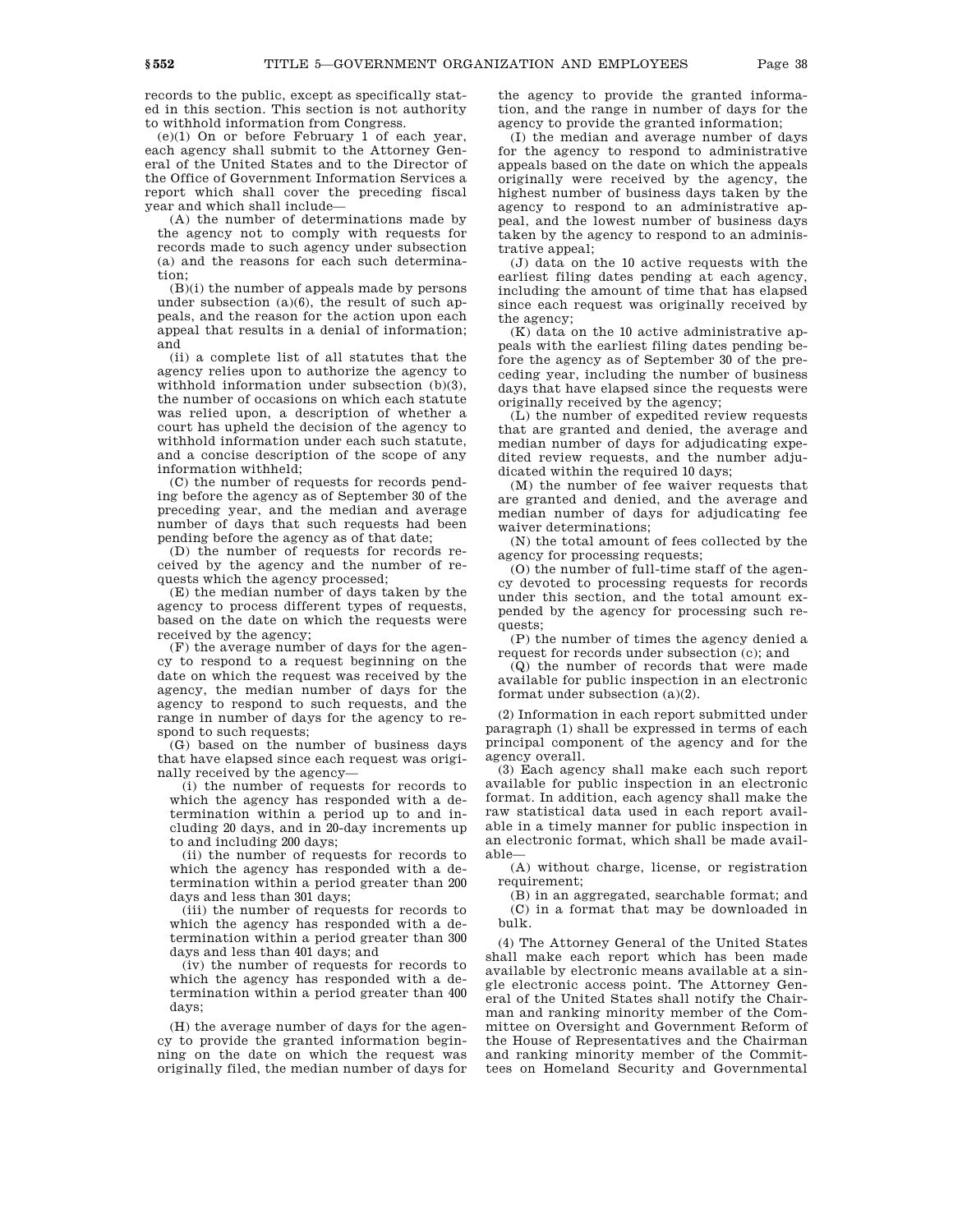records to the public, except as specifically stated in this section. This section is not authority to withhold information from Congress.

(e)(1) On or before February 1 of each year, each agency shall submit to the Attorney General of the United States and to the Director of the Office of Government Information Services a report which shall cover the preceding fiscal year and which shall include—

(A) the number of determinations made by the agency not to comply with requests for records made to such agency under subsection (a) and the reasons for each such determination;

(B)(i) the number of appeals made by persons under subsection  $(a)(6)$ , the result of such appeals, and the reason for the action upon each appeal that results in a denial of information; and

(ii) a complete list of all statutes that the agency relies upon to authorize the agency to withhold information under subsection (b)(3), the number of occasions on which each statute was relied upon, a description of whether a court has upheld the decision of the agency to withhold information under each such statute, and a concise description of the scope of any information withheld;

(C) the number of requests for records pending before the agency as of September 30 of the preceding year, and the median and average number of days that such requests had been pending before the agency as of that date;

(D) the number of requests for records received by the agency and the number of requests which the agency processed;

(E) the median number of days taken by the agency to process different types of requests, based on the date on which the requests were received by the agency;

(F) the average number of days for the agency to respond to a request beginning on the date on which the request was received by the agency, the median number of days for the agency to respond to such requests, and the range in number of days for the agency to respond to such requests:

(G) based on the number of business days that have elapsed since each request was originally received by the agency—

(i) the number of requests for records to which the agency has responded with a determination within a period up to and including 20 days, and in 20-day increments up to and including 200 days;

(ii) the number of requests for records to which the agency has responded with a determination within a period greater than 200 days and less than 301 days;

(iii) the number of requests for records to which the agency has responded with a determination within a period greater than 300 days and less than 401 days; and

(iv) the number of requests for records to which the agency has responded with a determination within a period greater than 400 days;

(H) the average number of days for the agency to provide the granted information beginning on the date on which the request was originally filed, the median number of days for the agency to provide the granted information, and the range in number of days for the agency to provide the granted information;

(I) the median and average number of days for the agency to respond to administrative appeals based on the date on which the appeals originally were received by the agency, the highest number of business days taken by the agency to respond to an administrative appeal, and the lowest number of business days taken by the agency to respond to an administrative appeal;

(J) data on the 10 active requests with the earliest filing dates pending at each agency, including the amount of time that has elapsed since each request was originally received by the agency;

(K) data on the 10 active administrative appeals with the earliest filing dates pending before the agency as of September 30 of the preceding year, including the number of business days that have elapsed since the requests were originally received by the agency;

(L) the number of expedited review requests that are granted and denied, the average and median number of days for adjudicating expedited review requests, and the number adjudicated within the required 10 days;

(M) the number of fee waiver requests that are granted and denied, and the average and median number of days for adjudicating fee waiver determinations;

(N) the total amount of fees collected by the agency for processing requests;

(O) the number of full-time staff of the agency devoted to processing requests for records under this section, and the total amount expended by the agency for processing such requests;

(P) the number of times the agency denied a request for records under subsection (c); and

(Q) the number of records that were made available for public inspection in an electronic format under subsection (a)(2).

(2) Information in each report submitted under paragraph (1) shall be expressed in terms of each principal component of the agency and for the agency overall.

(3) Each agency shall make each such report available for public inspection in an electronic format. In addition, each agency shall make the raw statistical data used in each report available in a timely manner for public inspection in an electronic format, which shall be made available—

(A) without charge, license, or registration requirement;

(B) in an aggregated, searchable format; and (C) in a format that may be downloaded in bulk.

(4) The Attorney General of the United States shall make each report which has been made available by electronic means available at a single electronic access point. The Attorney General of the United States shall notify the Chairman and ranking minority member of the Committee on Oversight and Government Reform of the House of Representatives and the Chairman and ranking minority member of the Committees on Homeland Security and Governmental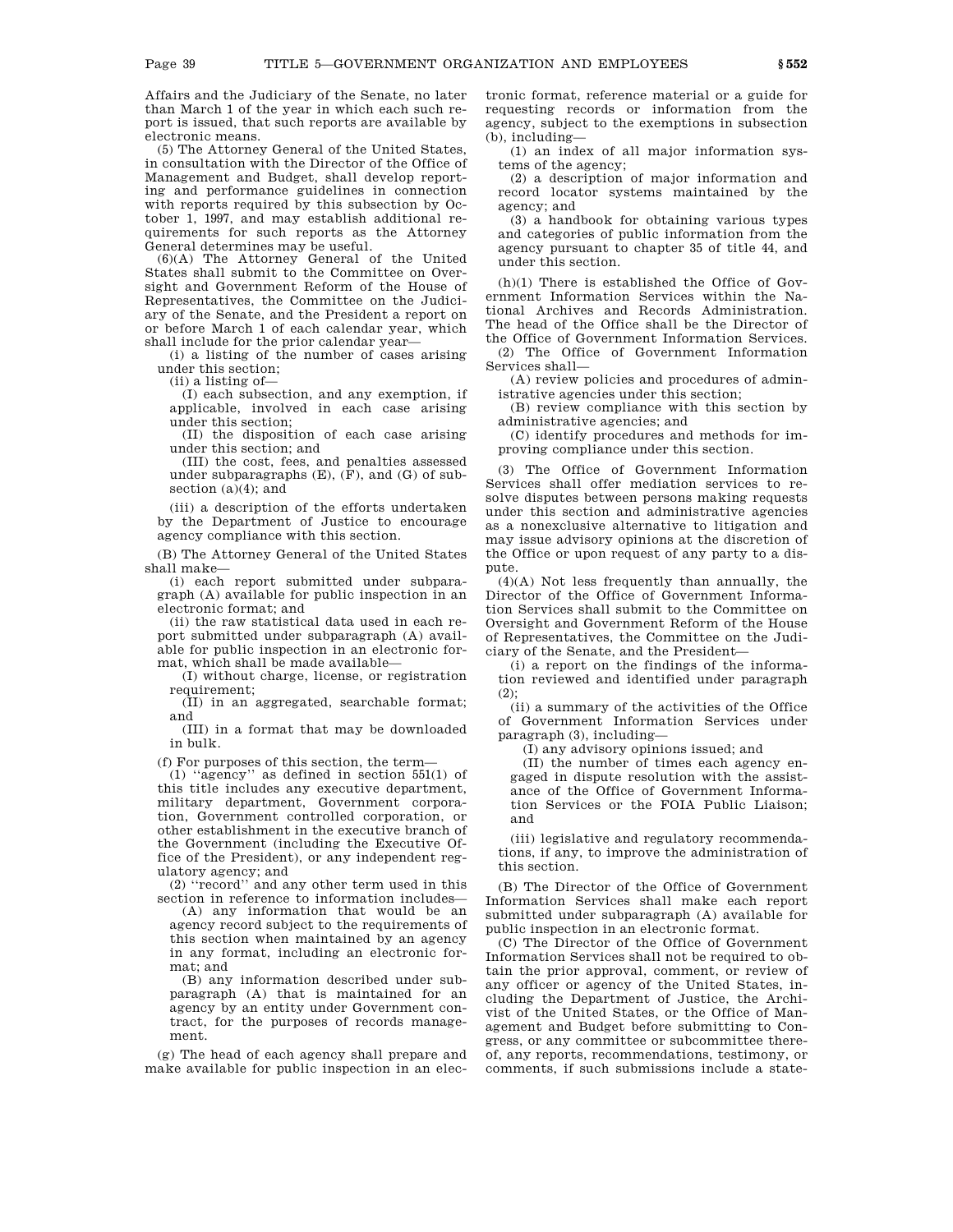Affairs and the Judiciary of the Senate, no later than March 1 of the year in which each such report is issued, that such reports are available by electronic means.

(5) The Attorney General of the United States, in consultation with the Director of the Office of Management and Budget, shall develop reporting and performance guidelines in connection with reports required by this subsection by October 1, 1997, and may establish additional requirements for such reports as the Attorney General determines may be useful.

(6)(A) The Attorney General of the United States shall submit to the Committee on Oversight and Government Reform of the House of Representatives, the Committee on the Judiciary of the Senate, and the President a report on or before March 1 of each calendar year, which shall include for the prior calendar year—

(i) a listing of the number of cases arising under this section;

(ii) a listing of—

(I) each subsection, and any exemption, if applicable, involved in each case arising under this section;

(II) the disposition of each case arising under this section; and

(III) the cost, fees, and penalties assessed under subparagraphs  $(E)$ ,  $(F)$ , and  $(G)$  of subsection (a)(4); and

(iii) a description of the efforts undertaken by the Department of Justice to encourage agency compliance with this section.

(B) The Attorney General of the United States shall make—

(i) each report submitted under subparagraph (A) available for public inspection in an electronic format; and

(ii) the raw statistical data used in each report submitted under subparagraph (A) available for public inspection in an electronic format, which shall be made available—

(I) without charge, license, or registration requirement;

(II) in an aggregated, searchable format; and

(III) in a format that may be downloaded in bulk.

(f) For purposes of this section, the term—

(1) ''agency'' as defined in section 551(1) of this title includes any executive department, military department, Government corporation, Government controlled corporation, or other establishment in the executive branch of the Government (including the Executive Office of the President), or any independent regulatory agency; and

(2) ''record'' and any other term used in this section in reference to information includes—

(A) any information that would be an agency record subject to the requirements of this section when maintained by an agency in any format, including an electronic format; and

(B) any information described under subparagraph (A) that is maintained for an agency by an entity under Government contract, for the purposes of records management.

(g) The head of each agency shall prepare and make available for public inspection in an electronic format, reference material or a guide for requesting records or information from the agency, subject to the exemptions in subsection (b), including—

(1) an index of all major information systems of the agency;

(2) a description of major information and record locator systems maintained by the agency; and

(3) a handbook for obtaining various types and categories of public information from the agency pursuant to chapter 35 of title 44, and under this section.

(h)(1) There is established the Office of Government Information Services within the National Archives and Records Administration. The head of the Office shall be the Director of the Office of Government Information Services.

(2) The Office of Government Information Services shall—

(A) review policies and procedures of administrative agencies under this section;

(B) review compliance with this section by administrative agencies; and

(C) identify procedures and methods for improving compliance under this section.

(3) The Office of Government Information Services shall offer mediation services to resolve disputes between persons making requests under this section and administrative agencies as a nonexclusive alternative to litigation and may issue advisory opinions at the discretion of the Office or upon request of any party to a dispute.

(4)(A) Not less frequently than annually, the Director of the Office of Government Information Services shall submit to the Committee on Oversight and Government Reform of the House of Representatives, the Committee on the Judiciary of the Senate, and the President—

(i) a report on the findings of the information reviewed and identified under paragraph (2);

(ii) a summary of the activities of the Office of Government Information Services under paragraph (3), including—

(I) any advisory opinions issued; and

(II) the number of times each agency engaged in dispute resolution with the assistance of the Office of Government Information Services or the FOIA Public Liaison; and

(iii) legislative and regulatory recommendations, if any, to improve the administration of this section.

(B) The Director of the Office of Government Information Services shall make each report submitted under subparagraph (A) available for public inspection in an electronic format.

(C) The Director of the Office of Government Information Services shall not be required to obtain the prior approval, comment, or review of any officer or agency of the United States, including the Department of Justice, the Archivist of the United States, or the Office of Management and Budget before submitting to Congress, or any committee or subcommittee thereof, any reports, recommendations, testimony, or comments, if such submissions include a state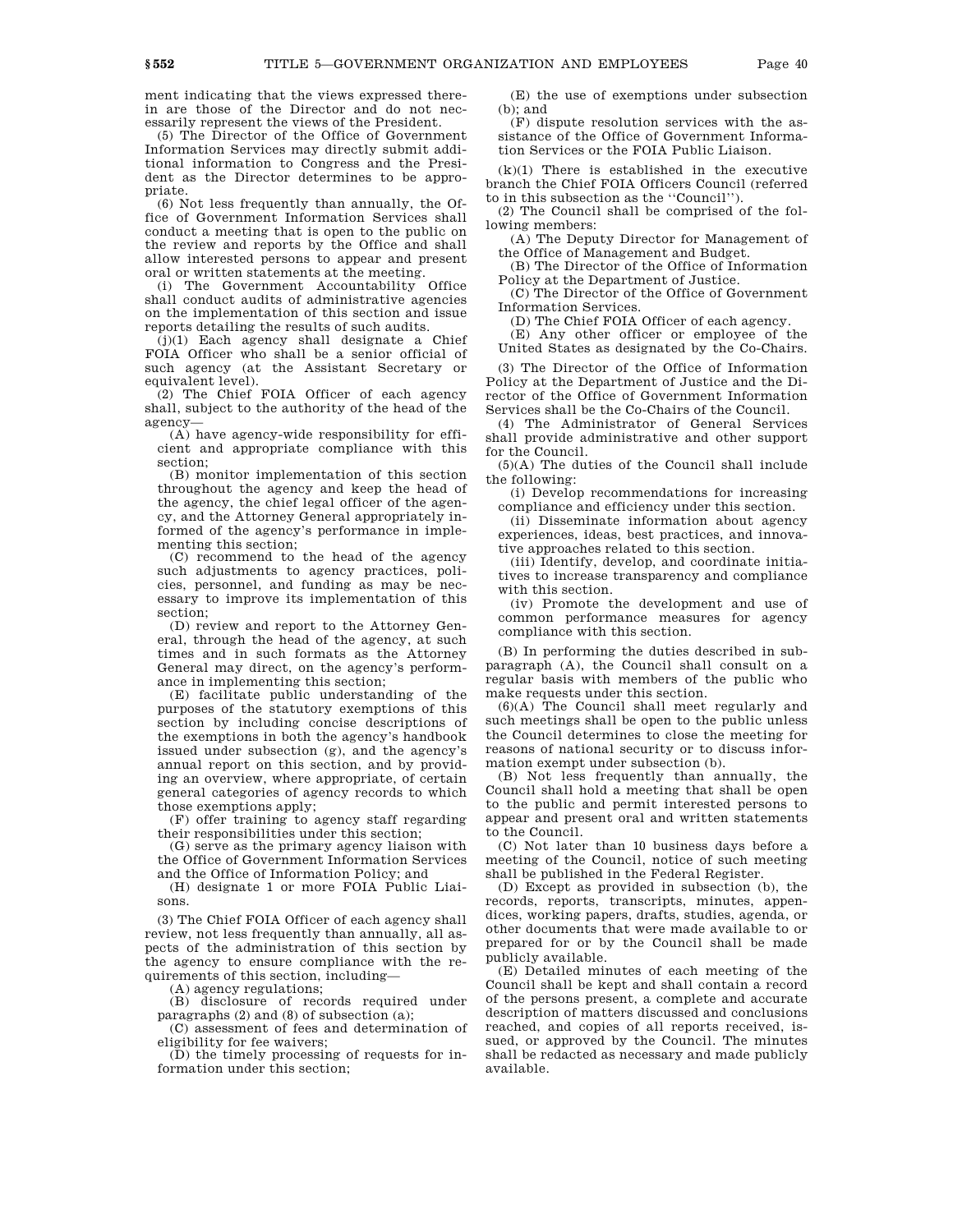ment indicating that the views expressed therein are those of the Director and do not necessarily represent the views of the President.

(5) The Director of the Office of Government Information Services may directly submit additional information to Congress and the President as the Director determines to be appropriate.

(6) Not less frequently than annually, the Office of Government Information Services shall conduct a meeting that is open to the public on the review and reports by the Office and shall allow interested persons to appear and present oral or written statements at the meeting.

(i) The Government Accountability Office shall conduct audits of administrative agencies on the implementation of this section and issue reports detailing the results of such audits.

 $(j)(1)$  Each agency shall designate a Chief FOIA Officer who shall be a senior official of such agency (at the Assistant Secretary or equivalent level).

(2) The Chief FOIA Officer of each agency shall, subject to the authority of the head of the agency—

(A) have agency-wide responsibility for efficient and appropriate compliance with this section;

(B) monitor implementation of this section throughout the agency and keep the head of the agency, the chief legal officer of the agency, and the Attorney General appropriately informed of the agency's performance in implementing this section;

(C) recommend to the head of the agency such adjustments to agency practices, policies, personnel, and funding as may be necessary to improve its implementation of this section;

(D) review and report to the Attorney General, through the head of the agency, at such times and in such formats as the Attorney General may direct, on the agency's performance in implementing this section;

(E) facilitate public understanding of the purposes of the statutory exemptions of this section by including concise descriptions of the exemptions in both the agency's handbook issued under subsection (g), and the agency's annual report on this section, and by providing an overview, where appropriate, of certain general categories of agency records to which those exemptions apply;

(F) offer training to agency staff regarding their responsibilities under this section;

(G) serve as the primary agency liaison with the Office of Government Information Services and the Office of Information Policy; and

(H) designate 1 or more FOIA Public Liaisons.

(3) The Chief FOIA Officer of each agency shall review, not less frequently than annually, all aspects of the administration of this section by the agency to ensure compliance with the requirements of this section, including—

(A) agency regulations;

(B) disclosure of records required under paragraphs (2) and (8) of subsection (a);

(C) assessment of fees and determination of eligibility for fee waivers;

(D) the timely processing of requests for information under this section;

(E) the use of exemptions under subsection (b); and

(F) dispute resolution services with the assistance of the Office of Government Information Services or the FOIA Public Liaison.

 $(k)(1)$  There is established in the executive branch the Chief FOIA Officers Council (referred to in this subsection as the ''Council'').

(2) The Council shall be comprised of the following members:

(A) The Deputy Director for Management of the Office of Management and Budget.

(B) The Director of the Office of Information Policy at the Department of Justice.

(C) The Director of the Office of Government Information Services.

(D) The Chief FOIA Officer of each agency.

(E) Any other officer or employee of the United States as designated by the Co-Chairs.

(3) The Director of the Office of Information Policy at the Department of Justice and the Director of the Office of Government Information Services shall be the Co-Chairs of the Council.

(4) The Administrator of General Services shall provide administrative and other support for the Council.

(5)(A) The duties of the Council shall include the following:

(i) Develop recommendations for increasing compliance and efficiency under this section.

(ii) Disseminate information about agency experiences, ideas, best practices, and innovative approaches related to this section.

(iii) Identify, develop, and coordinate initiatives to increase transparency and compliance with this section.

(iv) Promote the development and use of common performance measures for agency compliance with this section.

(B) In performing the duties described in subparagraph (A), the Council shall consult on a regular basis with members of the public who make requests under this section.

(6)(A) The Council shall meet regularly and such meetings shall be open to the public unless the Council determines to close the meeting for reasons of national security or to discuss information exempt under subsection (b).

(B) Not less frequently than annually, the Council shall hold a meeting that shall be open to the public and permit interested persons to appear and present oral and written statements to the Council.

(C) Not later than 10 business days before a meeting of the Council, notice of such meeting shall be published in the Federal Register.

(D) Except as provided in subsection (b), the records, reports, transcripts, minutes, appendices, working papers, drafts, studies, agenda, or other documents that were made available to or prepared for or by the Council shall be made publicly available.

(E) Detailed minutes of each meeting of the Council shall be kept and shall contain a record of the persons present, a complete and accurate description of matters discussed and conclusions reached, and copies of all reports received, issued, or approved by the Council. The minutes shall be redacted as necessary and made publicly available.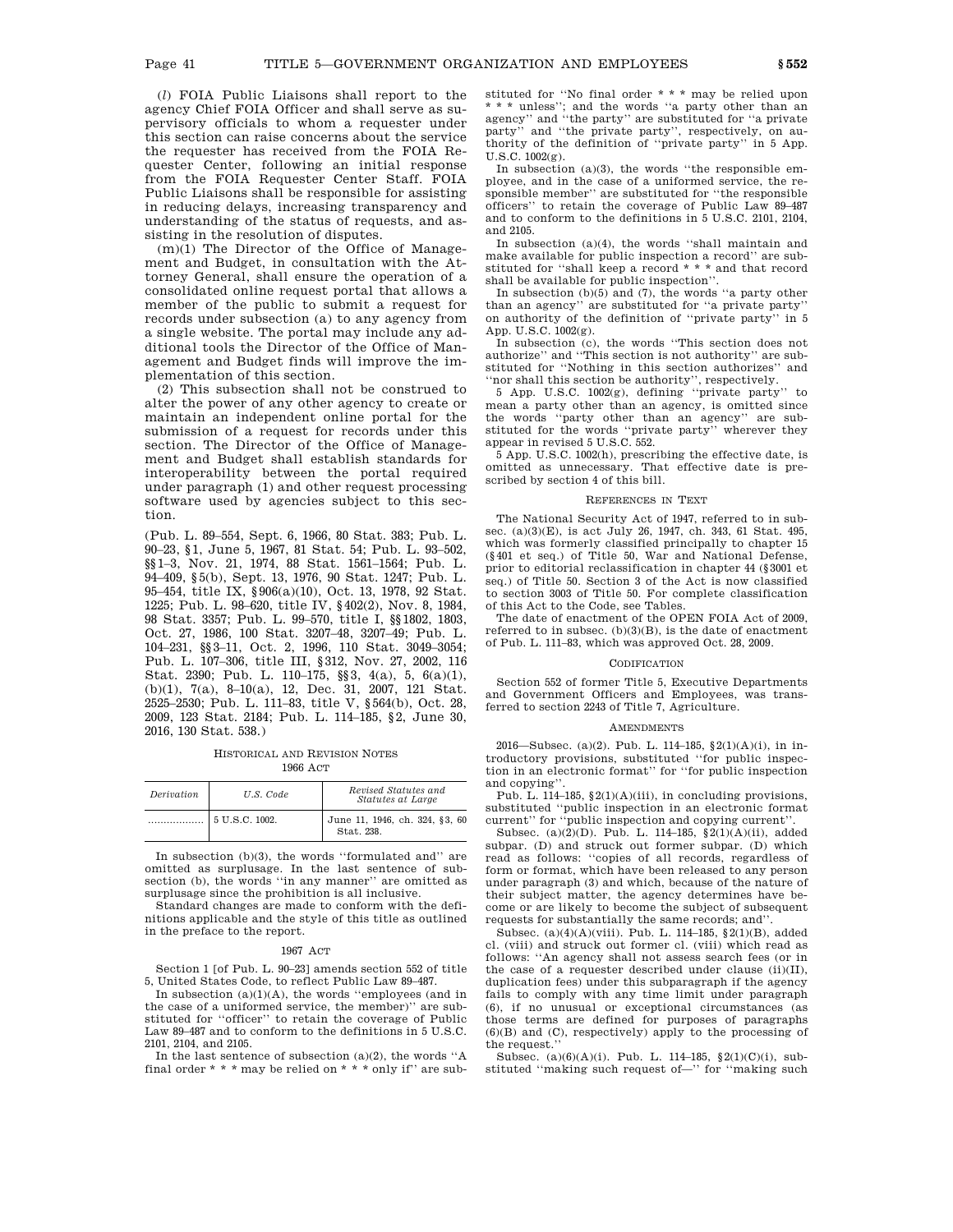(*l*) FOIA Public Liaisons shall report to the agency Chief FOIA Officer and shall serve as supervisory officials to whom a requester under this section can raise concerns about the service the requester has received from the FOIA Requester Center, following an initial response from the FOIA Requester Center Staff. FOIA Public Liaisons shall be responsible for assisting in reducing delays, increasing transparency and understanding of the status of requests, and assisting in the resolution of disputes.

(m)(1) The Director of the Office of Management and Budget, in consultation with the Attorney General, shall ensure the operation of a consolidated online request portal that allows a member of the public to submit a request for records under subsection (a) to any agency from a single website. The portal may include any additional tools the Director of the Office of Management and Budget finds will improve the implementation of this section.

(2) This subsection shall not be construed to alter the power of any other agency to create or maintain an independent online portal for the submission of a request for records under this section. The Director of the Office of Management and Budget shall establish standards for interoperability between the portal required under paragraph (1) and other request processing software used by agencies subject to this section.

(Pub. L. 89–554, Sept. 6, 1966, 80 Stat. 383; Pub. L. 90–23, §1, June 5, 1967, 81 Stat. 54; Pub. L. 93–502, §§1–3, Nov. 21, 1974, 88 Stat. 1561–1564; Pub. L. 94–409, §5(b), Sept. 13, 1976, 90 Stat. 1247; Pub. L. 95–454, title IX, §906(a)(10), Oct. 13, 1978, 92 Stat. 1225; Pub. L. 98–620, title IV, §402(2), Nov. 8, 1984, 98 Stat. 3357; Pub. L. 99–570, title I, §§1802, 1803, Oct. 27, 1986, 100 Stat. 3207–48, 3207–49; Pub. L. 104–231, §§3–11, Oct. 2, 1996, 110 Stat. 3049–3054; Pub. L. 107–306, title III, §312, Nov. 27, 2002, 116 Stat. 2390; Pub. L. 110–175, §§3, 4(a), 5, 6(a)(1), (b)(1), 7(a), 8–10(a), 12, Dec. 31, 2007, 121 Stat. 2525–2530; Pub. L. 111–83, title V, §564(b), Oct. 28, 2009, 123 Stat. 2184; Pub. L. 114–185, §2, June 30, 2016, 130 Stat. 538.)

HISTORICAL AND REVISION NOTES 1966 ACT

| Derivation | U.S. Code      | Revised Statutes and<br>Statutes at Large    |
|------------|----------------|----------------------------------------------|
|            | 5 U.S.C. 1002. | June 11, 1946, ch. 324, §3, 60<br>Stat. 238. |

In subsection (b)(3), the words ''formulated and'' are omitted as surplusage. In the last sentence of subsection (b), the words ''in any manner'' are omitted as surplusage since the prohibition is all inclusive.

Standard changes are made to conform with the definitions applicable and the style of this title as outlined in the preface to the report.

#### 1967 ACT

Section 1 [of Pub. L. 90–23] amends section 552 of title 5, United States Code, to reflect Public Law 89–487.

In subsection  $(a)(1)(A)$ , the words "employees (and in the case of a uniformed service, the member)'' are substituted for ''officer'' to retain the coverage of Public Law 89–487 and to conform to the definitions in 5 U.S.C. 2101, 2104, and 2105.

In the last sentence of subsection  $(a)(2)$ , the words "A final order  $* * *$  may be relied on  $* * *$  only if" are substituted for ''No final order \* \* \* may be relied upon \* \* \* unless''; and the words ''a party other than an agency'' and ''the party'' are substituted for ''a private party'' and ''the private party'', respectively, on authority of the definition of ''private party'' in 5 App. U.S.C. 1002(g).

In subsection  $(a)(3)$ , the words "the responsible employee, and in the case of a uniformed service, the responsible member'' are substituted for ''the responsible officers'' to retain the coverage of Public Law 89–487 and to conform to the definitions in 5 U.S.C. 2101, 2104, and 2105.

In subsection (a)(4), the words ''shall maintain and make available for public inspection a record'' are sub-stituted for ''shall keep a record \* \* \* and that record shall be available for public inspection''.

In subsection (b)(5) and (7), the words ''a party other than an agency'' are substituted for ''a private party'' on authority of the definition of ''private party'' in 5 App. U.S.C. 1002(g).

In subsection (c), the words ''This section does not authorize'' and ''This section is not authority'' are substituted for ''Nothing in this section authorizes'' and ''nor shall this section be authority'', respectively.

5 App. U.S.C. 1002(g), defining ''private party'' to mean a party other than an agency, is omitted since the words ''party other than an agency'' are substituted for the words ''private party'' wherever they appear in revised 5 U.S.C. 552.

5 App. U.S.C. 1002(h), prescribing the effective date, is omitted as unnecessary. That effective date is prescribed by section 4 of this bill.

### REFERENCES IN TEXT

The National Security Act of 1947, referred to in subsec. (a)(3)(E), is act July 26, 1947, ch. 343, 61 Stat. 495, which was formerly classified principally to chapter 15 (§401 et seq.) of Title 50, War and National Defense, prior to editorial reclassification in chapter 44 (§3001 et seq.) of Title 50. Section 3 of the Act is now classified to section 3003 of Title 50. For complete classification of this Act to the Code, see Tables.

The date of enactment of the OPEN FOIA Act of 2009, referred to in subsec. (b)(3)(B), is the date of enactment of Pub. L. 111–83, which was approved Oct. 28, 2009.

#### **CODIFICATION**

Section 552 of former Title 5, Executive Departments and Government Officers and Employees, was transferred to section 2243 of Title 7, Agriculture.

#### **AMENDMENTS**

2016—Subsec. (a)(2). Pub. L. 114–185, §2(1)(A)(i), in introductory provisions, substituted ''for public inspection in an electronic format'' for ''for public inspection and copying''.

Pub. L. 114–185, §2(1)(A)(iii), in concluding provisions, substituted ''public inspection in an electronic format current'' for ''public inspection and copying current''.

Subsec. (a)(2)(D). Pub. L. 114–185, §2(1)(A)(ii), added subpar. (D) and struck out former subpar. (D) which read as follows: ''copies of all records, regardless of form or format, which have been released to any person under paragraph (3) and which, because of the nature of their subject matter, the agency determines have become or are likely to become the subject of subsequent requests for substantially the same records; and''.

Subsec. (a)(4)(A)(viii). Pub. L. 114–185, §2(1)(B), added cl. (viii) and struck out former cl. (viii) which read as follows: ''An agency shall not assess search fees (or in the case of a requester described under clause  $(ii)(II)$ , duplication fees) under this subparagraph if the agency fails to comply with any time limit under paragraph (6), if no unusual or exceptional circumstances (as those terms are defined for purposes of paragraphs (6)(B) and (C), respectively) apply to the processing of the request.''

Subsec. (a)(6)(A)(i). Pub. L. 114–185, §2(1)(C)(i), substituted ''making such request of—'' for ''making such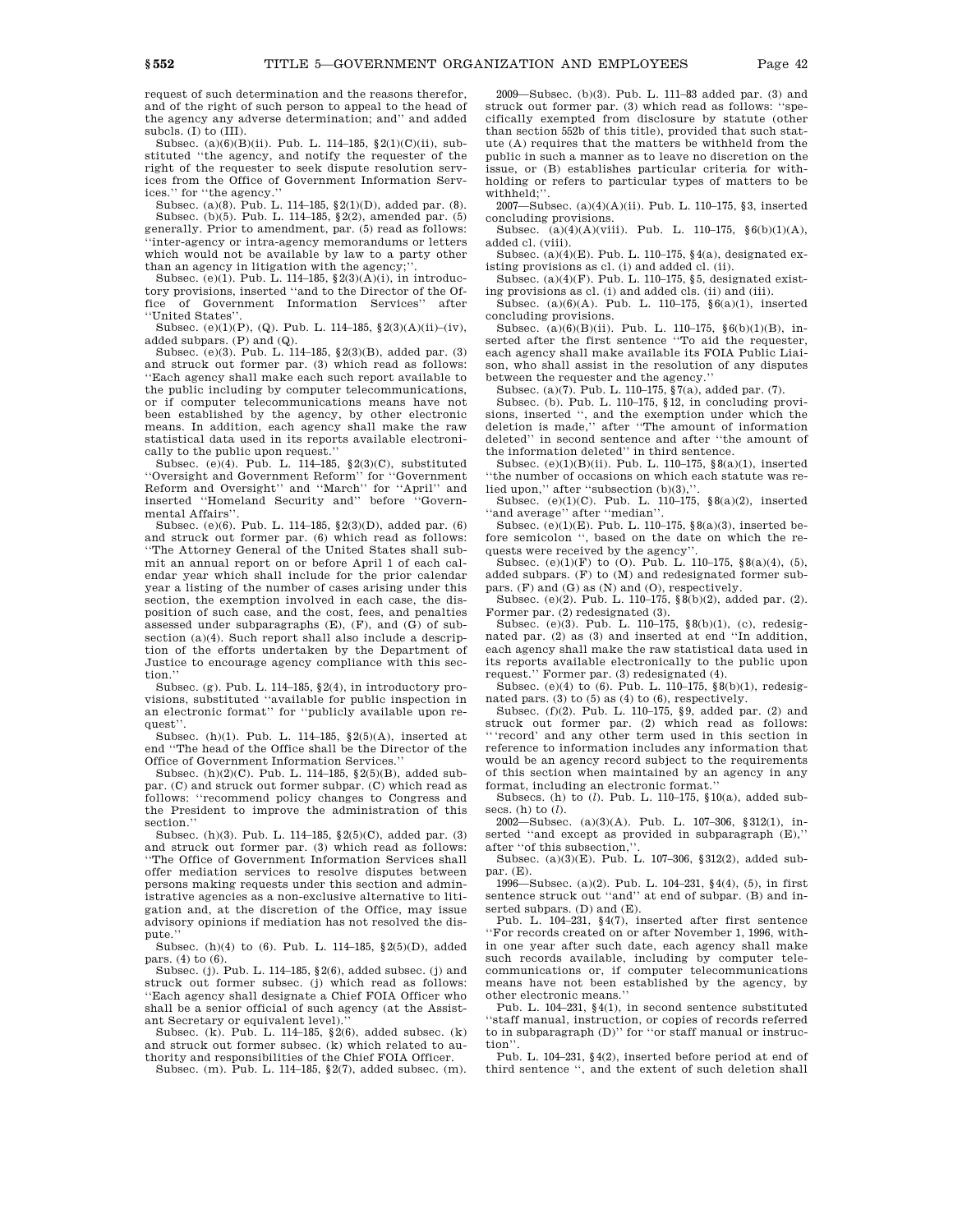request of such determination and the reasons therefor, and of the right of such person to appeal to the head of the agency any adverse determination; and'' and added subcls. (I) to (III).

Subsec. (a)(6)(B)(ii). Pub. L. 114-185, §2(1)(C)(ii), substituted ''the agency, and notify the requester of the right of the requester to seek dispute resolution services from the Office of Government Information Services.'' for ''the agency.''

Subsec. (a)(8). Pub. L. 114–185, §2(1)(D), added par. (8). Subsec. (b)(5). Pub. L. 114–185, §2(2), amended par. (5) generally. Prior to amendment, par. (5) read as follows: 'inter-agency or intra-agency memorandums or letters which would not be available by law to a party other than an agency in litigation with the agency;

Subsec. (e)(1). Pub. L. 114–185, §2(3)(A)(i), in introductory provisions, inserted ''and to the Director of the Office of Government Information Services'' after ''United States''.

Subsec. (e)(1)(P), (Q). Pub. L. 114–185, §2(3)(A)(ii)–(iv), added subpars. (P) and (Q).

Subsec. (e)(3). Pub. L. 114–185, §2(3)(B), added par. (3) and struck out former par. (3) which read as follows: ''Each agency shall make each such report available to the public including by computer telecommunications, or if computer telecommunications means have not been established by the agency, by other electronic means. In addition, each agency shall make the raw statistical data used in its reports available electronically to the public upon request.''

Subsec. (e)(4). Pub. L. 114–185, §2(3)(C), substituted ''Oversight and Government Reform'' for ''Government Reform and Oversight'' and ''March'' for ''April'' and inserted ''Homeland Security and'' before ''Governmental Affairs''.

Subsec. (e)(6). Pub. L. 114–185, §2(3)(D), added par. (6) and struck out former par. (6) which read as follows: ''The Attorney General of the United States shall submit an annual report on or before April 1 of each calendar year which shall include for the prior calendar year a listing of the number of cases arising under this section, the exemption involved in each case, the disposition of such case, and the cost, fees, and penalties assessed under subparagraphs  $(E)$ ,  $(F)$ , and  $(G)$  of subsection (a)(4). Such report shall also include a description of the efforts undertaken by the Department of Justice to encourage agency compliance with this section.''

Subsec. (g). Pub. L. 114–185, §2(4), in introductory provisions, substituted ''available for public inspection in an electronic format'' for ''publicly available upon request''.

Subsec. (h)(1). Pub. L. 114–185, §2(5)(A), inserted at end ''The head of the Office shall be the Director of the Office of Government Information Services.''

Subsec. (h)(2)(C). Pub. L. 114–185, §2(5)(B), added subpar. (C) and struck out former subpar. (C) which read as follows: ''recommend policy changes to Congress and the President to improve the administration of this section.''

Subsec. (h)(3). Pub. L. 114–185, §2(5)(C), added par. (3) and struck out former par. (3) which read as follows: ''The Office of Government Information Services shall offer mediation services to resolve disputes between persons making requests under this section and administrative agencies as a non-exclusive alternative to litigation and, at the discretion of the Office, may issue advisory opinions if mediation has not resolved the dispute.''

Subsec. (h)(4) to (6). Pub. L. 114–185, §2(5)(D), added pars. (4) to (6).

Subsec. (j). Pub. L. 114–185, §2(6), added subsec. (j) and struck out former subsec. (j) which read as follows: ''Each agency shall designate a Chief FOIA Officer who shall be a senior official of such agency (at the Assistant Secretary or equivalent level).''

Subsec. (k). Pub. L. 114–185, §2(6), added subsec. (k) and struck out former subsec. (k) which related to authority and responsibilities of the Chief FOIA Officer.

Subsec. (m). Pub. L. 114–185, §2(7), added subsec. (m).

2009—Subsec. (b)(3). Pub. L. 111–83 added par. (3) and struck out former par. (3) which read as follows: ''specifically exempted from disclosure by statute (other than section 552b of this title), provided that such statute (A) requires that the matters be withheld from the public in such a manner as to leave no discretion on the issue, or (B) establishes particular criteria for withholding or refers to particular types of matters to be withheld;''.

2007—Subsec. (a)(4)(A)(ii). Pub. L. 110–175, §3, inserted concluding provisions.

Subsec.  $(a)(4)(A)(viii)$ . Pub. L. 110-175,  $§6(b)(1)(A)$ , added cl. (viii).

Subsec.  $(a)(4)(E)$ . Pub. L. 110–175, §4(a), designated existing provisions as cl. (i) and added cl. (ii).

Subsec.  $(a)(4)(F)$ . Pub. L. 110-175, §5, designated existing provisions as cl. (i) and added cls. (ii) and (iii).

Subsec. (a)(6)(A). Pub. L. 110-175,  $§ 6(a)(1)$ , inserted concluding provisions.

Subsec. (a)(6)(B)(ii). Pub. L. 110–175, §6(b)(1)(B), inserted after the first sentence ''To aid the requester, each agency shall make available its FOIA Public Liaison, who shall assist in the resolution of any disputes between the requester and the agency.''

Subsec. (a)(7). Pub. L. 110–175, §7(a), added par. (7).

Subsec. (b). Pub. L. 110-175, §12, in concluding provisions, inserted '', and the exemption under which the deletion is made,'' after ''The amount of information deleted'' in second sentence and after ''the amount of the information deleted'' in third sentence.

Subsec. (e)(1)(B)(ii). Pub. L. 110–175, §8(a)(1), inserted ''the number of occasions on which each statute was relied upon," after "subsection (b)(3),"

Subsec. (e)(1)(C). Pub. L. 110–175, §8(a)(2), inserted ''and average'' after ''median''.

Subsec. (e)(1)(E). Pub. L. 110–175, §8(a)(3), inserted before semicolon '', based on the date on which the requests were received by the agency''.

Subsec. (e)(1)(F) to (O). Pub. L. 110–175,  $\S 8(a)(4)$ , (5), added subpars. (F) to (M) and redesignated former subpars. (F) and (G) as (N) and (O), respectively.

Subsec. (e)(2). Pub. L. 110–175, §8(b)(2), added par. (2). Former par. (2) redesignated (3).

Subsec. (e)(3). Pub. L. 110–175, §8(b)(1), (c), redesignated par. (2) as (3) and inserted at end ''In addition, each agency shall make the raw statistical data used in its reports available electronically to the public upon request.'' Former par. (3) redesignated (4).

Subsec. (e)(4) to (6). Pub. L. 110–175, §8(b)(1), redesignated pars. (3) to  $(5)$  as  $(4)$  to  $(6)$ , respectively.

Subsec. (f)(2). Pub. L. 110–175, §9, added par. (2) and struck out former par. (2) which read as follows: '''record' and any other term used in this section in

reference to information includes any information that would be an agency record subject to the requirements of this section when maintained by an agency in any format, including an electronic format.''

Subsecs. (h) to (*l*). Pub. L. 110–175, §10(a), added subsecs. (h) to (*l*).

2002—Subsec. (a)(3)(A). Pub. L. 107–306, §312(1), inserted ''and except as provided in subparagraph (E),'' after "of this subsection,

Subsec. (a)(3)(E). Pub. L. 107–306, §312(2), added subpar. (E).

1996—Subsec. (a)(2). Pub. L. 104–231, §4(4), (5), in first sentence struck out "and" at end of subpar. (B) and inserted subpars. (D) and (E).

Pub. L. 104–231, §4(7), inserted after first sentence ''For records created on or after November 1, 1996, within one year after such date, each agency shall make such records available, including by computer telecommunications or, if computer telecommunications means have not been established by the agency, by other electronic means.''

Pub. L. 104–231, §4(1), in second sentence substituted ''staff manual, instruction, or copies of records referred to in subparagraph (D)'' for ''or staff manual or instruction'

Pub. L. 104–231, §4(2), inserted before period at end of third sentence '', and the extent of such deletion shall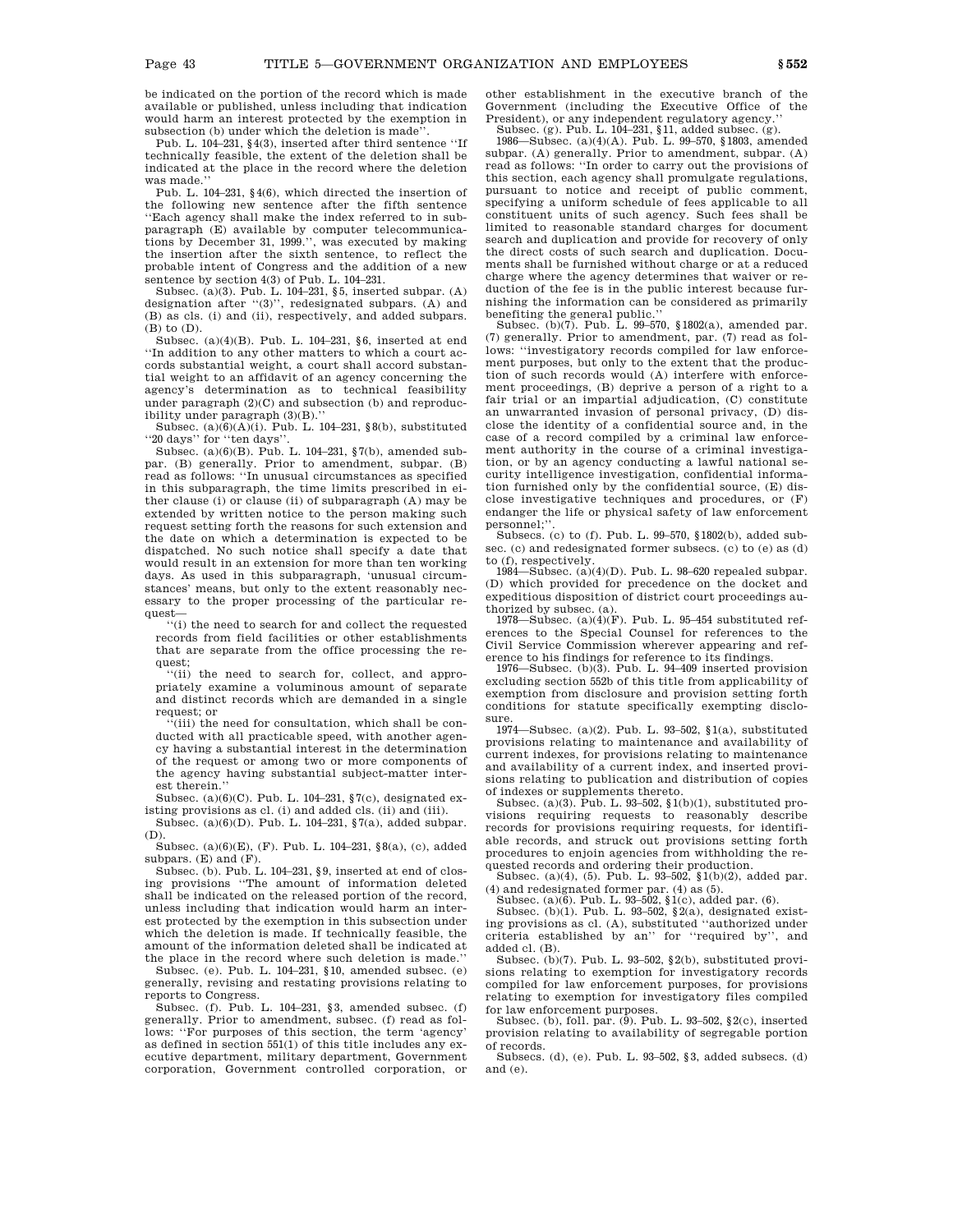be indicated on the portion of the record which is made available or published, unless including that indication would harm an interest protected by the exemption in subsection (b) under which the deletion is made'

Pub. L. 104–231, §4(3), inserted after third sentence ''If technically feasible, the extent of the deletion shall be indicated at the place in the record where the deletion was made.''

Pub. L. 104–231, §4(6), which directed the insertion of the following new sentence after the fifth sentence ''Each agency shall make the index referred to in subparagraph (E) available by computer telecommunications by December 31, 1999.'', was executed by making the insertion after the sixth sentence, to reflect the probable intent of Congress and the addition of a new sentence by section  $4(3)$  of Pub. L. 104–231.

Subsec. (a)(3). Pub. L. 104–231, §5, inserted subpar. (A) designation after "(3)", redesignated subpars. (A) and (B) as cls. (i) and (ii), respectively, and added subpars. (B) to (D).

Subsec. (a)(4)(B). Pub. L. 104–231, §6, inserted at end ''In addition to any other matters to which a court accords substantial weight, a court shall accord substantial weight to an affidavit of an agency concerning the agency's determination as to technical feasibility under paragraph (2)(C) and subsection (b) and reproducibility under paragraph (3)(B).''

Subsec.  $(a)(6)(A)(i)$ . Pub. L. 104–231, §8(b), substituted "20 days" for "ten days".

Subsec. (a)(6)(B). Pub. L. 104–231, §7(b), amended subpar. (B) generally. Prior to amendment, subpar. (B) read as follows: ''In unusual circumstances as specified in this subparagraph, the time limits prescribed in either clause (i) or clause (ii) of subparagraph (A) may be extended by written notice to the person making such request setting forth the reasons for such extension and the date on which a determination is expected to be dispatched. No such notice shall specify a date that would result in an extension for more than ten working days. As used in this subparagraph, 'unusual circumstances' means, but only to the extent reasonably necessary to the proper processing of the particular request—

''(i) the need to search for and collect the requested records from field facilities or other establishments that are separate from the office processing the request;

''(ii) the need to search for, collect, and appropriately examine a voluminous amount of separate and distinct records which are demanded in a single request; or

''(iii) the need for consultation, which shall be conducted with all practicable speed, with another agency having a substantial interest in the determination of the request or among two or more components of the agency having substantial subject-matter interest therein.

Subsec. (a)(6)(C). Pub. L. 104–231,  $\S7(c)$ , designated existing provisions as cl. (i) and added cls. (ii) and (iii).

Subsec. (a)(6)(D). Pub. L. 104–231, §7(a), added subpar. (D).

Subsec. (a)(6)(E), (F). Pub. L. 104–231, §8(a), (c), added subpars.  $(E)$  and  $(F)$ .

Subsec. (b). Pub. L. 104–231, §9, inserted at end of closing provisions ''The amount of information deleted shall be indicated on the released portion of the record, unless including that indication would harm an interest protected by the exemption in this subsection under which the deletion is made. If technically feasible, the amount of the information deleted shall be indicated at the place in the record where such deletion is made.''

Subsec. (e). Pub. L. 104–231, §10, amended subsec. (e) generally, revising and restating provisions relating to reports to Congress.

Subsec. (f). Pub. L. 104–231, §3, amended subsec. (f) generally. Prior to amendment, subsec. (f) read as follows: ''For purposes of this section, the term 'agency' as defined in section 551(1) of this title includes any executive department, military department, Government corporation, Government controlled corporation, or other establishment in the executive branch of the Government (including the Executive Office of the President), or any independent regulatory agency.

Subsec. (g). Pub. L. 104–231, §11, added subsec. (g). 1986—Subsec. (a)(4)(A). Pub. L. 99–570, §1803, amended subpar. (A) generally. Prior to amendment, subpar. (A) read as follows: ''In order to carry out the provisions of this section, each agency shall promulgate regulations, pursuant to notice and receipt of public comment, specifying a uniform schedule of fees applicable to all constituent units of such agency. Such fees shall be limited to reasonable standard charges for document search and duplication and provide for recovery of only the direct costs of such search and duplication. Documents shall be furnished without charge or at a reduced charge where the agency determines that waiver or reduction of the fee is in the public interest because furnishing the information can be considered as primarily

benefiting the general public.'' Subsec. (b)(7). Pub. L. 99–570, §1802(a), amended par. (7) generally. Prior to amendment, par. (7) read as follows: ''investigatory records compiled for law enforcement purposes, but only to the extent that the production of such records would (A) interfere with enforcement proceedings, (B) deprive a person of a right to a fair trial or an impartial adjudication, (C) constitute an unwarranted invasion of personal privacy, (D) disclose the identity of a confidential source and, in the case of a record compiled by a criminal law enforcement authority in the course of a criminal investigation, or by an agency conducting a lawful national security intelligence investigation, confidential information furnished only by the confidential source, (E) disclose investigative techniques and procedures, or (F) endanger the life or physical safety of law enforcement personnel;'

Subsecs. (c) to (f). Pub. L. 99–570, §1802(b), added subsec. (c) and redesignated former subsecs. (c) to (e) as (d)

to (f), respectively. 1984—Subsec. (a)(4)(D). Pub. L. 98–620 repealed subpar. (D) which provided for precedence on the docket and expeditious disposition of district court proceedings authorized by subsec. (a).

1978—Subsec.  $(a)(4)(F)$ . Pub. L. 95–454 substituted references to the Special Counsel for references to the Civil Service Commission wherever appearing and reference to his findings for reference to its findings.

1976—Subsec.  $(b)(\bar{3})$ . Pub. L. 94–409 inserted provision excluding section 552b of this title from applicability of exemption from disclosure and provision setting forth conditions for statute specifically exempting disclosure.

1974—Subsec. (a)(2). Pub. L. 93–502, §1(a), substituted provisions relating to maintenance and availability of current indexes, for provisions relating to maintenance and availability of a current index, and inserted provisions relating to publication and distribution of copies of indexes or supplements thereto.

Subsec. (a)(3). Pub. L. 93–502, §1(b)(1), substituted provisions requiring requests to reasonably describe records for provisions requiring requests, for identifiable records, and struck out provisions setting forth procedures to enjoin agencies from withholding the requested records and ordering their production.

Subsec. (a)(4), (5). Pub. L. 93–502, §1(b)(2), added par. (4) and redesignated former par. (4) as (5). Subsec. (a)(6). Pub. L. 93–502, §1(c), added par. (6).

Subsec. (b)(1). Pub. L. 93-502,  $\S2(a)$ , designated existing provisions as cl. (A), substituted ''authorized under criteria established by an'' for ''required by'', and added cl. (B).

Subsec. (b)(7). Pub. L. 93–502, §2(b), substituted provisions relating to exemption for investigatory records compiled for law enforcement purposes, for provisions relating to exemption for investigatory files compiled

for law enforcement purposes. Subsec. (b), foll. par. (9). Pub. L. 93–502, §2(c), inserted provision relating to availability of segregable portion of records.

Subsecs. (d), (e). Pub. L. 93–502, §3, added subsecs. (d) and (e).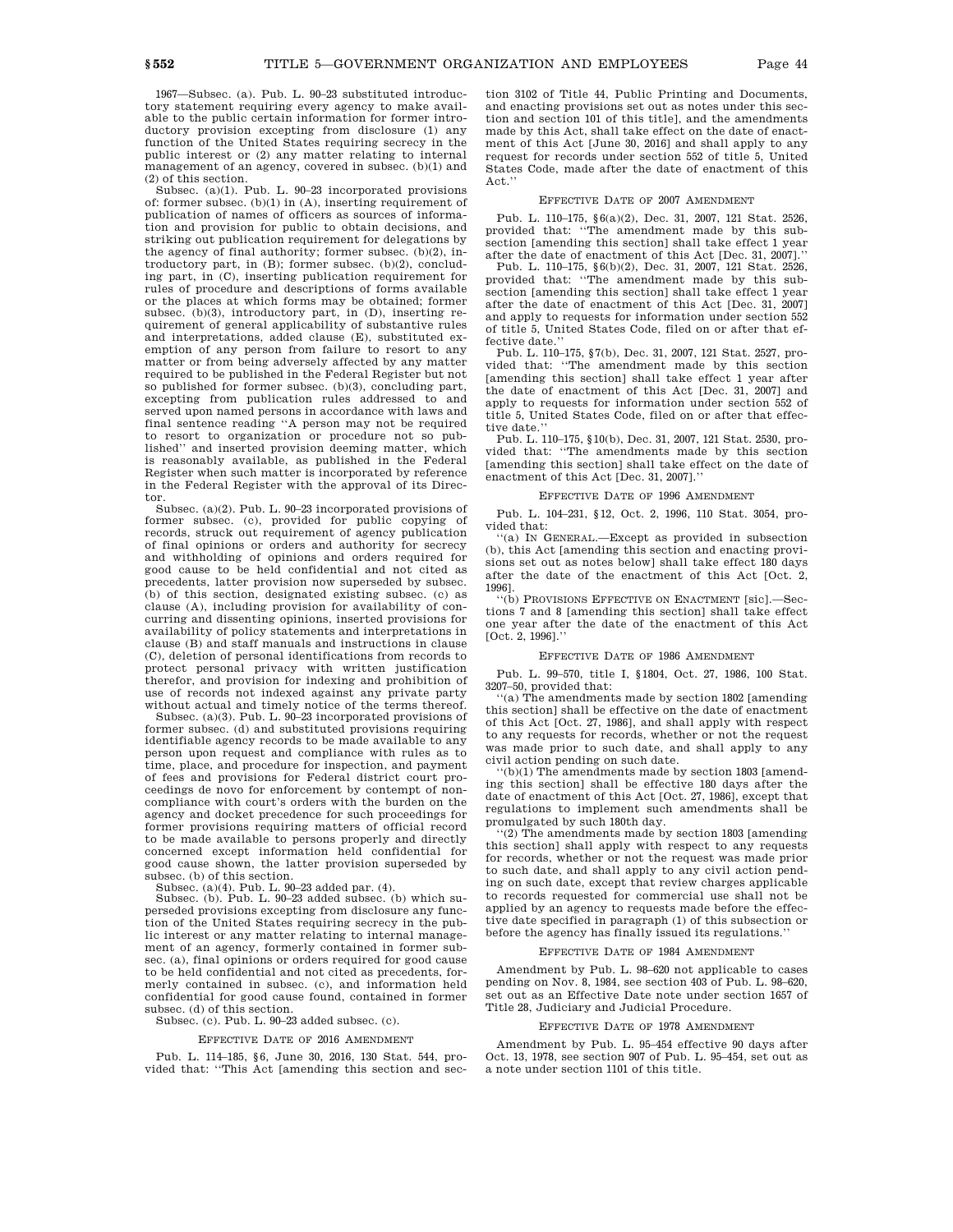1967—Subsec. (a). Pub. L. 90–23 substituted introductory statement requiring every agency to make available to the public certain information for former introductory provision excepting from disclosure (1) any function of the United States requiring secrecy in the public interest or (2) any matter relating to internal management of an agency, covered in subsec. (b)(1) and

(2) of this section. Subsec. (a)(1). Pub. L. 90–23 incorporated provisions of: former subsec. (b)(1) in (A), inserting requirement of publication of names of officers as sources of information and provision for public to obtain decisions, and striking out publication requirement for delegations by the agency of final authority; former subsec. (b)(2), introductory part, in (B); former subsec. (b)(2), concluding part, in (C), inserting publication requirement for rules of procedure and descriptions of forms available or the places at which forms may be obtained; former subsec. (b)(3), introductory part, in (D), inserting re-quirement of general applicability of substantive rules and interpretations, added clause (E), substituted exemption of any person from failure to resort to any matter or from being adversely affected by any matter required to be published in the Federal Register but not so published for former subsec. (b)(3), concluding part, excepting from publication rules addressed to and served upon named persons in accordance with laws and final sentence reading ''A person may not be required to resort to organization or procedure not so published'' and inserted provision deeming matter, which is reasonably available, as published in the Federal Register when such matter is incorporated by reference in the Federal Register with the approval of its Director.

Subsec. (a)(2). Pub. L. 90–23 incorporated provisions of former subsec. (c), provided for public copying of records, struck out requirement of agency publication of final opinions or orders and authority for secrecy and withholding of opinions and orders required for good cause to be held confidential and not cited as precedents, latter provision now superseded by subsec. (b) of this section, designated existing subsec. (c) as clause (A), including provision for availability of concurring and dissenting opinions, inserted provisions for availability of policy statements and interpretations in clause (B) and staff manuals and instructions in clause (C), deletion of personal identifications from records to protect personal privacy with written justification therefor, and provision for indexing and prohibition of use of records not indexed against any private party

without actual and timely notice of the terms thereof. Subsec. (a)(3). Pub. L. 90–23 incorporated provisions of former subsec. (d) and substituted provisions requiring identifiable agency records to be made available to any person upon request and compliance with rules as to time, place, and procedure for inspection, and payment of fees and provisions for Federal district court proceedings de novo for enforcement by contempt of noncompliance with court's orders with the burden on the agency and docket precedence for such proceedings for former provisions requiring matters of official record to be made available to persons properly and directly concerned except information held confidential for good cause shown, the latter provision superseded by subsec. (b) of this section.

Subsec.  $(a)(4)$ . Pub. L. 90–23 added par.  $(4)$ .

Subsec. (b). Pub. L. 90–23 added subsec. (b) which superseded provisions excepting from disclosure any function of the United States requiring secrecy in the public interest or any matter relating to internal management of an agency, formerly contained in former subsec. (a), final opinions or orders required for good cause to be held confidential and not cited as precedents, formerly contained in subsec. (c), and information held confidential for good cause found, contained in former subsec. (d) of this section.

Subsec. (c). Pub. L. 90–23 added subsec. (c).

#### EFFECTIVE DATE OF 2016 AMENDMENT

Pub. L. 114–185, §6, June 30, 2016, 130 Stat. 544, provided that: ''This Act [amending this section and section 3102 of Title 44, Public Printing and Documents, and enacting provisions set out as notes under this section and section 101 of this title], and the amendments made by this Act, shall take effect on the date of enactment of this Act [June 30, 2016] and shall apply to any request for records under section 552 of title 5, United States Code, made after the date of enactment of this Act.'

## EFFECTIVE DATE OF 2007 AMENDMENT

Pub. L. 110–175, §6(a)(2), Dec. 31, 2007, 121 Stat. 2526, provided that: ''The amendment made by this subsection [amending this section] shall take effect 1 year after the date of enactment of this Act [Dec. 31, 2007].''

Pub. L. 110–175, §6(b)(2), Dec. 31, 2007, 121 Stat. 2526, provided that: ''The amendment made by this subsection [amending this section] shall take effect 1 year after the date of enactment of this Act [Dec. 31, 2007] and apply to requests for information under section 552 of title 5, United States Code, filed on or after that effective date.''

Pub. L. 110–175, §7(b), Dec. 31, 2007, 121 Stat. 2527, provided that: ''The amendment made by this section [amending this section] shall take effect 1 year after the date of enactment of this Act [Dec. 31, 2007] and apply to requests for information under section 552 of title 5, United States Code, filed on or after that effective date.''

Pub. L. 110–175, §10(b), Dec. 31, 2007, 121 Stat. 2530, provided that: ''The amendments made by this section [amending this section] shall take effect on the date of enactment of this Act [Dec. 31, 2007].''

#### EFFECTIVE DATE OF 1996 AMENDMENT

Pub. L. 104–231, §12, Oct. 2, 1996, 110 Stat. 3054, provided that:

''(a) IN GENERAL.—Except as provided in subsection (b), this Act [amending this section and enacting provisions set out as notes below] shall take effect 180 days after the date of the enactment of this Act [Oct. 2, 1996].

''(b) PROVISIONS EFFECTIVE ON ENACTMENT [sic].—Sections 7 and 8 [amending this section] shall take effect one year after the date of the enactment of this Act [Oct. 2, 1996].''

### EFFECTIVE DATE OF 1986 AMENDMENT

Pub. L. 99–570, title I, §1804, Oct. 27, 1986, 100 Stat. 3207–50, provided that:

''(a) The amendments made by section 1802 [amending this section] shall be effective on the date of enactment of this Act [Oct. 27, 1986], and shall apply with respect to any requests for records, whether or not the request was made prior to such date, and shall apply to any civil action pending on such date.

 $'(b)(1)$  The amendments made by section 1803 [amending this section] shall be effective 180 days after the date of enactment of this Act [Oct. 27, 1986], except that regulations to implement such amendments shall be promulgated by such 180th day.

'(2) The amendments made by section 1803 [amending this section] shall apply with respect to any requests for records, whether or not the request was made prior to such date, and shall apply to any civil action pending on such date, except that review charges applicable to records requested for commercial use shall not be applied by an agency to requests made before the effective date specified in paragraph (1) of this subsection or before the agency has finally issued its regulations.''

### EFFECTIVE DATE OF 1984 AMENDMENT

Amendment by Pub. L. 98–620 not applicable to cases pending on Nov. 8, 1984, see section 403 of Pub. L. 98–620, set out as an Effective Date note under section 1657 of Title 28, Judiciary and Judicial Procedure.

#### EFFECTIVE DATE OF 1978 AMENDMENT

Amendment by Pub. L. 95–454 effective 90 days after Oct. 13, 1978, see section 907 of Pub. L. 95–454, set out as a note under section 1101 of this title.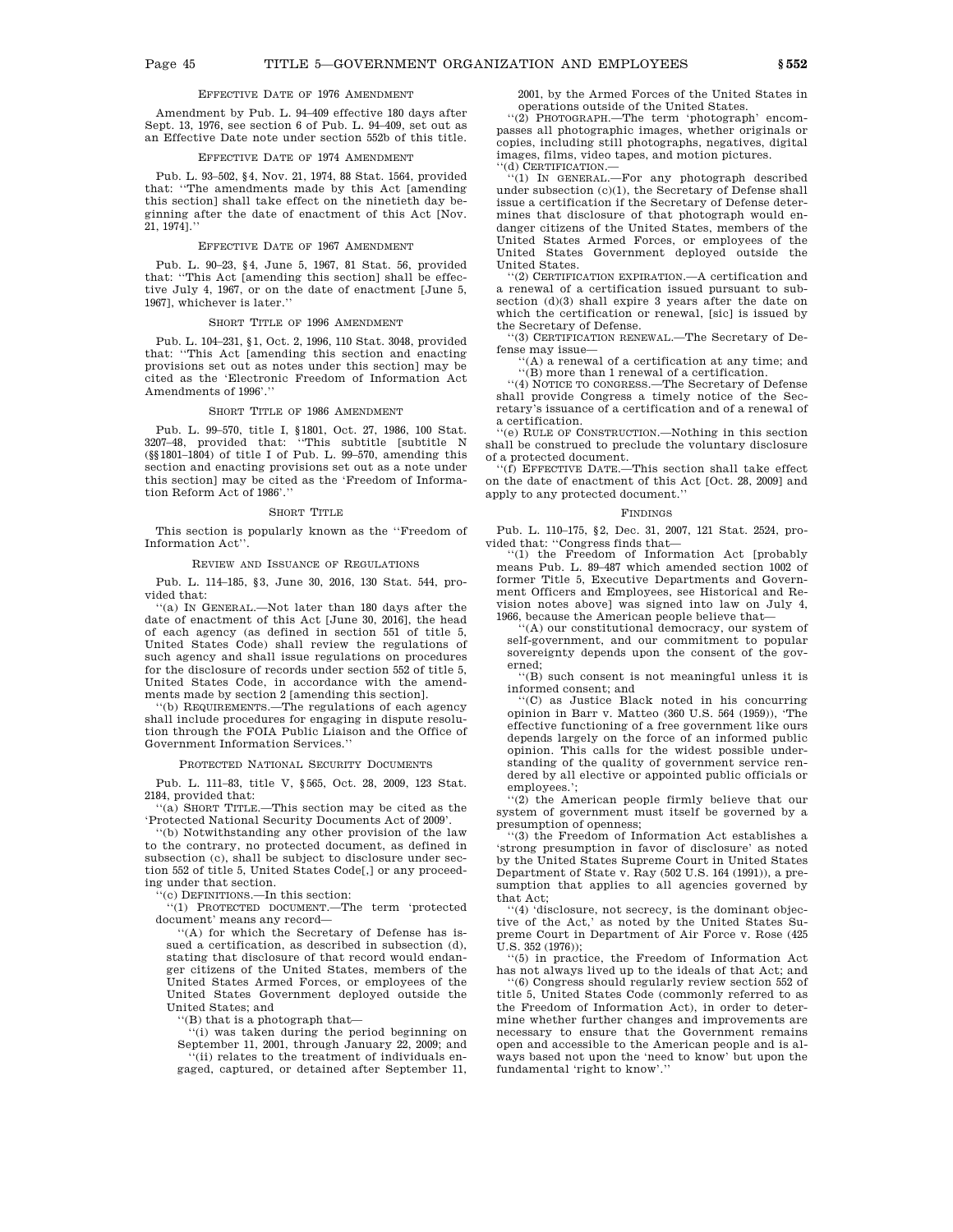### EFFECTIVE DATE OF 1976 AMENDMENT

Amendment by Pub. L. 94–409 effective 180 days after Sept. 13, 1976, see section 6 of Pub. L. 94–409, set out as an Effective Date note under section 552b of this title.

### EFFECTIVE DATE OF 1974 AMENDMENT

Pub. L. 93–502, §4, Nov. 21, 1974, 88 Stat. 1564, provided that: ''The amendments made by this Act [amending this section] shall take effect on the ninetieth day beginning after the date of enactment of this Act [Nov. 21, 1974].''

## EFFECTIVE DATE OF 1967 AMENDMENT

Pub. L. 90–23, §4, June 5, 1967, 81 Stat. 56, provided that: ''This Act [amending this section] shall be effective July 4, 1967, or on the date of enactment [June 5, 1967], whichever is later.''

## SHORT TITLE OF 1996 AMENDMENT

Pub. L. 104–231, §1, Oct. 2, 1996, 110 Stat. 3048, provided that: ''This Act [amending this section and enacting provisions set out as notes under this section] may be cited as the 'Electronic Freedom of Information Act Amendments of 1996'.''

## SHORT TITLE OF 1986 AMENDMENT

Pub. L. 99–570, title I, §1801, Oct. 27, 1986, 100 Stat. 3207–48, provided that: ''This subtitle [subtitle N  $(S_{\$}1801-1804)$  of title I of Pub. L. 99-570, amending this section and enacting provisions set out as a note under this section] may be cited as the 'Freedom of Information Reform Act of 1986'.''

## SHORT TITLE

This section is popularly known as the ''Freedom of Information Act''.

REVIEW AND ISSUANCE OF REGULATIONS

Pub. L. 114–185, §3, June 30, 2016, 130 Stat. 544, provided that:

''(a) IN GENERAL.—Not later than 180 days after the date of enactment of this Act [June 30, 2016], the head of each agency (as defined in section 551 of title 5, United States Code) shall review the regulations of such agency and shall issue regulations on procedures for the disclosure of records under section 552 of title 5, United States Code, in accordance with the amendments made by section 2 [amending this section].

'(b) REQUIREMENTS.—The regulations of each agency shall include procedures for engaging in dispute resolution through the FOIA Public Liaison and the Office of Government Information Services.''

#### PROTECTED NATIONAL SECURITY DOCUMENTS

Pub. L. 111–83, title V, §565, Oct. 28, 2009, 123 Stat. 2184, provided that:

''(a) SHORT TITLE.—This section may be cited as the 'Protected National Security Documents Act of 2009'.

''(b) Notwithstanding any other provision of the law to the contrary, no protected document, as defined in subsection (c), shall be subject to disclosure under section 552 of title 5, United States Code[,] or any proceeding under that section.

 $f(c)$  DEFINITIONS.—In this section:

''(1) PROTECTED DOCUMENT.—The term 'protected document' means any record—

''(A) for which the Secretary of Defense has issued a certification, as described in subsection (d), stating that disclosure of that record would endanger citizens of the United States, members of the United States Armed Forces, or employees of the United States Government deployed outside the United States; and

''(B) that is a photograph that—

''(i) was taken during the period beginning on September 11, 2001, through January 22, 2009; and ''(ii) relates to the treatment of individuals engaged, captured, or detained after September 11, 2001, by the Armed Forces of the United States in operations outside of the United States.

''(2) PHOTOGRAPH.—The term 'photograph' encompasses all photographic images, whether originals or copies, including still photographs, negatives, digital images, films, video tapes, and motion pictures. ''(d) CERTIFICATION.—

''(1) IN GENERAL.—For any photograph described under subsection (c)(1), the Secretary of Defense shall issue a certification if the Secretary of Defense determines that disclosure of that photograph would endanger citizens of the United States, members of the United States Armed Forces, or employees of the United States Government deployed outside the United States.

''(2) CERTIFICATION EXPIRATION.—A certification and a renewal of a certification issued pursuant to subsection (d)(3) shall expire 3 years after the date on which the certification or renewal, [sic] is issued by the Secretary of Defense.

''(3) CERTIFICATION RENEWAL.—The Secretary of Defense may issue—

''(A) a renewal of a certification at any time; and ''(B) more than 1 renewal of a certification.

''(4) NOTICE TO CONGRESS.—The Secretary of Defense shall provide Congress a timely notice of the Secretary's issuance of a certification and of a renewal of

a certification. ''(e) RULE OF CONSTRUCTION.—Nothing in this section shall be construed to preclude the voluntary disclosure

of a protected document. ''(f) EFFECTIVE DATE.—This section shall take effect on the date of enactment of this Act [Oct. 28, 2009] and apply to any protected document.''

## FINDINGS

Pub. L. 110–175, §2, Dec. 31, 2007, 121 Stat. 2524, provided that: ''Congress finds that—

''(1) the Freedom of Information Act [probably means Pub. L. 89–487 which amended section 1002 of former Title 5, Executive Departments and Government Officers and Employees, see Historical and Revision notes above] was signed into law on July 4, 1966, because the American people believe that—

''(A) our constitutional democracy, our system of self-government, and our commitment to popular sovereignty depends upon the consent of the governed;

''(B) such consent is not meaningful unless it is informed consent; and

''(C) as Justice Black noted in his concurring opinion in Barr v. Matteo (360 U.S. 564 (1959)), 'The effective functioning of a free government like ours depends largely on the force of an informed public opinion. This calls for the widest possible understanding of the quality of government service rendered by all elective or appointed public officials or employees.';

''(2) the American people firmly believe that our system of government must itself be governed by a presumption of openness;

''(3) the Freedom of Information Act establishes a 'strong presumption in favor of disclosure' as noted by the United States Supreme Court in United States Department of State v. Ray (502 U.S. 164 (1991)), a presumption that applies to all agencies governed by that Act;

''(4) 'disclosure, not secrecy, is the dominant objective of the Act,' as noted by the United States Supreme Court in Department of Air Force v. Rose (425 U.S. 352 (1976));

''(5) in practice, the Freedom of Information Act has not always lived up to the ideals of that Act; and

''(6) Congress should regularly review section 552 of title 5, United States Code (commonly referred to as the Freedom of Information Act), in order to determine whether further changes and improvements are necessary to ensure that the Government remains open and accessible to the American people and is always based not upon the 'need to know' but upon the fundamental 'right to know'.''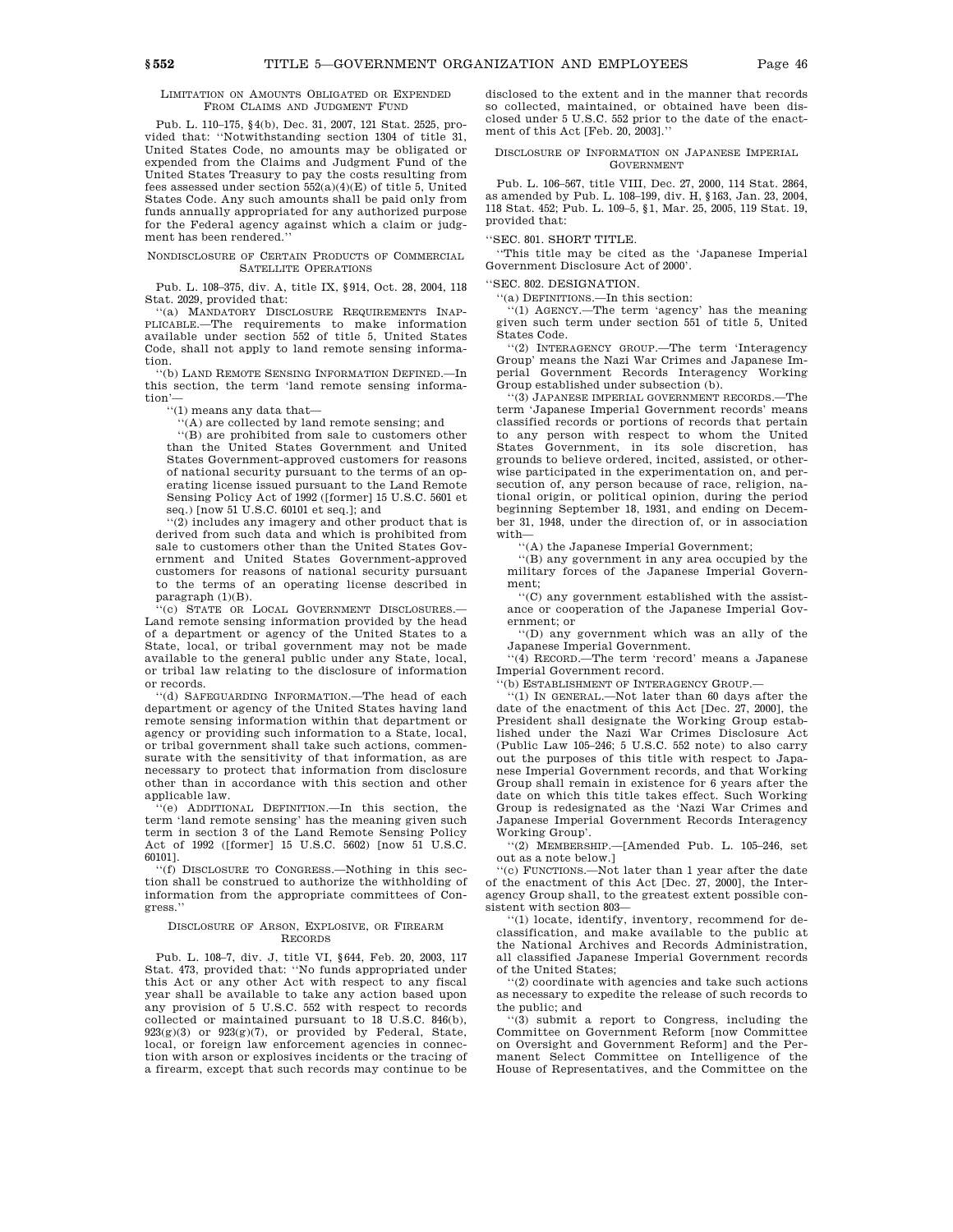### LIMITATION ON AMOUNTS OBLIGATED OR EXPENDED FROM CLAIMS AND JUDGMENT FUND

Pub. L. 110–175, §4(b), Dec. 31, 2007, 121 Stat. 2525, provided that: ''Notwithstanding section 1304 of title 31, United States Code, no amounts may be obligated or expended from the Claims and Judgment Fund of the United States Treasury to pay the costs resulting from fees assessed under section 552(a)(4)(E) of title 5, United States Code. Any such amounts shall be paid only from funds annually appropriated for any authorized purpose for the Federal agency against which a claim or judgment has been rendered.''

### NONDISCLOSURE OF CERTAIN PRODUCTS OF COMMERCIAL SATELLITE OPERATIONS

Pub. L. 108–375, div. A, title IX, §914, Oct. 28, 2004, 118 Stat. 2029, provided that:

''(a) MANDATORY DISCLOSURE REQUIREMENTS INAP-PLICABLE.—The requirements to make information available under section 552 of title 5, United States Code, shall not apply to land remote sensing information.

''(b) LAND REMOTE SENSING INFORMATION DEFINED.—In this section, the term 'land remote sensing information'—

''(1) means any data that—

''(A) are collected by land remote sensing; and

''(B) are prohibited from sale to customers other than the United States Government and United States Government-approved customers for reasons of national security pursuant to the terms of an operating license issued pursuant to the Land Remote Sensing Policy Act of 1992 ([former] 15 U.S.C. 5601 et seq.) [now 51 U.S.C. 60101 et seq.]; and

''(2) includes any imagery and other product that is derived from such data and which is prohibited from sale to customers other than the United States Government and United States Government-approved customers for reasons of national security pursuant to the terms of an operating license described in paragraph (1)(B).

'(c) STATE OR LOCAL GOVERNMENT DISCLOSURES.-Land remote sensing information provided by the head of a department or agency of the United States to a State, local, or tribal government may not be made available to the general public under any State, local, or tribal law relating to the disclosure of information or records.

''(d) SAFEGUARDING INFORMATION.—The head of each department or agency of the United States having land remote sensing information within that department or agency or providing such information to a State, local, or tribal government shall take such actions, commensurate with the sensitivity of that information, as are necessary to protect that information from disclosure other than in accordance with this section and other applicable law.

''(e) ADDITIONAL DEFINITION.—In this section, the term 'land remote sensing' has the meaning given such term in section 3 of the Land Remote Sensing Policy Act of 1992 ([former] 15 U.S.C. 5602) [now 51 U.S.C. 60101].

''(f) DISCLOSURE TO CONGRESS.—Nothing in this section shall be construed to authorize the withholding of information from the appropriate committees of Congress.''

## DISCLOSURE OF ARSON, EXPLOSIVE, OR FIREARM RECORDS

Pub. L. 108–7, div. J, title VI, §644, Feb. 20, 2003, 117 Stat. 473, provided that: ''No funds appropriated under this Act or any other Act with respect to any fiscal year shall be available to take any action based upon any provision of 5 U.S.C. 552 with respect to records collected or maintained pursuant to 18 U.S.C. 846(b),  $923(g)(3)$  or  $923(g)(7)$ , or provided by Federal, State, local, or foreign law enforcement agencies in connection with arson or explosives incidents or the tracing of a firearm, except that such records may continue to be

disclosed to the extent and in the manner that records so collected, maintained, or obtained have been disclosed under 5 U.S.C. 552 prior to the date of the enactment of this Act [Feb. 20, 2003].''

## DISCLOSURE OF INFORMATION ON JAPANESE IMPERIAL GOVERNMENT

Pub. L. 106–567, title VIII, Dec. 27, 2000, 114 Stat. 2864, as amended by Pub. L. 108–199, div. H, §163, Jan. 23, 2004, 118 Stat. 452; Pub. L. 109–5, §1, Mar. 25, 2005, 119 Stat. 19, provided that:

'SEC. 801. SHORT TITLE.

''This title may be cited as the 'Japanese Imperial Government Disclosure Act of 2000'.

''SEC. 802. DESIGNATION.

''(a) DEFINITIONS.—In this section:

''(1) AGENCY.—The term 'agency' has the meaning given such term under section 551 of title 5, United States Code.

''(2) INTERAGENCY GROUP.—The term 'Interagency Group' means the Nazi War Crimes and Japanese Imperial Government Records Interagency Working Group established under subsection (b).

''(3) JAPANESE IMPERIAL GOVERNMENT RECORDS.—The term 'Japanese Imperial Government records' means classified records or portions of records that pertain to any person with respect to whom the United States Government, in its sole discretion, has grounds to believe ordered, incited, assisted, or otherwise participated in the experimentation on, and persecution of, any person because of race, religion, national origin, or political opinion, during the period beginning September 18, 1931, and ending on December 31, 1948, under the direction of, or in association with—

''(A) the Japanese Imperial Government;

''(B) any government in any area occupied by the military forces of the Japanese Imperial Government;

''(C) any government established with the assistance or cooperation of the Japanese Imperial Government; or

''(D) any government which was an ally of the Japanese Imperial Government.

''(4) RECORD.—The term 'record' means a Japanese Imperial Government record.

'(b) ESTABLISHMENT OF INTERAGENCY GROUP.

''(1) IN GENERAL.—Not later than 60 days after the date of the enactment of this Act [Dec. 27, 2000], the President shall designate the Working Group established under the Nazi War Crimes Disclosure Act (Public Law 105–246; 5 U.S.C. 552 note) to also carry out the purposes of this title with respect to Japanese Imperial Government records, and that Working Group shall remain in existence for 6 years after the date on which this title takes effect. Such Working Group is redesignated as the 'Nazi War Crimes and Japanese Imperial Government Records Interagency Working Group'.

''(2) MEMBERSHIP.—[Amended Pub. L. 105–246, set out as a note below.]

'(c) FUNCTIONS.—Not later than 1 year after the date of the enactment of this Act [Dec. 27, 2000], the Interagency Group shall, to the greatest extent possible consistent with section 803—

''(1) locate, identify, inventory, recommend for declassification, and make available to the public at the National Archives and Records Administration, all classified Japanese Imperial Government records of the United States;

''(2) coordinate with agencies and take such actions as necessary to expedite the release of such records to the public; and

''(3) submit a report to Congress, including the Committee on Government Reform [now Committee on Oversight and Government Reform] and the Permanent Select Committee on Intelligence of the House of Representatives, and the Committee on the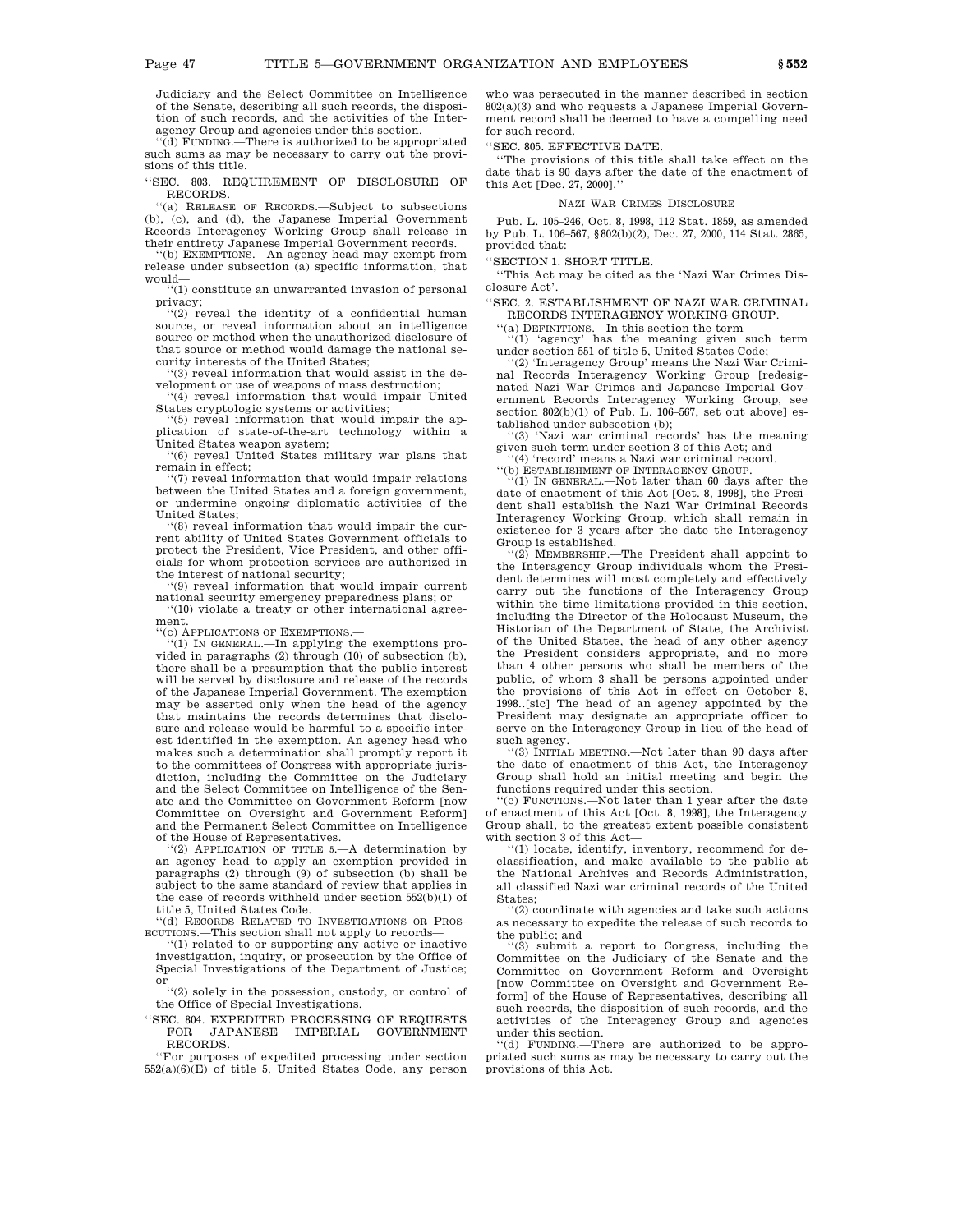Judiciary and the Select Committee on Intelligence of the Senate, describing all such records, the disposition of such records, and the activities of the Interagency Group and agencies under this section.

''(d) FUNDING.—There is authorized to be appropriated such sums as may be necessary to carry out the provisions of this title.

''SEC. 803. REQUIREMENT OF DISCLOSURE OF RECORDS.

''(a) RELEASE OF RECORDS.—Subject to subsections (b), (c), and (d), the Japanese Imperial Government Records Interagency Working Group shall release in their entirety Japanese Imperial Government records.

''(b) EXEMPTIONS.—An agency head may exempt from release under subsection (a) specific information, that would—

''(1) constitute an unwarranted invasion of personal privacy;

''(2) reveal the identity of a confidential human source, or reveal information about an intelligence source or method when the unauthorized disclosure of that source or method would damage the national security interests of the United States;

''(3) reveal information that would assist in the development or use of weapons of mass destruction;

''(4) reveal information that would impair United States cryptologic systems or activities;

''(5) reveal information that would impair the application of state-of-the-art technology within a United States weapon system;

''(6) reveal United States military war plans that remain in effect;

''(7) reveal information that would impair relations between the United States and a foreign government, or undermine ongoing diplomatic activities of the United States;

 $(8)$  reveal information that would impair the current ability of United States Government officials to protect the President, Vice President, and other officials for whom protection services are authorized in the interest of national security;

''(9) reveal information that would impair current national security emergency preparedness plans; or

''(10) violate a treaty or other international agreement.

''(c) APPLICATIONS OF EXEMPTIONS.— ''(1) IN GENERAL.—In applying the exemptions provided in paragraphs (2) through (10) of subsection (b), there shall be a presumption that the public interest will be served by disclosure and release of the records of the Japanese Imperial Government. The exemption may be asserted only when the head of the agency that maintains the records determines that disclosure and release would be harmful to a specific interest identified in the exemption. An agency head who makes such a determination shall promptly report it to the committees of Congress with appropriate jurisdiction, including the Committee on the Judiciary and the Select Committee on Intelligence of the Senate and the Committee on Government Reform [now Committee on Oversight and Government Reform] and the Permanent Select Committee on Intelligence of the House of Representatives.

''(2) APPLICATION OF TITLE 5.—A determination by an agency head to apply an exemption provided in paragraphs (2) through (9) of subsection (b) shall be subject to the same standard of review that applies in the case of records withheld under section 552(b)(1) of title 5, United States Code.

''(d) RECORDS RELATED TO INVESTIGATIONS OR PROS-ECUTIONS.—This section shall not apply to records—

 $(1)$  related to or supporting any active or inactive investigation, inquiry, or prosecution by the Office of Special Investigations of the Department of Justice; or

''(2) solely in the possession, custody, or control of the Office of Special Investigations.

''SEC. 804. EXPEDITED PROCESSING OF REQUESTS FOR JAPANESE IMPERIAL GOVERNMENT RECORDS.

''For purposes of expedited processing under section 552(a)(6)(E) of title 5, United States Code, any person

who was persecuted in the manner described in section 802(a)(3) and who requests a Japanese Imperial Government record shall be deemed to have a compelling need for such record.

''SEC. 805. EFFECTIVE DATE.

''The provisions of this title shall take effect on the date that is 90 days after the date of the enactment of this Act [Dec. 27, 2000].''

## NAZI WAR CRIMES DISCLOSURE

Pub. L. 105–246, Oct. 8, 1998, 112 Stat. 1859, as amended by Pub. L. 106–567, §802(b)(2), Dec. 27, 2000, 114 Stat. 2865, provided that:

''SECTION 1. SHORT TITLE.

''This Act may be cited as the 'Nazi War Crimes Disclosure Act'.

''SEC. 2. ESTABLISHMENT OF NAZI WAR CRIMINAL RECORDS INTERAGENCY WORKING GROUP.

''(a) DEFINITIONS.—In this section the term—

''(1) 'agency' has the meaning given such term under section 551 of title 5, United States Code;

''(2) 'Interagency Group' means the Nazi War Crimi-nal Records Interagency Working Group [redesignated Nazi War Crimes and Japanese Imperial Government Records Interagency Working Group, see section 802(b)(1) of Pub. L. 106-567, set out above] established under subsection (b);

'(3) 'Nazi war criminal records' has the meaning given such term under section 3 of this Act; and

'(4) 'record' means a Nazi war criminal record. "(b) ESTABLISHMENT OF INTERAGENCY GROUP.

 $\cdot$ (1) In GENERAL.—Not later than 60 days after the date of enactment of this Act [Oct. 8, 1998], the President shall establish the Nazi War Criminal Records Interagency Working Group, which shall remain in existence for 3 years after the date the Interagency Group is established.

(2) MEMBERSHIP.—The President shall appoint to the Interagency Group individuals whom the President determines will most completely and effectively carry out the functions of the Interagency Group within the time limitations provided in this section, including the Director of the Holocaust Museum, the Historian of the Department of State, the Archivist of the United States, the head of any other agency the President considers appropriate, and no more than 4 other persons who shall be members of the public, of whom 3 shall be persons appointed under the provisions of this Act in effect on October 8, 1998..[sic] The head of an agency appointed by the President may designate an appropriate officer to serve on the Interagency Group in lieu of the head of such agency.

''(3) INITIAL MEETING.—Not later than 90 days after the date of enactment of this Act, the Interagency Group shall hold an initial meeting and begin the functions required under this section.

'(c) FUNCTIONS.—Not later than 1 year after the date of enactment of this Act [Oct. 8, 1998], the Interagency Group shall, to the greatest extent possible consistent with section 3 of this Act—

''(1) locate, identify, inventory, recommend for declassification, and make available to the public at the National Archives and Records Administration, all classified Nazi war criminal records of the United States;

''(2) coordinate with agencies and take such actions as necessary to expedite the release of such records to

the public; and ''(3) submit a report to Congress, including the Committee on the Judiciary of the Senate and the Committee on Government Reform and Oversight [now Committee on Oversight and Government Reform] of the House of Representatives, describing all such records, the disposition of such records, and the activities of the Interagency Group and agencies under this section.

'(d) FUNDING.—There are authorized to be appropriated such sums as may be necessary to carry out the provisions of this Act.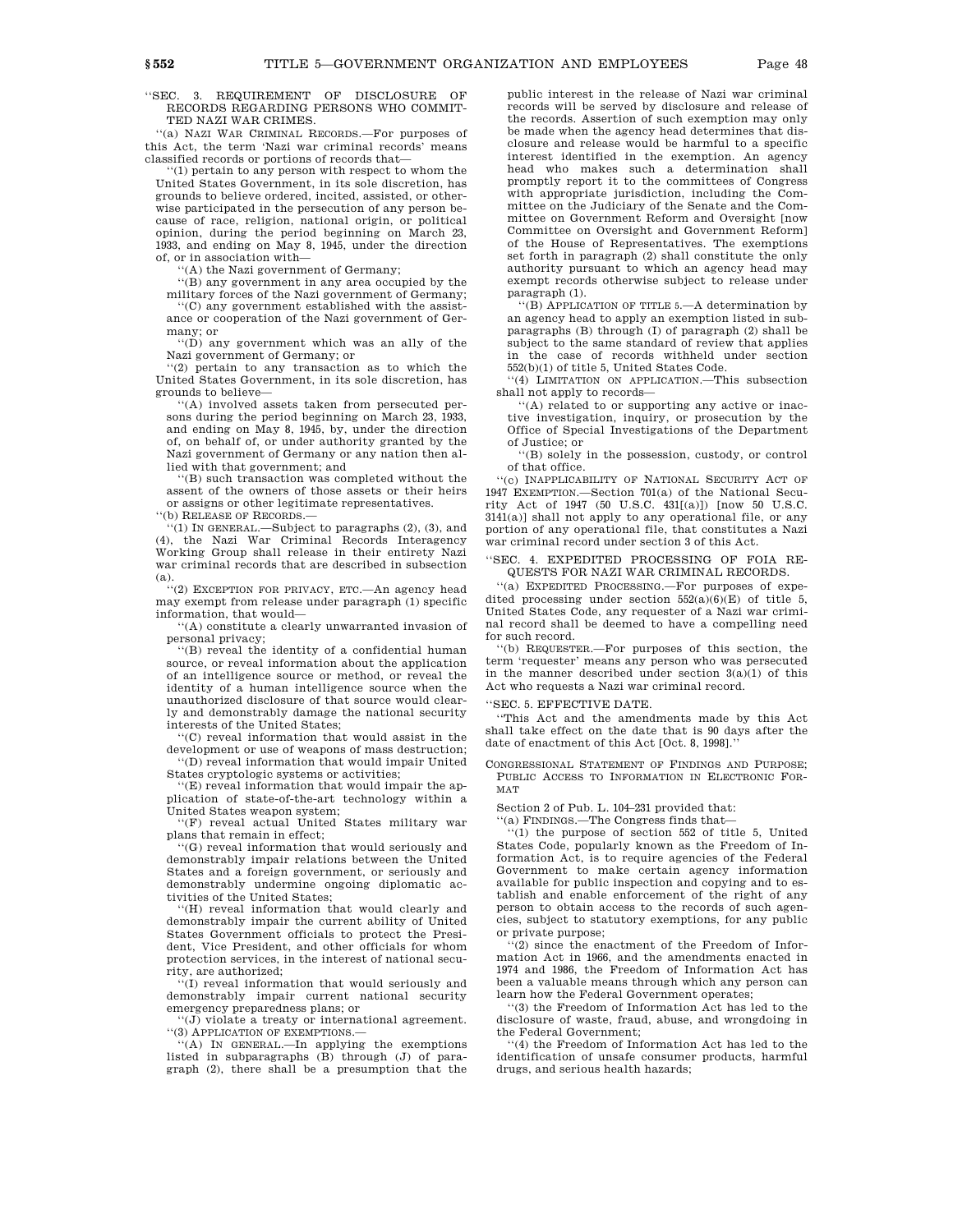''SEC. 3. REQUIREMENT OF DISCLOSURE OF RECORDS REGARDING PERSONS WHO COMMIT-TED NAZI WAR CRIMES.

''(a) NAZI WAR CRIMINAL RECORDS.—For purposes of this Act, the term 'Nazi war criminal records' means classified records or portions of records that—

''(1) pertain to any person with respect to whom the United States Government, in its sole discretion, has grounds to believe ordered, incited, assisted, or otherwise participated in the persecution of any person because of race, religion, national origin, or political opinion, during the period beginning on March 23, 1933, and ending on May 8, 1945, under the direction of, or in association with—

'(A) the Nazi government of Germany;

''(B) any government in any area occupied by the military forces of the Nazi government of Germany;

''(C) any government established with the assistance or cooperation of the Nazi government of Germany; or

''(D) any government which was an ally of the Nazi government of Germany; or

''(2) pertain to any transaction as to which the United States Government, in its sole discretion, has grounds to believe—

''(A) involved assets taken from persecuted persons during the period beginning on March 23, 1933, and ending on May 8, 1945, by, under the direction of, on behalf of, or under authority granted by the Nazi government of Germany or any nation then allied with that government; and

''(B) such transaction was completed without the assent of the owners of those assets or their heirs or assigns or other legitimate representatives.

''(b) RELEASE OF RECORDS.—

''(1) IN GENERAL.—Subject to paragraphs (2), (3), and (4), the Nazi War Criminal Records Interagency Working Group shall release in their entirety Nazi war criminal records that are described in subsection (a).

''(2) EXCEPTION FOR PRIVACY, ETC.—An agency head may exempt from release under paragraph (1) specific information, that would—

''(A) constitute a clearly unwarranted invasion of personal privacy;

''(B) reveal the identity of a confidential human source, or reveal information about the application of an intelligence source or method, or reveal the identity of a human intelligence source when the unauthorized disclosure of that source would clearly and demonstrably damage the national security interests of the United States;

''(C) reveal information that would assist in the development or use of weapons of mass destruction;

''(D) reveal information that would impair United States cryptologic systems or activities;

''(E) reveal information that would impair the application of state-of-the-art technology within a United States weapon system;

''(F) reveal actual United States military war plans that remain in effect;

''(G) reveal information that would seriously and demonstrably impair relations between the United States and a foreign government, or seriously and demonstrably undermine ongoing diplomatic activities of the United States;

''(H) reveal information that would clearly and demonstrably impair the current ability of United States Government officials to protect the President, Vice President, and other officials for whom protection services, in the interest of national security, are authorized;

''(I) reveal information that would seriously and demonstrably impair current national security emergency preparedness plans; or

''(J) violate a treaty or international agreement. ''(3) APPLICATION OF EXEMPTIONS.—

''(A) IN GENERAL.—In applying the exemptions listed in subparagraphs (B) through (J) of paragraph (2), there shall be a presumption that the public interest in the release of Nazi war criminal records will be served by disclosure and release of the records. Assertion of such exemption may only be made when the agency head determines that disclosure and release would be harmful to a specific interest identified in the exemption. An agency head who makes such a determination shall promptly report it to the committees of Congress with appropriate jurisdiction, including the Committee on the Judiciary of the Senate and the Committee on Government Reform and Oversight [now Committee on Oversight and Government Reform] of the House of Representatives. The exemptions set forth in paragraph (2) shall constitute the only authority pursuant to which an agency head may exempt records otherwise subject to release under paragraph (1).

''(B) APPLICATION OF TITLE 5.—A determination by an agency head to apply an exemption listed in subparagraphs (B) through (I) of paragraph (2) shall be subject to the same standard of review that applies in the case of records withheld under section 552(b)(1) of title 5, United States Code.

''(4) LIMITATION ON APPLICATION.—This subsection shall not apply to records—

''(A) related to or supporting any active or inactive investigation, inquiry, or prosecution by the Office of Special Investigations of the Department of Justice; or

''(B) solely in the possession, custody, or control of that office.

''(c) INAPPLICABILITY OF NATIONAL SECURITY ACT OF 1947 EXEMPTION.—Section 701(a) of the National Security Act of 1947 (50 U.S.C. 431[(a)]) [now 50 U.S.C. 3141(a)] shall not apply to any operational file, or any portion of any operational file, that constitutes a Nazi war criminal record under section 3 of this Act.

''SEC. 4. EXPEDITED PROCESSING OF FOIA RE-QUESTS FOR NAZI WAR CRIMINAL RECORDS.

''(a) EXPEDITED PROCESSING.—For purposes of expedited processing under section  $552(a)(6)(E)$  of title 5, United States Code, any requester of a Nazi war criminal record shall be deemed to have a compelling need for such record.

''(b) REQUESTER.—For purposes of this section, the term 'requester' means any person who was persecuted in the manner described under section  $3(a)(1)$  of this Act who requests a Nazi war criminal record.

#### ''SEC. 5. EFFECTIVE DATE.

''This Act and the amendments made by this Act shall take effect on the date that is 90 days after the date of enactment of this Act [Oct. 8, 1998].''

CONGRESSIONAL STATEMENT OF FINDINGS AND PURPOSE; PUBLIC ACCESS TO INFORMATION IN ELECTRONIC FOR-MAT

Section 2 of Pub. L. 104–231 provided that:

''(a) FINDINGS.—The Congress finds that—

''(1) the purpose of section 552 of title 5, United States Code, popularly known as the Freedom of Information Act, is to require agencies of the Federal Government to make certain agency information available for public inspection and copying and to establish and enable enforcement of the right of any person to obtain access to the records of such agencies, subject to statutory exemptions, for any public or private purpose;

 $(2)$  since the enactment of the Freedom of Information Act in 1966, and the amendments enacted in 1974 and 1986, the Freedom of Information Act has been a valuable means through which any person can learn how the Federal Government operates;

''(3) the Freedom of Information Act has led to the disclosure of waste, fraud, abuse, and wrongdoing in the Federal Government;

''(4) the Freedom of Information Act has led to the identification of unsafe consumer products, harmful drugs, and serious health hazards;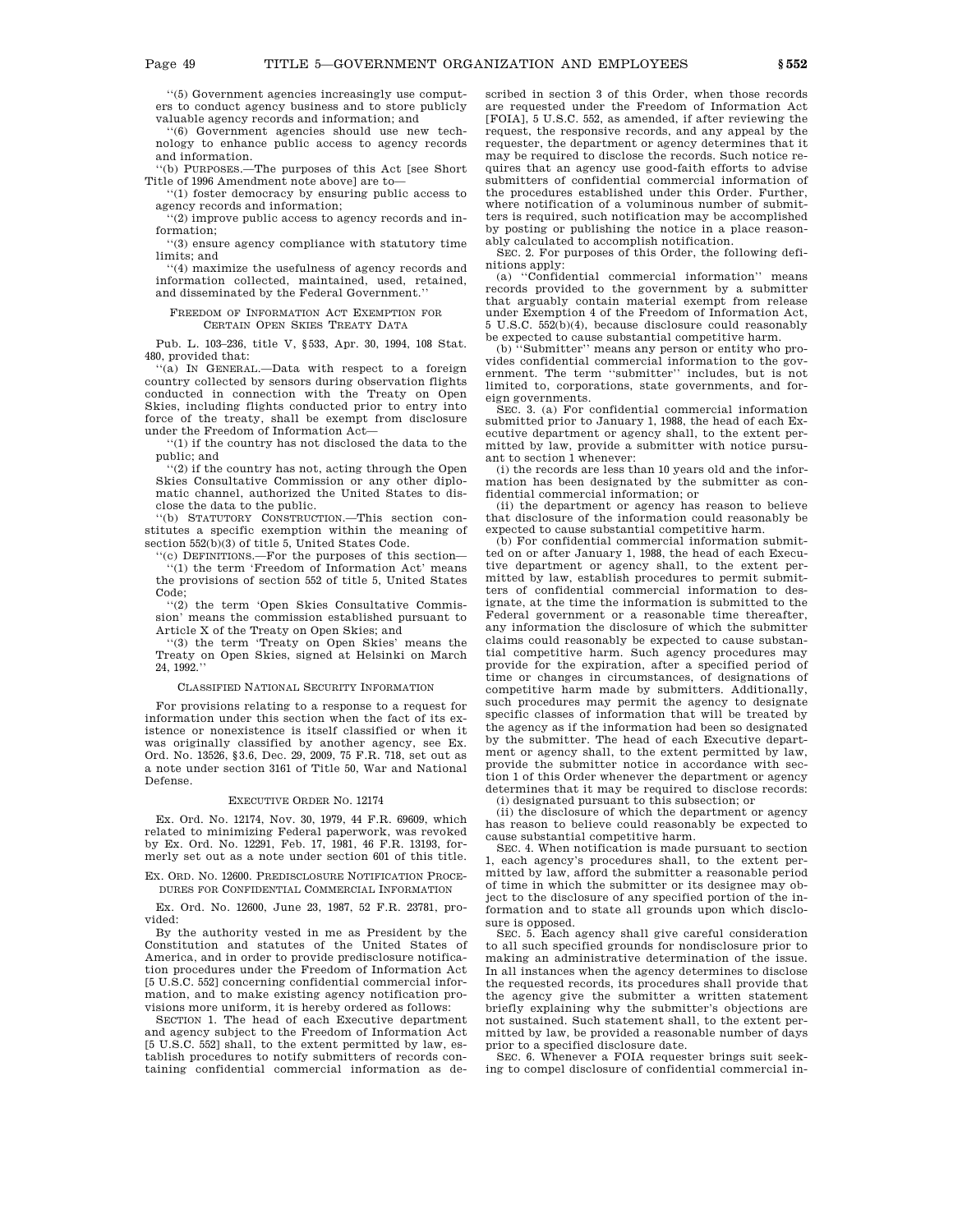''(5) Government agencies increasingly use computers to conduct agency business and to store publicly valuable agency records and information; and

''(6) Government agencies should use new technology to enhance public access to agency records and information.

''(b) PURPOSES.—The purposes of this Act [see Short Title of 1996 Amendment note above] are to—

''(1) foster democracy by ensuring public access to agency records and information;

''(2) improve public access to agency records and information;

''(3) ensure agency compliance with statutory time limits; and

''(4) maximize the usefulness of agency records and information collected, maintained, used, retained, and disseminated by the Federal Government.''

### FREEDOM OF INFORMATION ACT EXEMPTION FOR CERTAIN OPEN SKIES TREATY DATA

Pub. L. 103–236, title V, §533, Apr. 30, 1994, 108 Stat. 480, provided that:

'(a) IN GENERAL.-Data with respect to a foreign country collected by sensors during observation flights conducted in connection with the Treaty on Open Skies, including flights conducted prior to entry into force of the treaty, shall be exempt from disclosure under the Freedom of Information Act—

''(1) if the country has not disclosed the data to the public; and

''(2) if the country has not, acting through the Open Skies Consultative Commission or any other diplomatic channel, authorized the United States to disclose the data to the public.

'(b) STATUTORY CONSTRUCTION.-This section constitutes a specific exemption within the meaning of section 552(b)(3) of title 5, United States Code.

''(c) DEFINITIONS.—For the purposes of this section—  $(1)$  the term 'Freedom of Information Act' means the provisions of section 552 of title 5, United States Code;

''(2) the term 'Open Skies Consultative Commission' means the commission established pursuant to Article X of the Treaty on Open Skies; and

''(3) the term 'Treaty on Open Skies' means the Treaty on Open Skies, signed at Helsinki on March 24, 1992.''

#### CLASSIFIED NATIONAL SECURITY INFORMATION

For provisions relating to a response to a request for information under this section when the fact of its existence or nonexistence is itself classified or when it was originally classified by another agency, see Ex. Ord. No. 13526, §3.6, Dec. 29, 2009, 75 F.R. 718, set out as a note under section 3161 of Title 50, War and National Defense.

#### EXECUTIVE ORDER NO. 12174

Ex. Ord. No. 12174, Nov. 30, 1979, 44 F.R. 69609, which related to minimizing Federal paperwork, was revoked by Ex. Ord. No. 12291, Feb. 17, 1981, 46 F.R. 13193, formerly set out as a note under section 601 of this title.

EX. ORD. NO. 12600. PREDISCLOSURE NOTIFICATION PROCE-DURES FOR CONFIDENTIAL COMMERCIAL INFORMATION

Ex. Ord. No. 12600, June 23, 1987, 52 F.R. 23781, provided:

By the authority vested in me as President by the Constitution and statutes of the United States of America, and in order to provide predisclosure notification procedures under the Freedom of Information Act [5 U.S.C. 552] concerning confidential commercial information, and to make existing agency notification provisions more uniform, it is hereby ordered as follows:

SECTION 1. The head of each Executive department and agency subject to the Freedom of Information Act [5 U.S.C. 552] shall, to the extent permitted by law, establish procedures to notify submitters of records containing confidential commercial information as described in section 3 of this Order, when those records are requested under the Freedom of Information Act [FOIA], 5 U.S.C. 552, as amended, if after reviewing the request, the responsive records, and any appeal by the requester, the department or agency determines that it may be required to disclose the records. Such notice requires that an agency use good-faith efforts to advise submitters of confidential commercial information of the procedures established under this Order. Further, where notification of a voluminous number of submitters is required, such notification may be accomplished by posting or publishing the notice in a place reasonably calculated to accomplish notification.

SEC. 2. For purposes of this Order, the following defi-

nitions apply: (a) ''Confidential commercial information'' means records provided to the government by a submitter that arguably contain material exempt from release under Exemption 4 of the Freedom of Information Act, 5 U.S.C. 552(b)(4), because disclosure could reasonably

be expected to cause substantial competitive harm. (b) ''Submitter'' means any person or entity who provides confidential commercial information to the government. The term ''submitter'' includes, but is not limited to, corporations, state governments, and foreign governments.

SEC. 3. (a) For confidential commercial information submitted prior to January 1, 1988, the head of each Executive department or agency shall, to the extent permitted by law, provide a submitter with notice pursuant to section 1 whenever:

(i) the records are less than 10 years old and the information has been designated by the submitter as confidential commercial information; or

(ii) the department or agency has reason to believe that disclosure of the information could reasonably be expected to cause substantial competitive harm.

(b) For confidential commercial information submitted on or after January 1, 1988, the head of each Executive department or agency shall, to the extent permitted by law, establish procedures to permit submitters of confidential commercial information to designate, at the time the information is submitted to the Federal government or a reasonable time thereafter, any information the disclosure of which the submitter claims could reasonably be expected to cause substantial competitive harm. Such agency procedures may provide for the expiration, after a specified period of time or changes in circumstances, of designations of competitive harm made by submitters. Additionally, such procedures may permit the agency to designate specific classes of information that will be treated by the agency as if the information had been so designated by the submitter. The head of each Executive department or agency shall, to the extent permitted by law, provide the submitter notice in accordance with section 1 of this Order whenever the department or agency determines that it may be required to disclose records: (i) designated pursuant to this subsection; or

(ii) the disclosure of which the department or agency has reason to believe could reasonably be expected to cause substantial competitive harm.

SEC. 4. When notification is made pursuant to section 1, each agency's procedures shall, to the extent permitted by law, afford the submitter a reasonable period of time in which the submitter or its designee may object to the disclosure of any specified portion of the information and to state all grounds upon which disclosure is opposed.

SEC. 5. Each agency shall give careful consideration to all such specified grounds for nondisclosure prior to making an administrative determination of the issue. In all instances when the agency determines to disclose the requested records, its procedures shall provide that the agency give the submitter a written statement briefly explaining why the submitter's objections are not sustained. Such statement shall, to the extent permitted by law, be provided a reasonable number of days

prior to a specified disclosure date. SEC. 6. Whenever a FOIA requester brings suit seeking to compel disclosure of confidential commercial in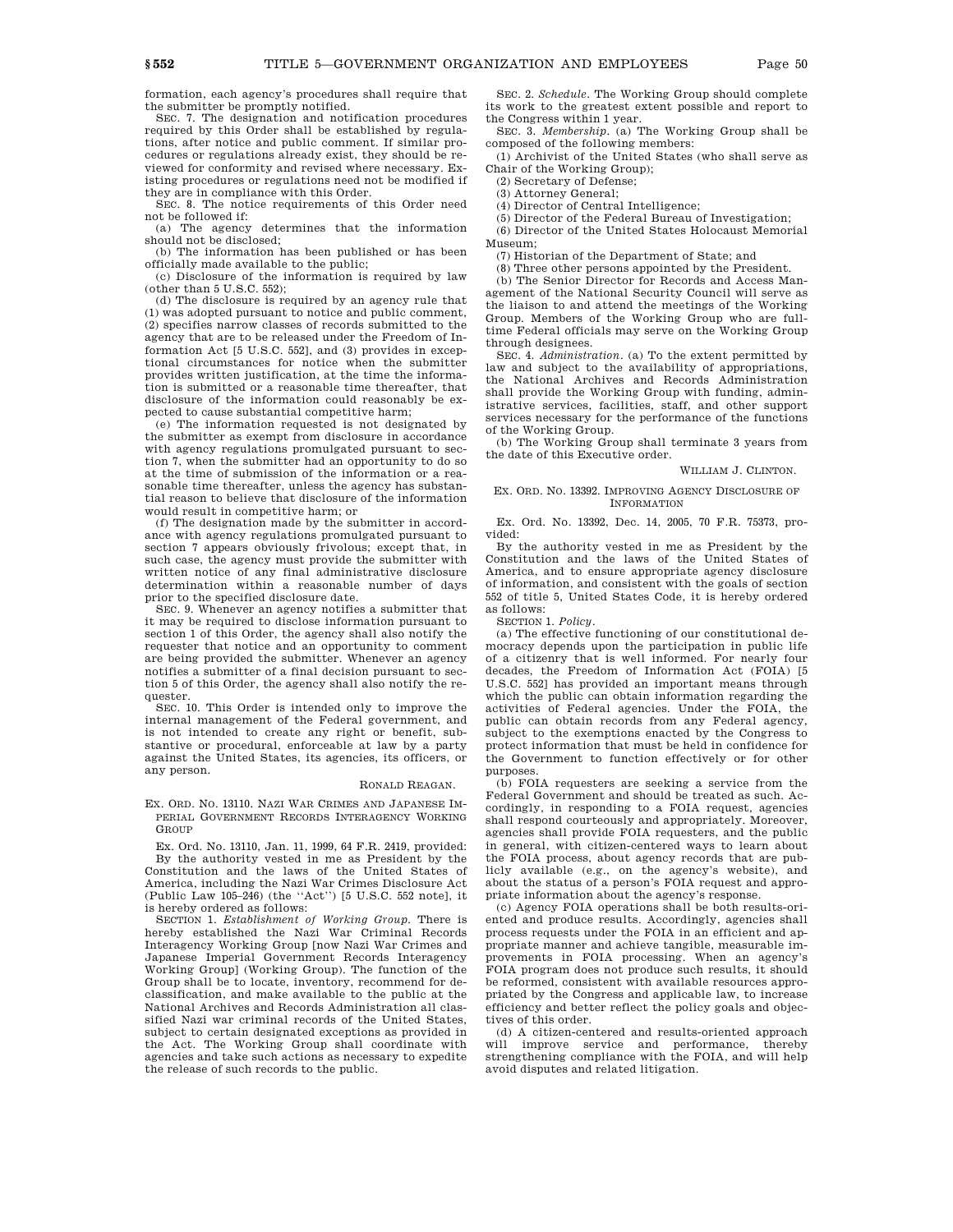formation, each agency's procedures shall require that the submitter be promptly notified.

SEC. 7. The designation and notification procedures required by this Order shall be established by regulations, after notice and public comment. If similar procedures or regulations already exist, they should be reviewed for conformity and revised where necessary. Existing procedures or regulations need not be modified if they are in compliance with this Order.

SEC. 8. The notice requirements of this Order need not be followed if:

(a) The agency determines that the information should not be disclosed; (b) The information has been published or has been

officially made available to the public;

(c) Disclosure of the information is required by law  $(\text{other than 5 U.S.C. 552})$ ;

(d) The disclosure is required by an agency rule that (1) was adopted pursuant to notice and public comment, (2) specifies narrow classes of records submitted to the agency that are to be released under the Freedom of Information Act [5 U.S.C. 552], and (3) provides in exceptional circumstances for notice when the submitter provides written justification, at the time the information is submitted or a reasonable time thereafter, that disclosure of the information could reasonably be expected to cause substantial competitive harm;

(e) The information requested is not designated by the submitter as exempt from disclosure in accordance with agency regulations promulgated pursuant to section 7, when the submitter had an opportunity to do so at the time of submission of the information or a reasonable time thereafter, unless the agency has substantial reason to believe that disclosure of the information would result in competitive harm; or

(f) The designation made by the submitter in accordance with agency regulations promulgated pursuant to section 7 appears obviously frivolous; except that, in such case, the agency must provide the submitter with written notice of any final administrative disclosure determination within a reasonable number of days prior to the specified disclosure date.

SEC. 9. Whenever an agency notifies a submitter that it may be required to disclose information pursuant to section 1 of this Order, the agency shall also notify the requester that notice and an opportunity to comment are being provided the submitter. Whenever an agency notifies a submitter of a final decision pursuant to section 5 of this Order, the agency shall also notify the requester.

SEC. 10. This Order is intended only to improve the internal management of the Federal government, and is not intended to create any right or benefit, substantive or procedural, enforceable at law by a party against the United States, its agencies, its officers, or any person.

#### RONALD REAGAN.

EX. ORD. NO. 13110. NAZI WAR CRIMES AND JAPANESE IM-PERIAL GOVERNMENT RECORDS INTERAGENCY WORKING **GROUP** 

Ex. Ord. No. 13110, Jan. 11, 1999, 64 F.R. 2419, provided: By the authority vested in me as President by the Constitution and the laws of the United States of America, including the Nazi War Crimes Disclosure Act (Public Law 105–246) (the ''Act'') [5 U.S.C. 552 note], it is hereby ordered as follows:

SECTION 1. *Establishment of Working Group*. There is hereby established the Nazi War Criminal Records Interagency Working Group [now Nazi War Crimes and Japanese Imperial Government Records Interagency Working Group] (Working Group). The function of the Group shall be to locate, inventory, recommend for declassification, and make available to the public at the National Archives and Records Administration all classified Nazi war criminal records of the United States, subject to certain designated exceptions as provided in the Act. The Working Group shall coordinate with agencies and take such actions as necessary to expedite the release of such records to the public.

SEC. 2. *Schedule*. The Working Group should complete its work to the greatest extent possible and report to the Congress within 1 year.

SEC. 3. *Membership*. (a) The Working Group shall be composed of the following members:

(1) Archivist of the United States (who shall serve as Chair of the Working Group);

(2) Secretary of Defense;

(3) Attorney General;

(4) Director of Central Intelligence;

(5) Director of the Federal Bureau of Investigation;

(6) Director of the United States Holocaust Memorial Museum;

(7) Historian of the Department of State; and

(8) Three other persons appointed by the President.

(b) The Senior Director for Records and Access Management of the National Security Council will serve as the liaison to and attend the meetings of the Working Group. Members of the Working Group who are fulltime Federal officials may serve on the Working Group through designees.

SEC. 4. *Administration*. (a) To the extent permitted by law and subject to the availability of appropriations, the National Archives and Records Administration shall provide the Working Group with funding, administrative services, facilities, staff, and other support services necessary for the performance of the functions of the Working Group.

(b) The Working Group shall terminate 3 years from the date of this Executive order.

WILLIAM J. CLINTON.

### EX. ORD. NO. 13392. IMPROVING AGENCY DISCLOSURE OF INFORMATION

Ex. Ord. No. 13392, Dec. 14, 2005, 70 F.R. 75373, provided:

By the authority vested in me as President by the Constitution and the laws of the United States of America, and to ensure appropriate agency disclosure of information, and consistent with the goals of section 552 of title 5, United States Code, it is hereby ordered as follows:

SECTION 1. *Policy.*

(a) The effective functioning of our constitutional democracy depends upon the participation in public life of a citizenry that is well informed. For nearly four decades, the Freedom of Information Act (FOIA) [5 U.S.C. 552] has provided an important means through which the public can obtain information regarding the activities of Federal agencies. Under the FOIA, the public can obtain records from any Federal agency, subject to the exemptions enacted by the Congress to protect information that must be held in confidence for the Government to function effectively or for other purposes.

(b) FOIA requesters are seeking a service from the Federal Government and should be treated as such. Accordingly, in responding to a FOIA request, agencies shall respond courteously and appropriately. Moreover, agencies shall provide FOIA requesters, and the public in general, with citizen-centered ways to learn about the FOIA process, about agency records that are publicly available (e.g., on the agency's website), and about the status of a person's FOIA request and appropriate information about the agency's response.

(c) Agency FOIA operations shall be both results-oriented and produce results. Accordingly, agencies shall process requests under the FOIA in an efficient and appropriate manner and achieve tangible, measurable improvements in FOIA processing. When an agency's FOIA program does not produce such results, it should be reformed, consistent with available resources appropriated by the Congress and applicable law, to increase efficiency and better reflect the policy goals and objectives of this order.

(d) A citizen-centered and results-oriented approach will improve service and performance, thereby strengthening compliance with the FOIA, and will help avoid disputes and related litigation.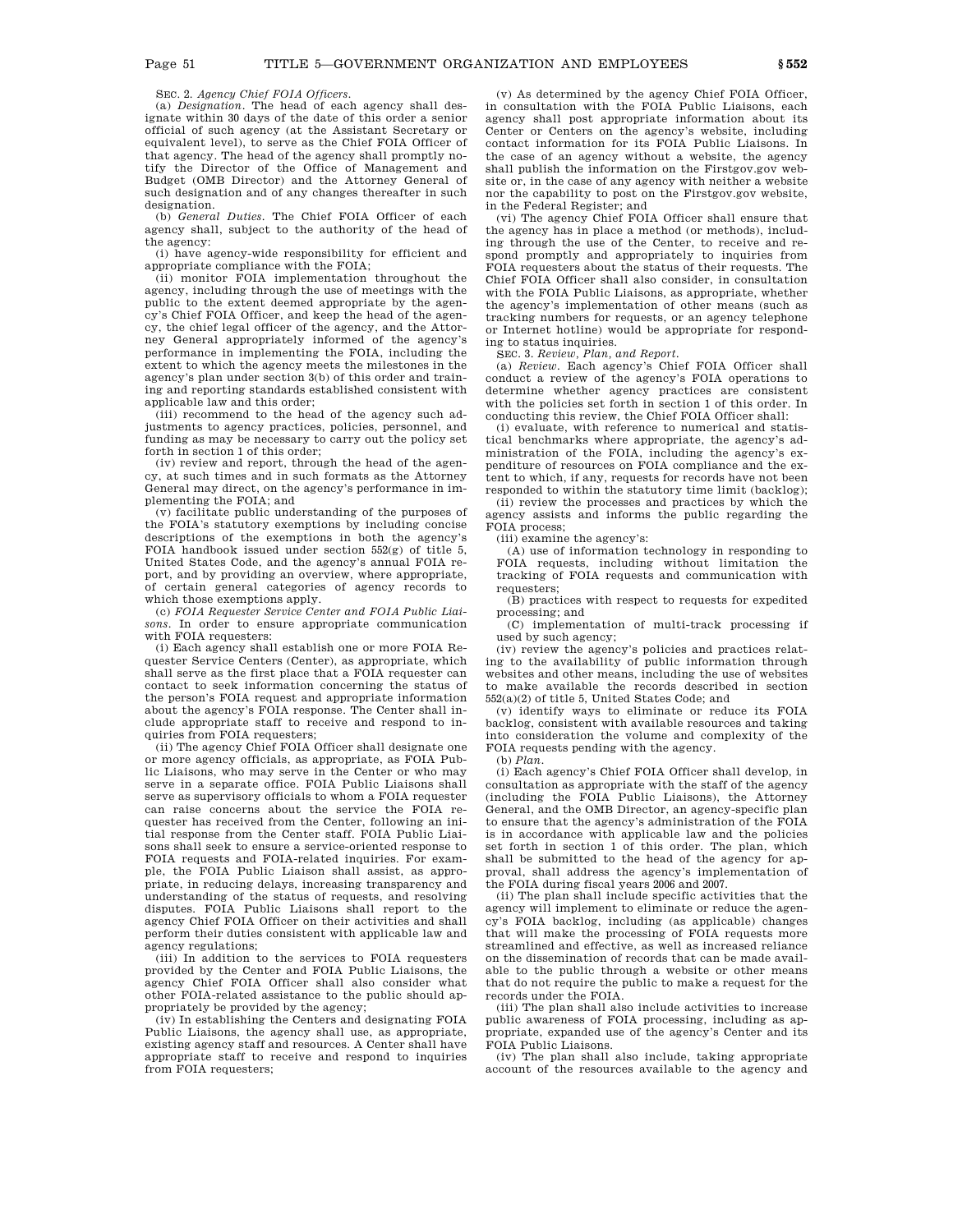SEC. 2. *Agency Chief FOIA Officers.*

(a) *Designation*. The head of each agency shall designate within 30 days of the date of this order a senior official of such agency (at the Assistant Secretary or equivalent level), to serve as the Chief FOIA Officer of that agency. The head of the agency shall promptly notify the Director of the Office of Management and Budget (OMB Director) and the Attorney General of such designation and of any changes thereafter in such designation.

(b) *General Duties*. The Chief FOIA Officer of each agency shall, subject to the authority of the head of the agency:

(i) have agency-wide responsibility for efficient and appropriate compliance with the FOIA;

(ii) monitor FOIA implementation throughout the agency, including through the use of meetings with the public to the extent deemed appropriate by the agency's Chief FOIA Officer, and keep the head of the agency, the chief legal officer of the agency, and the Attorney General appropriately informed of the agency's performance in implementing the FOIA, including the extent to which the agency meets the milestones in the agency's plan under section 3(b) of this order and training and reporting standards established consistent with applicable law and this order;

(iii) recommend to the head of the agency such adjustments to agency practices, policies, personnel, and funding as may be necessary to carry out the policy set forth in section 1 of this order;

(iv) review and report, through the head of the agency, at such times and in such formats as the Attorney General may direct, on the agency's performance in implementing the FOIA; and

(v) facilitate public understanding of the purposes of the FOIA's statutory exemptions by including concise descriptions of the exemptions in both the agency's FOIA handbook issued under section 552(g) of title 5, United States Code, and the agency's annual FOIA report, and by providing an overview, where appropriate, of certain general categories of agency records to which those exemptions apply.

(c) *FOIA Requester Service Center and FOIA Public Liaisons*. In order to ensure appropriate communication with FOIA requesters:

(i) Each agency shall establish one or more FOIA Requester Service Centers (Center), as appropriate, which shall serve as the first place that a FOIA requester can contact to seek information concerning the status of the person's FOIA request and appropriate information about the agency's FOIA response. The Center shall include appropriate staff to receive and respond to inquiries from FOIA requesters;

(ii) The agency Chief FOIA Officer shall designate one or more agency officials, as appropriate, as FOIA Public Liaisons, who may serve in the Center or who may serve in a separate office. FOIA Public Liaisons shall serve as supervisory officials to whom a FOIA requester can raise concerns about the service the FOIA requester has received from the Center, following an initial response from the Center staff. FOIA Public Liaisons shall seek to ensure a service-oriented response to FOIA requests and FOIA-related inquiries. For example, the FOIA Public Liaison shall assist, as appropriate, in reducing delays, increasing transparency and understanding of the status of requests, and resolving disputes. FOIA Public Liaisons shall report to the agency Chief FOIA Officer on their activities and shall perform their duties consistent with applicable law and agency regulations;

(iii) In addition to the services to FOIA requesters provided by the Center and FOIA Public Liaisons, the agency Chief FOIA Officer shall also consider what other FOIA-related assistance to the public should appropriately be provided by the agency;

(iv) In establishing the Centers and designating FOIA Public Liaisons, the agency shall use, as appropriate, existing agency staff and resources. A Center shall have appropriate staff to receive and respond to inquiries from FOIA requesters;

(v) As determined by the agency Chief FOIA Officer, in consultation with the FOIA Public Liaisons, each agency shall post appropriate information about its Center or Centers on the agency's website, including contact information for its FOIA Public Liaisons. In the case of an agency without a website, the agency shall publish the information on the Firstgov.gov website or, in the case of any agency with neither a website nor the capability to post on the Firstgov.gov website, in the Federal Register; and

(vi) The agency Chief FOIA Officer shall ensure that the agency has in place a method (or methods), including through the use of the Center, to receive and respond promptly and appropriately to inquiries from FOIA requesters about the status of their requests. The Chief FOIA Officer shall also consider, in consultation with the FOIA Public Liaisons, as appropriate, whether the agency's implementation of other means (such as tracking numbers for requests, or an agency telephone or Internet hotline) would be appropriate for responding to status inquiries.

SEC. 3. *Review, Plan, and Report.*

(a) *Review*. Each agency's Chief FOIA Officer shall conduct a review of the agency's FOIA operations to determine whether agency practices are consistent with the policies set forth in section 1 of this order. In conducting this review, the Chief FOIA Officer shall:

(i) evaluate, with reference to numerical and statistical benchmarks where appropriate, the agency's administration of the FOIA, including the agency's expenditure of resources on FOIA compliance and the extent to which, if any, requests for records have not been responded to within the statutory time limit (backlog);

(ii) review the processes and practices by which the agency assists and informs the public regarding the FOIA process;

(iii) examine the agency's:

(A) use of information technology in responding to FOIA requests, including without limitation the tracking of FOIA requests and communication with requesters;

(B) practices with respect to requests for expedited processing; and

(C) implementation of multi-track processing if used by such agency;

(iv) review the agency's policies and practices relating to the availability of public information through websites and other means, including the use of websites to make available the records described in section 552(a)(2) of title 5, United States Code; and

(v) identify ways to eliminate or reduce its FOIA backlog, consistent with available resources and taking into consideration the volume and complexity of the FOIA requests pending with the agency.

(b) *Plan.*

(i) Each agency's Chief FOIA Officer shall develop, in consultation as appropriate with the staff of the agency (including the FOIA Public Liaisons), the Attorney General, and the OMB Director, an agency-specific plan to ensure that the agency's administration of the FOIA is in accordance with applicable law and the policies set forth in section 1 of this order. The plan, which shall be submitted to the head of the agency for approval, shall address the agency's implementation of the FOIA during fiscal years 2006 and 2007.

(ii) The plan shall include specific activities that the agency will implement to eliminate or reduce the agency's FOIA backlog, including (as applicable) changes that will make the processing of FOIA requests more streamlined and effective, as well as increased reliance on the dissemination of records that can be made available to the public through a website or other means that do not require the public to make a request for the records under the FOIA.

(iii) The plan shall also include activities to increase public awareness of FOIA processing, including as appropriate, expanded use of the agency's Center and its FOIA Public Liaisons.

(iv) The plan shall also include, taking appropriate account of the resources available to the agency and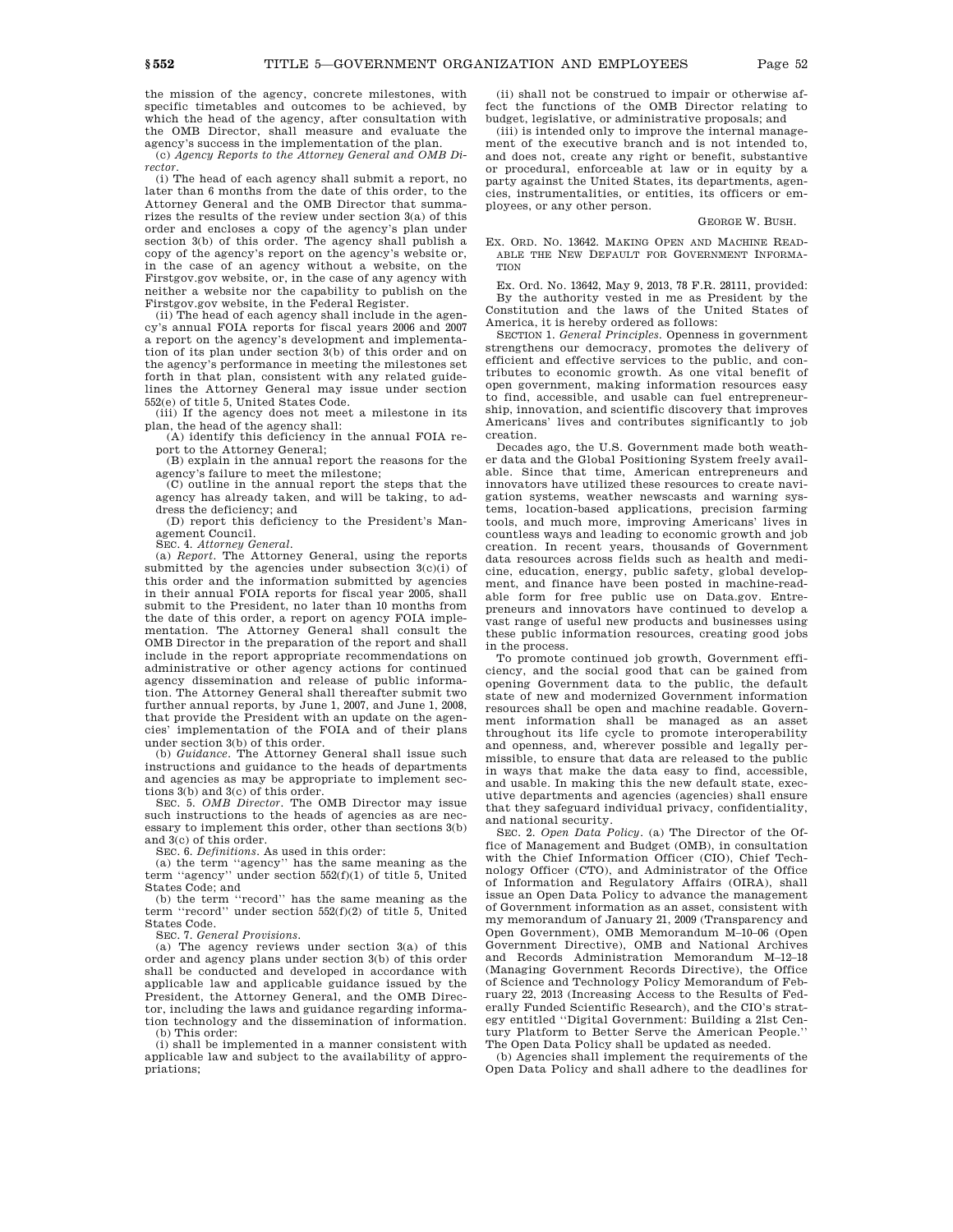the mission of the agency, concrete milestones, with specific timetables and outcomes to be achieved, by which the head of the agency, after consultation with the OMB Director, shall measure and evaluate the agency's success in the implementation of the plan.

(c) *Agency Reports to the Attorney General and OMB Director.*

(i) The head of each agency shall submit a report, no later than 6 months from the date of this order, to the Attorney General and the OMB Director that summarizes the results of the review under section 3(a) of this order and encloses a copy of the agency's plan under section 3(b) of this order. The agency shall publish a copy of the agency's report on the agency's website or, in the case of an agency without a website, on the Firstgov.gov website, or, in the case of any agency with neither a website nor the capability to publish on the Firstgov.gov website, in the Federal Register.

(ii) The head of each agency shall include in the agency's annual FOIA reports for fiscal years 2006 and 2007 a report on the agency's development and implementation of its plan under section 3(b) of this order and on the agency's performance in meeting the milestones set forth in that plan, consistent with any related guidelines the Attorney General may issue under section 552(e) of title 5, United States Code.

(iii) If the agency does not meet a milestone in its plan, the head of the agency shall:

(A) identify this deficiency in the annual FOIA report to the Attorney General;

(B) explain in the annual report the reasons for the agency's failure to meet the milestone;

(C) outline in the annual report the steps that the agency has already taken, and will be taking, to address the deficiency; and

(D) report this deficiency to the President's Management Council.

SEC. 4. *Attorney General.*

(a) *Report*. The Attorney General, using the reports submitted by the agencies under subsection 3(c)(i) of this order and the information submitted by agencies in their annual FOIA reports for fiscal year 2005, shall submit to the President, no later than 10 months from the date of this order, a report on agency FOIA implementation. The Attorney General shall consult the OMB Director in the preparation of the report and shall include in the report appropriate recommendations on administrative or other agency actions for continued agency dissemination and release of public information. The Attorney General shall thereafter submit two further annual reports, by June 1, 2007, and June 1, 2008, that provide the President with an update on the agencies' implementation of the FOIA and of their plans under section 3(b) of this order.

(b) *Guidance*. The Attorney General shall issue such instructions and guidance to the heads of departments and agencies as may be appropriate to implement sec-

tions 3(b) and 3(c) of this order. SEC. 5. *OMB Director*. The OMB Director may issue such instructions to the heads of agencies as are necessary to implement this order, other than sections 3(b) and 3(c) of this order.

SEC. 6. *Definitions*. As used in this order:

(a) the term ''agency'' has the same meaning as the term ''agency'' under section 552(f)(1) of title 5, United States Code; and

(b) the term ''record'' has the same meaning as the term ''record'' under section 552(f)(2) of title 5, United States Code.

SEC. 7. *General Provisions.*

(a) The agency reviews under section 3(a) of this order and agency plans under section 3(b) of this order shall be conducted and developed in accordance with applicable law and applicable guidance issued by the President, the Attorney General, and the OMB Director, including the laws and guidance regarding information technology and the dissemination of information. (b) This order:

(i) shall be implemented in a manner consistent with applicable law and subject to the availability of appropriations;

(ii) shall not be construed to impair or otherwise affect the functions of the OMB Director relating to budget, legislative, or administrative proposals; and

(iii) is intended only to improve the internal management of the executive branch and is not intended to, and does not, create any right or benefit, substantive or procedural, enforceable at law or in equity by a party against the United States, its departments, agencies, instrumentalities, or entities, its officers or employees, or any other person.

## GEORGE W. BUSH.

EX. ORD. NO. 13642. MAKING OPEN AND MACHINE READ-ABLE THE NEW DEFAULT FOR GOVERNMENT INFORMA-TION

Ex. Ord. No. 13642, May 9, 2013, 78 F.R. 28111, provided: By the authority vested in me as President by the Constitution and the laws of the United States of America, it is hereby ordered as follows:

SECTION 1. *General Principles*. Openness in government strengthens our democracy, promotes the delivery of efficient and effective services to the public, and contributes to economic growth. As one vital benefit of open government, making information resources easy to find, accessible, and usable can fuel entrepreneurship, innovation, and scientific discovery that improves Americans' lives and contributes significantly to job creation.

Decades ago, the U.S. Government made both weather data and the Global Positioning System freely available. Since that time, American entrepreneurs and innovators have utilized these resources to create navigation systems, weather newscasts and warning systems, location-based applications, precision farming tools, and much more, improving Americans' lives in countless ways and leading to economic growth and job creation. In recent years, thousands of Government data resources across fields such as health and medicine, education, energy, public safety, global development, and finance have been posted in machine-readable form for free public use on Data.gov. Entrepreneurs and innovators have continued to develop a vast range of useful new products and businesses using these public information resources, creating good jobs in the process.

To promote continued job growth, Government efficiency, and the social good that can be gained from opening Government data to the public, the default state of new and modernized Government information resources shall be open and machine readable. Government information shall be managed as an asset throughout its life cycle to promote interoperability and openness, and, wherever possible and legally permissible, to ensure that data are released to the public in ways that make the data easy to find, accessible, and usable. In making this the new default state, executive departments and agencies (agencies) shall ensure that they safeguard individual privacy, confidentiality, and national security.

SEC. 2. *Open Data Policy*. (a) The Director of the Office of Management and Budget (OMB), in consultation with the Chief Information Officer (CIO), Chief Technology Officer (CTO), and Administrator of the Office of Information and Regulatory Affairs (OIRA), shall issue an Open Data Policy to advance the management of Government information as an asset, consistent with my memorandum of January 21, 2009 (Transparency and Open Government), OMB Memorandum M–10–06 (Open Government Directive), OMB and National Archives and Records Administration Memorandum M–12–18 (Managing Government Records Directive), the Office of Science and Technology Policy Memorandum of February 22, 2013 (Increasing Access to the Results of Federally Funded Scientific Research), and the CIO's strategy entitled ''Digital Government: Building a 21st Century Platform to Better Serve the American People.'' The Open Data Policy shall be updated as needed.

(b) Agencies shall implement the requirements of the Open Data Policy and shall adhere to the deadlines for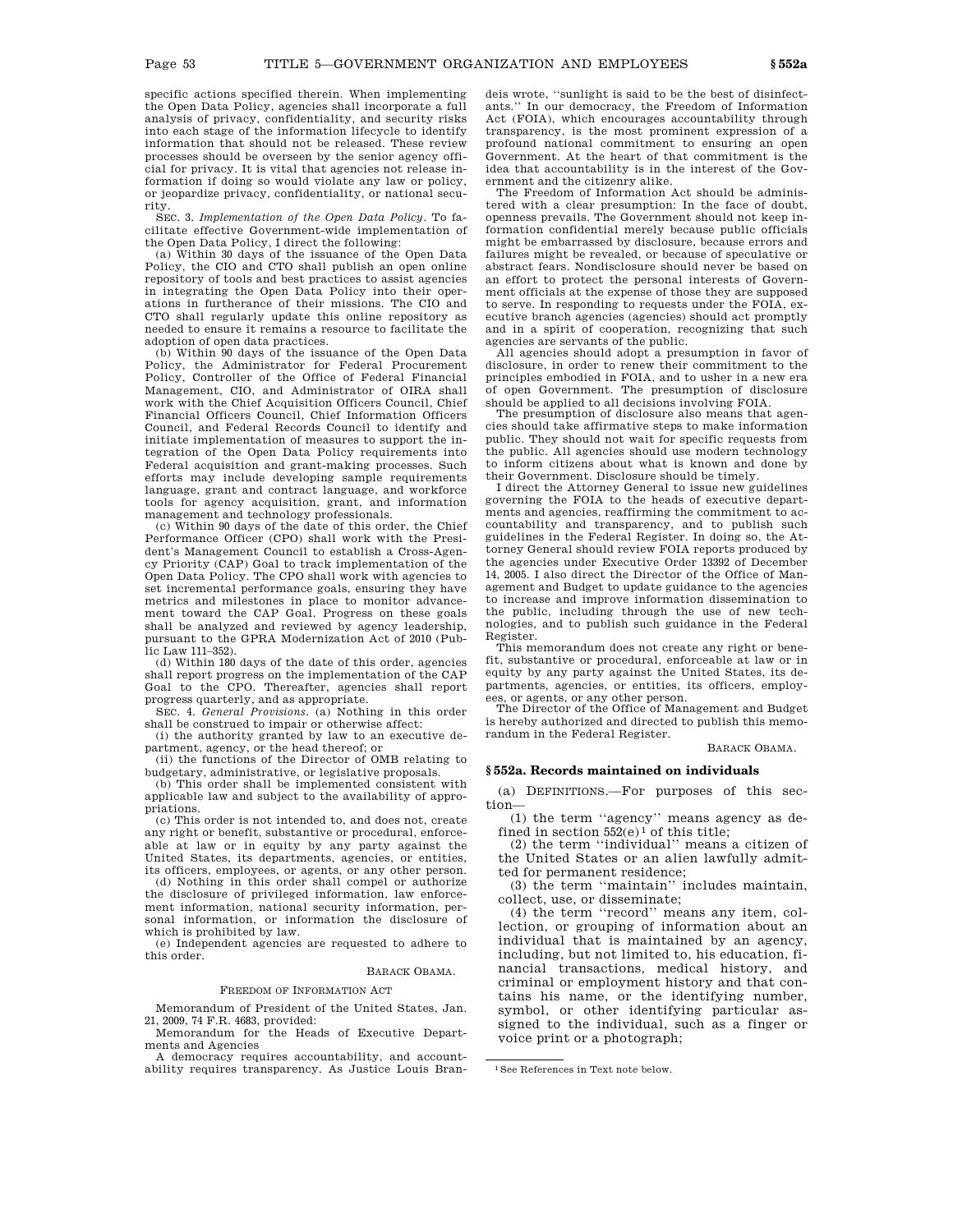specific actions specified therein. When implementing the Open Data Policy, agencies shall incorporate a full analysis of privacy, confidentiality, and security risks into each stage of the information lifecycle to identify information that should not be released. These review processes should be overseen by the senior agency official for privacy. It is vital that agencies not release information if doing so would violate any law or policy, or jeopardize privacy, confidentiality, or national security.

SEC. 3. *Implementation of the Open Data Policy*. To facilitate effective Government-wide implementation of the Open Data Policy, I direct the following:

(a) Within 30 days of the issuance of the Open Data Policy, the CIO and CTO shall publish an open online repository of tools and best practices to assist agencies in integrating the Open Data Policy into their operations in furtherance of their missions. The CIO and CTO shall regularly update this online repository as needed to ensure it remains a resource to facilitate the adoption of open data practices.

(b) Within 90 days of the issuance of the Open Data Policy, the Administrator for Federal Procurement Policy, Controller of the Office of Federal Financial Management, CIO, and Administrator of OIRA shall work with the Chief Acquisition Officers Council, Chief Financial Officers Council, Chief Information Officers Council, and Federal Records Council to identify and initiate implementation of measures to support the integration of the Open Data Policy requirements into Federal acquisition and grant-making processes. Such efforts may include developing sample requirements language, grant and contract language, and workforce tools for agency acquisition, grant, and information management and technology professionals.

(c) Within 90 days of the date of this order, the Chief Performance Officer (CPO) shall work with the President's Management Council to establish a Cross-Agency Priority (CAP) Goal to track implementation of the Open Data Policy. The CPO shall work with agencies to set incremental performance goals, ensuring they have metrics and milestones in place to monitor advancement toward the CAP Goal. Progress on these goals shall be analyzed and reviewed by agency leadership, pursuant to the GPRA Modernization Act of 2010 (Public Law 111–352).

(d) Within 180 days of the date of this order, agencies shall report progress on the implementation of the CAP Goal to the CPO. Thereafter, agencies shall report

progress quarterly, and as appropriate. SEC. 4. *General Provisions*. (a) Nothing in this order shall be construed to impair or otherwise affect:

(i) the authority granted by law to an executive department, agency, or the head thereof; or

(ii) the functions of the Director of OMB relating to budgetary, administrative, or legislative proposals.

(b) This order shall be implemented consistent with applicable law and subject to the availability of appropriations.

(c) This order is not intended to, and does not, create any right or benefit, substantive or procedural, enforceable at law or in equity by any party against the United States, its departments, agencies, or entities, its officers, employees, or agents, or any other person.

(d) Nothing in this order shall compel or authorize the disclosure of privileged information, law enforcement information, national security information, personal information, or information the disclosure of which is prohibited by law.

(e) Independent agencies are requested to adhere to this order.

### BARACK OBAMA.

## FREEDOM OF INFORMATION ACT

Memorandum of President of the United States, Jan. 21, 2009, 74 F.R. 4683, provided:

Memorandum for the Heads of Executive Departments and Agencies

A democracy requires accountability, and accountability requires transparency. As Justice Louis Brandeis wrote, ''sunlight is said to be the best of disinfectants.'' In our democracy, the Freedom of Information Act (FOIA), which encourages accountability through transparency, is the most prominent expression of a profound national commitment to ensuring an open Government. At the heart of that commitment is the idea that accountability is in the interest of the Government and the citizenry alike.

The Freedom of Information Act should be administered with a clear presumption: In the face of doubt, openness prevails. The Government should not keep information confidential merely because public officials might be embarrassed by disclosure, because errors and failures might be revealed, or because of speculative or abstract fears. Nondisclosure should never be based on an effort to protect the personal interests of Government officials at the expense of those they are supposed to serve. In responding to requests under the FOIA, executive branch agencies (agencies) should act promptly and in a spirit of cooperation, recognizing that such agencies are servants of the public.

All agencies should adopt a presumption in favor of disclosure, in order to renew their commitment to the principles embodied in FOIA, and to usher in a new era of open Government. The presumption of disclosure should be applied to all decisions involving FOIA.

The presumption of disclosure also means that agencies should take affirmative steps to make information public. They should not wait for specific requests from the public. All agencies should use modern technology to inform citizens about what is known and done by their Government. Disclosure should be timely.

I direct the Attorney General to issue new guidelines governing the FOIA to the heads of executive departments and agencies, reaffirming the commitment to accountability and transparency, and to publish such guidelines in the Federal Register. In doing so, the Attorney General should review FOIA reports produced by the agencies under Executive Order 13392 of December 14, 2005. I also direct the Director of the Office of Management and Budget to update guidance to the agencies to increase and improve information dissemination to the public, including through the use of new technologies, and to publish such guidance in the Federal Register.

This memorandum does not create any right or benefit, substantive or procedural, enforceable at law or in equity by any party against the United States, its departments, agencies, or entities, its officers, employees, or agents, or any other person.

The Director of the Office of Management and Budget is hereby authorized and directed to publish this memorandum in the Federal Register.

### BARACK OBAMA.

## **§ 552a. Records maintained on individuals**

(a) DEFINITIONS.—For purposes of this section—

(1) the term ''agency'' means agency as defined in section  $552(e)^1$  of this title;

(2) the term ''individual'' means a citizen of the United States or an alien lawfully admitted for permanent residence;

(3) the term ''maintain'' includes maintain, collect, use, or disseminate;

(4) the term ''record'' means any item, collection, or grouping of information about an individual that is maintained by an agency, including, but not limited to, his education, financial transactions, medical history, and criminal or employment history and that contains his name, or the identifying number, symbol, or other identifying particular assigned to the individual, such as a finger or voice print or a photograph;

<sup>1</sup>See References in Text note below.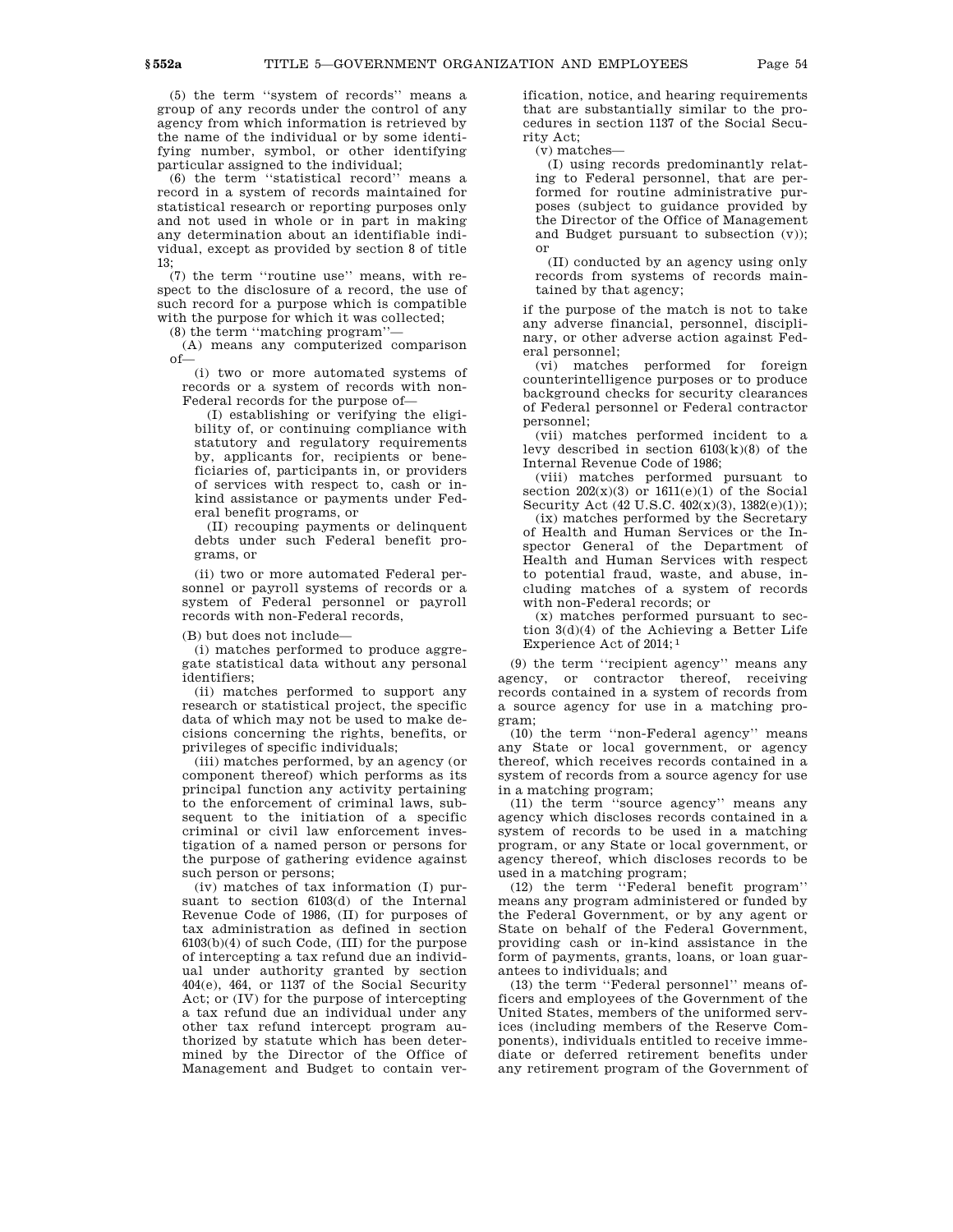(5) the term ''system of records'' means a group of any records under the control of any agency from which information is retrieved by the name of the individual or by some identifying number, symbol, or other identifying particular assigned to the individual;

(6) the term ''statistical record'' means a record in a system of records maintained for statistical research or reporting purposes only and not used in whole or in part in making any determination about an identifiable individual, except as provided by section 8 of title 13;

(7) the term ''routine use'' means, with respect to the disclosure of a record, the use of such record for a purpose which is compatible with the purpose for which it was collected;

(8) the term "matching program"

(A) means any computerized comparison of—

(i) two or more automated systems of records or a system of records with non-Federal records for the purpose of—

(I) establishing or verifying the eligibility of, or continuing compliance with statutory and regulatory requirements by, applicants for, recipients or beneficiaries of, participants in, or providers of services with respect to, cash or inkind assistance or payments under Federal benefit programs, or

(II) recouping payments or delinquent debts under such Federal benefit programs, or

(ii) two or more automated Federal personnel or payroll systems of records or a system of Federal personnel or payroll records with non-Federal records,

(B) but does not include—

(i) matches performed to produce aggregate statistical data without any personal identifiers;

(ii) matches performed to support any research or statistical project, the specific data of which may not be used to make decisions concerning the rights, benefits, or privileges of specific individuals;

(iii) matches performed, by an agency (or component thereof) which performs as its principal function any activity pertaining to the enforcement of criminal laws, subsequent to the initiation of a specific criminal or civil law enforcement investigation of a named person or persons for the purpose of gathering evidence against such person or persons;

(iv) matches of tax information (I) pursuant to section 6103(d) of the Internal Revenue Code of 1986, (II) for purposes of tax administration as defined in section 6103(b)(4) of such Code, (III) for the purpose of intercepting a tax refund due an individual under authority granted by section 404(e), 464, or 1137 of the Social Security Act; or (IV) for the purpose of intercepting a tax refund due an individual under any other tax refund intercept program authorized by statute which has been determined by the Director of the Office of Management and Budget to contain verification, notice, and hearing requirements that are substantially similar to the procedures in section 1137 of the Social Security Act;

(v) matches—

(I) using records predominantly relating to Federal personnel, that are performed for routine administrative purposes (subject to guidance provided by the Director of the Office of Management and Budget pursuant to subsection (v)); or

(II) conducted by an agency using only records from systems of records maintained by that agency;

if the purpose of the match is not to take any adverse financial, personnel, disciplinary, or other adverse action against Federal personnel;

(vi) matches performed for foreign counterintelligence purposes or to produce background checks for security clearances of Federal personnel or Federal contractor personnel;

(vii) matches performed incident to a levy described in section  $6103(k)(8)$  of the Internal Revenue Code of 1986;

(viii) matches performed pursuant to section  $202(x)(3)$  or  $1611(e)(1)$  of the Social Security Act (42 U.S.C. 402(x)(3), 1382(e)(1));

(ix) matches performed by the Secretary of Health and Human Services or the Inspector General of the Department of Health and Human Services with respect to potential fraud, waste, and abuse, including matches of a system of records with non-Federal records; or

(x) matches performed pursuant to section 3(d)(4) of the Achieving a Better Life Experience Act of 2014; 1

(9) the term ''recipient agency'' means any agency, or contractor thereof, receiving records contained in a system of records from a source agency for use in a matching program;

(10) the term ''non-Federal agency'' means any State or local government, or agency thereof, which receives records contained in a system of records from a source agency for use in a matching program;

(11) the term ''source agency'' means any agency which discloses records contained in a system of records to be used in a matching program, or any State or local government, or agency thereof, which discloses records to be used in a matching program;

(12) the term ''Federal benefit program'' means any program administered or funded by the Federal Government, or by any agent or State on behalf of the Federal Government, providing cash or in-kind assistance in the form of payments, grants, loans, or loan guarantees to individuals; and

(13) the term ''Federal personnel'' means officers and employees of the Government of the United States, members of the uniformed services (including members of the Reserve Components), individuals entitled to receive immediate or deferred retirement benefits under any retirement program of the Government of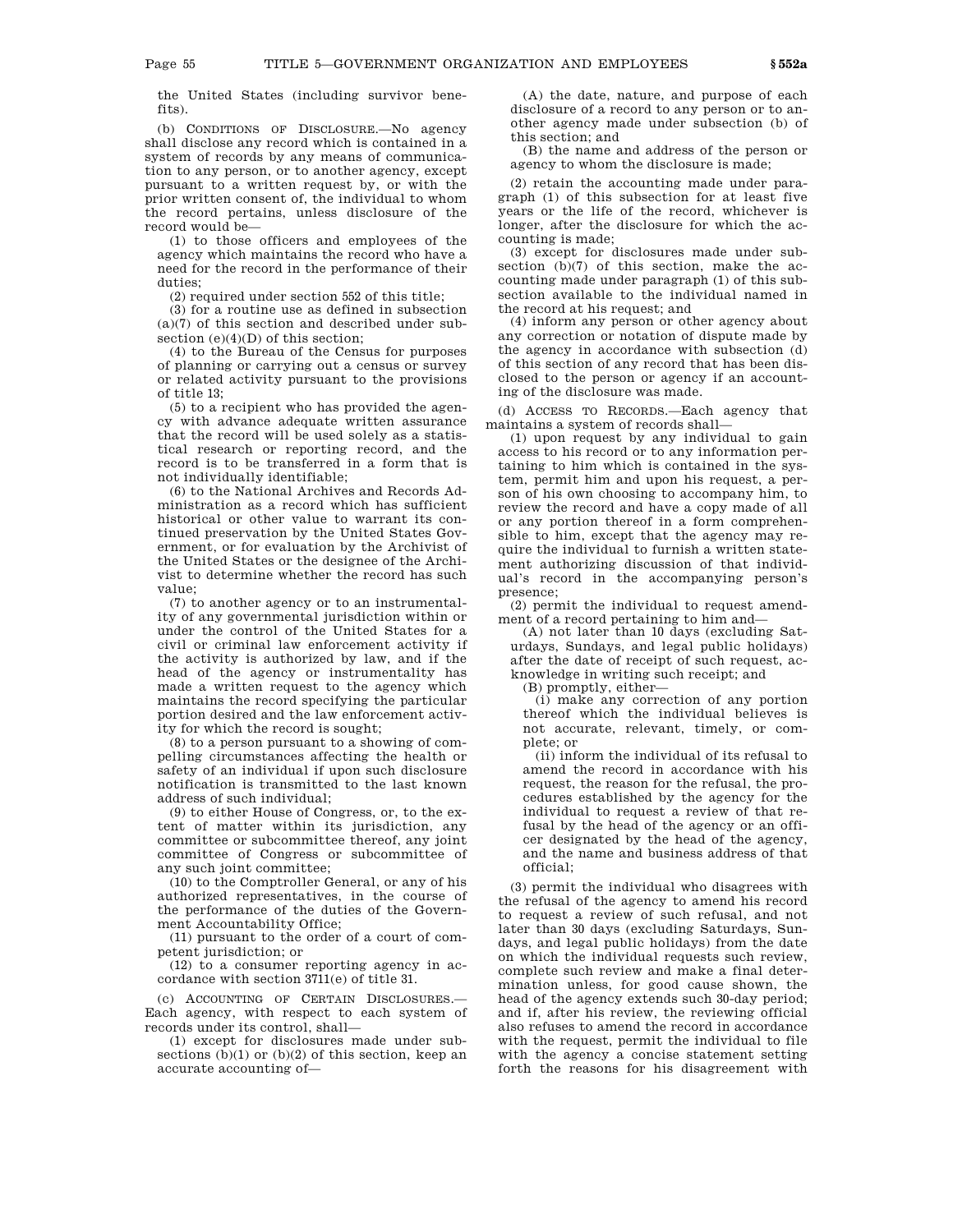the United States (including survivor benefits).

(b) CONDITIONS OF DISCLOSURE.—No agency shall disclose any record which is contained in a system of records by any means of communication to any person, or to another agency, except pursuant to a written request by, or with the prior written consent of, the individual to whom the record pertains, unless disclosure of the record would be—

(1) to those officers and employees of the agency which maintains the record who have a need for the record in the performance of their duties;

(2) required under section 552 of this title;

(3) for a routine use as defined in subsection (a)(7) of this section and described under subsection (e)(4)(D) of this section;

(4) to the Bureau of the Census for purposes of planning or carrying out a census or survey or related activity pursuant to the provisions of title 13;

(5) to a recipient who has provided the agency with advance adequate written assurance that the record will be used solely as a statistical research or reporting record, and the record is to be transferred in a form that is not individually identifiable;

(6) to the National Archives and Records Administration as a record which has sufficient historical or other value to warrant its continued preservation by the United States Government, or for evaluation by the Archivist of the United States or the designee of the Archivist to determine whether the record has such value;

(7) to another agency or to an instrumentality of any governmental jurisdiction within or under the control of the United States for a civil or criminal law enforcement activity if the activity is authorized by law, and if the head of the agency or instrumentality has made a written request to the agency which maintains the record specifying the particular portion desired and the law enforcement activity for which the record is sought;

(8) to a person pursuant to a showing of compelling circumstances affecting the health or safety of an individual if upon such disclosure notification is transmitted to the last known address of such individual;

(9) to either House of Congress, or, to the extent of matter within its jurisdiction, any committee or subcommittee thereof, any joint committee of Congress or subcommittee of any such joint committee;

(10) to the Comptroller General, or any of his authorized representatives, in the course of the performance of the duties of the Government Accountability Office;

(11) pursuant to the order of a court of competent jurisdiction; or

(12) to a consumer reporting agency in accordance with section 3711(e) of title 31.

(c) ACCOUNTING OF CERTAIN DISCLOSURES.— Each agency, with respect to each system of records under its control, shall—

(1) except for disclosures made under subsections  $(b)(1)$  or  $(b)(2)$  of this section, keep an accurate accounting of—

(A) the date, nature, and purpose of each disclosure of a record to any person or to another agency made under subsection (b) of this section; and

(B) the name and address of the person or agency to whom the disclosure is made;

(2) retain the accounting made under paragraph (1) of this subsection for at least five years or the life of the record, whichever is longer, after the disclosure for which the accounting is made;

(3) except for disclosures made under subsection  $(b)(7)$  of this section, make the accounting made under paragraph (1) of this subsection available to the individual named in the record at his request; and

(4) inform any person or other agency about any correction or notation of dispute made by the agency in accordance with subsection (d) of this section of any record that has been disclosed to the person or agency if an accounting of the disclosure was made.

(d) ACCESS TO RECORDS.—Each agency that maintains a system of records shall—

(1) upon request by any individual to gain access to his record or to any information pertaining to him which is contained in the system, permit him and upon his request, a person of his own choosing to accompany him, to review the record and have a copy made of all or any portion thereof in a form comprehensible to him, except that the agency may require the individual to furnish a written statement authorizing discussion of that individual's record in the accompanying person's presence;

(2) permit the individual to request amendment of a record pertaining to him and—

(A) not later than 10 days (excluding Saturdays, Sundays, and legal public holidays) after the date of receipt of such request, acknowledge in writing such receipt; and

(B) promptly, either—

(i) make any correction of any portion thereof which the individual believes is not accurate, relevant, timely, or complete; or

(ii) inform the individual of its refusal to amend the record in accordance with his request, the reason for the refusal, the procedures established by the agency for the individual to request a review of that refusal by the head of the agency or an officer designated by the head of the agency, and the name and business address of that official;

(3) permit the individual who disagrees with the refusal of the agency to amend his record to request a review of such refusal, and not later than 30 days (excluding Saturdays, Sundays, and legal public holidays) from the date on which the individual requests such review, complete such review and make a final determination unless, for good cause shown, the head of the agency extends such 30-day period; and if, after his review, the reviewing official also refuses to amend the record in accordance with the request, permit the individual to file with the agency a concise statement setting forth the reasons for his disagreement with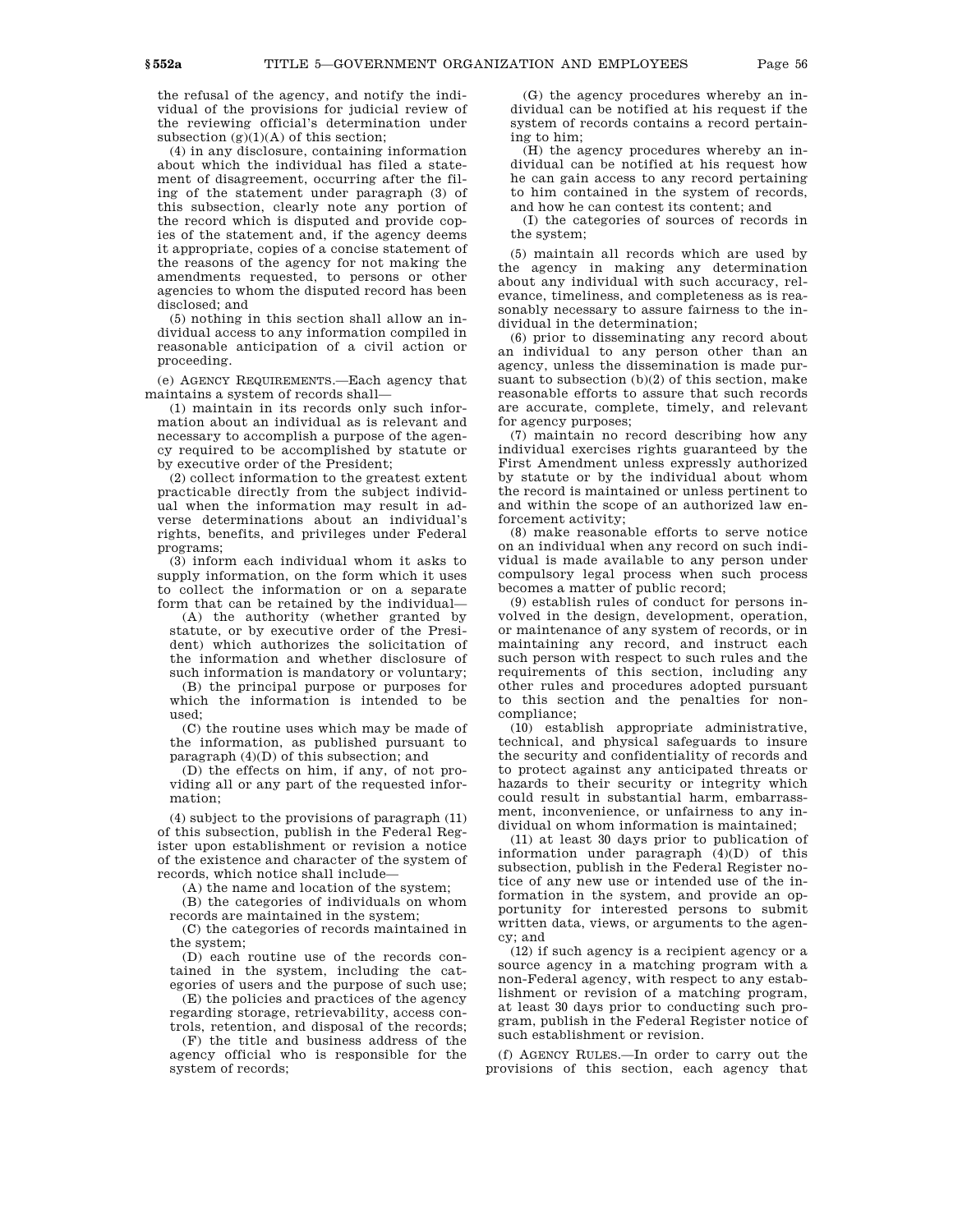the refusal of the agency, and notify the individual of the provisions for judicial review of the reviewing official's determination under subsection  $(g)(1)(A)$  of this section:

(4) in any disclosure, containing information about which the individual has filed a statement of disagreement, occurring after the filing of the statement under paragraph (3) of this subsection, clearly note any portion of the record which is disputed and provide copies of the statement and, if the agency deems it appropriate, copies of a concise statement of the reasons of the agency for not making the amendments requested, to persons or other agencies to whom the disputed record has been disclosed; and

(5) nothing in this section shall allow an individual access to any information compiled in reasonable anticipation of a civil action or proceeding.

(e) AGENCY REQUIREMENTS.—Each agency that maintains a system of records shall—

(1) maintain in its records only such information about an individual as is relevant and necessary to accomplish a purpose of the agency required to be accomplished by statute or by executive order of the President;

(2) collect information to the greatest extent practicable directly from the subject individual when the information may result in adverse determinations about an individual's rights, benefits, and privileges under Federal programs;

(3) inform each individual whom it asks to supply information, on the form which it uses to collect the information or on a separate form that can be retained by the individual—

(A) the authority (whether granted by statute, or by executive order of the President) which authorizes the solicitation of the information and whether disclosure of such information is mandatory or voluntary;

(B) the principal purpose or purposes for which the information is intended to be used;

(C) the routine uses which may be made of the information, as published pursuant to paragraph (4)(D) of this subsection; and

(D) the effects on him, if any, of not providing all or any part of the requested information;

(4) subject to the provisions of paragraph (11) of this subsection, publish in the Federal Register upon establishment or revision a notice of the existence and character of the system of records, which notice shall include—

(A) the name and location of the system;

(B) the categories of individuals on whom records are maintained in the system;

(C) the categories of records maintained in the system;

(D) each routine use of the records contained in the system, including the categories of users and the purpose of such use;

(E) the policies and practices of the agency regarding storage, retrievability, access controls, retention, and disposal of the records;

(F) the title and business address of the agency official who is responsible for the system of records;

(G) the agency procedures whereby an individual can be notified at his request if the system of records contains a record pertaining to him;

(H) the agency procedures whereby an individual can be notified at his request how he can gain access to any record pertaining to him contained in the system of records, and how he can contest its content; and

(I) the categories of sources of records in the system;

(5) maintain all records which are used by the agency in making any determination about any individual with such accuracy, relevance, timeliness, and completeness as is reasonably necessary to assure fairness to the individual in the determination;

(6) prior to disseminating any record about an individual to any person other than an agency, unless the dissemination is made pursuant to subsection (b)(2) of this section, make reasonable efforts to assure that such records are accurate, complete, timely, and relevant for agency purposes;

(7) maintain no record describing how any individual exercises rights guaranteed by the First Amendment unless expressly authorized by statute or by the individual about whom the record is maintained or unless pertinent to and within the scope of an authorized law enforcement activity;

(8) make reasonable efforts to serve notice on an individual when any record on such individual is made available to any person under compulsory legal process when such process becomes a matter of public record;

(9) establish rules of conduct for persons involved in the design, development, operation, or maintenance of any system of records, or in maintaining any record, and instruct each such person with respect to such rules and the requirements of this section, including any other rules and procedures adopted pursuant to this section and the penalties for noncompliance;

(10) establish appropriate administrative, technical, and physical safeguards to insure the security and confidentiality of records and to protect against any anticipated threats or hazards to their security or integrity which could result in substantial harm, embarrassment, inconvenience, or unfairness to any individual on whom information is maintained;

(11) at least 30 days prior to publication of information under paragraph (4)(D) of this subsection, publish in the Federal Register notice of any new use or intended use of the information in the system, and provide an opportunity for interested persons to submit written data, views, or arguments to the agency; and

(12) if such agency is a recipient agency or a source agency in a matching program with a non-Federal agency, with respect to any establishment or revision of a matching program, at least 30 days prior to conducting such program, publish in the Federal Register notice of such establishment or revision.

(f) AGENCY RULES.—In order to carry out the provisions of this section, each agency that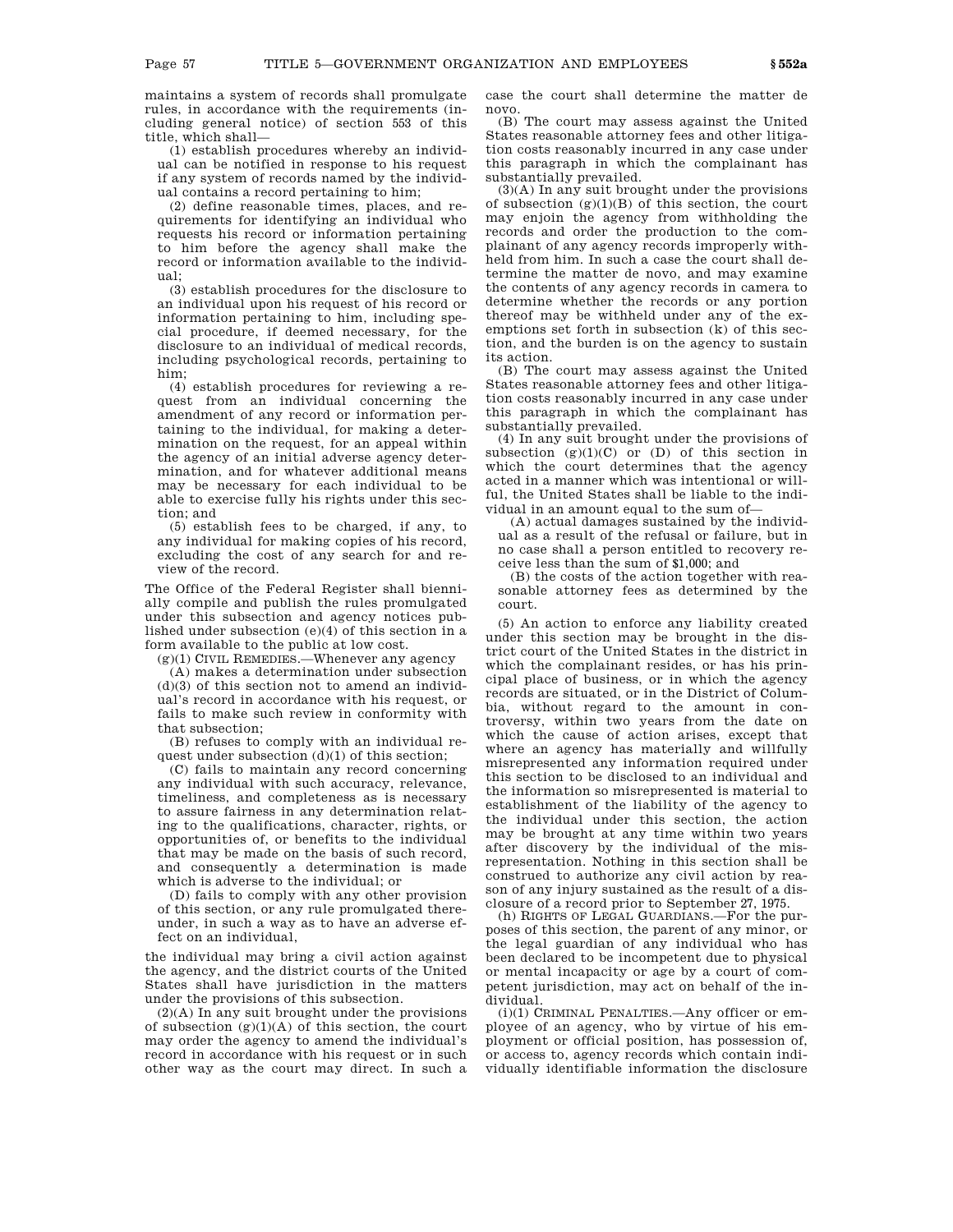maintains a system of records shall promulgate rules, in accordance with the requirements (including general notice) of section 553 of this title, which shall—

(1) establish procedures whereby an individual can be notified in response to his request if any system of records named by the individual contains a record pertaining to him;

(2) define reasonable times, places, and requirements for identifying an individual who requests his record or information pertaining to him before the agency shall make the record or information available to the individual;

(3) establish procedures for the disclosure to an individual upon his request of his record or information pertaining to him, including special procedure, if deemed necessary, for the disclosure to an individual of medical records, including psychological records, pertaining to him;

(4) establish procedures for reviewing a request from an individual concerning the amendment of any record or information pertaining to the individual, for making a determination on the request, for an appeal within the agency of an initial adverse agency determination, and for whatever additional means may be necessary for each individual to be able to exercise fully his rights under this section; and

 $(5)$  establish fees to be charged, if any, to any individual for making copies of his record, excluding the cost of any search for and review of the record.

The Office of the Federal Register shall biennially compile and publish the rules promulgated under this subsection and agency notices published under subsection (e)(4) of this section in a form available to the public at low cost.

(g)(1) CIVIL REMEDIES.—Whenever any agency

(A) makes a determination under subsection  $(d)(3)$  of this section not to amend an individual's record in accordance with his request, or fails to make such review in conformity with that subsection;

(B) refuses to comply with an individual request under subsection (d)(1) of this section;

(C) fails to maintain any record concerning any individual with such accuracy, relevance, timeliness, and completeness as is necessary to assure fairness in any determination relating to the qualifications, character, rights, or opportunities of, or benefits to the individual that may be made on the basis of such record, and consequently a determination is made which is adverse to the individual; or

(D) fails to comply with any other provision of this section, or any rule promulgated thereunder, in such a way as to have an adverse effect on an individual,

the individual may bring a civil action against the agency, and the district courts of the United States shall have jurisdiction in the matters under the provisions of this subsection.

(2)(A) In any suit brought under the provisions of subsection  $(g)(1)(A)$  of this section, the court may order the agency to amend the individual's record in accordance with his request or in such other way as the court may direct. In such a case the court shall determine the matter de novo.

(B) The court may assess against the United States reasonable attorney fees and other litigation costs reasonably incurred in any case under this paragraph in which the complainant has substantially prevailed.

 $(3)(A)$  In any suit brought under the provisions of subsection  $(g)(1)(B)$  of this section, the court may enjoin the agency from withholding the records and order the production to the complainant of any agency records improperly withheld from him. In such a case the court shall determine the matter de novo, and may examine the contents of any agency records in camera to determine whether the records or any portion thereof may be withheld under any of the exemptions set forth in subsection (k) of this section, and the burden is on the agency to sustain its action.

(B) The court may assess against the United States reasonable attorney fees and other litigation costs reasonably incurred in any case under this paragraph in which the complainant has substantially prevailed.

(4) In any suit brought under the provisions of subsection  $(g)(1)(C)$  or  $(D)$  of this section in which the court determines that the agency acted in a manner which was intentional or willful, the United States shall be liable to the individual in an amount equal to the sum of—

(A) actual damages sustained by the individual as a result of the refusal or failure, but in no case shall a person entitled to recovery receive less than the sum of \$1,000; and

(B) the costs of the action together with reasonable attorney fees as determined by the court.

(5) An action to enforce any liability created under this section may be brought in the district court of the United States in the district in which the complainant resides, or has his principal place of business, or in which the agency records are situated, or in the District of Columbia, without regard to the amount in controversy, within two years from the date on which the cause of action arises, except that where an agency has materially and willfully misrepresented any information required under this section to be disclosed to an individual and the information so misrepresented is material to establishment of the liability of the agency to the individual under this section, the action may be brought at any time within two years after discovery by the individual of the misrepresentation. Nothing in this section shall be construed to authorize any civil action by reason of any injury sustained as the result of a disclosure of a record prior to September 27, 1975.

(h) RIGHTS OF LEGAL GUARDIANS.—For the purposes of this section, the parent of any minor, or the legal guardian of any individual who has been declared to be incompetent due to physical or mental incapacity or age by a court of competent jurisdiction, may act on behalf of the individual.

(i)(1) CRIMINAL PENALTIES.—Any officer or employee of an agency, who by virtue of his employment or official position, has possession of, or access to, agency records which contain individually identifiable information the disclosure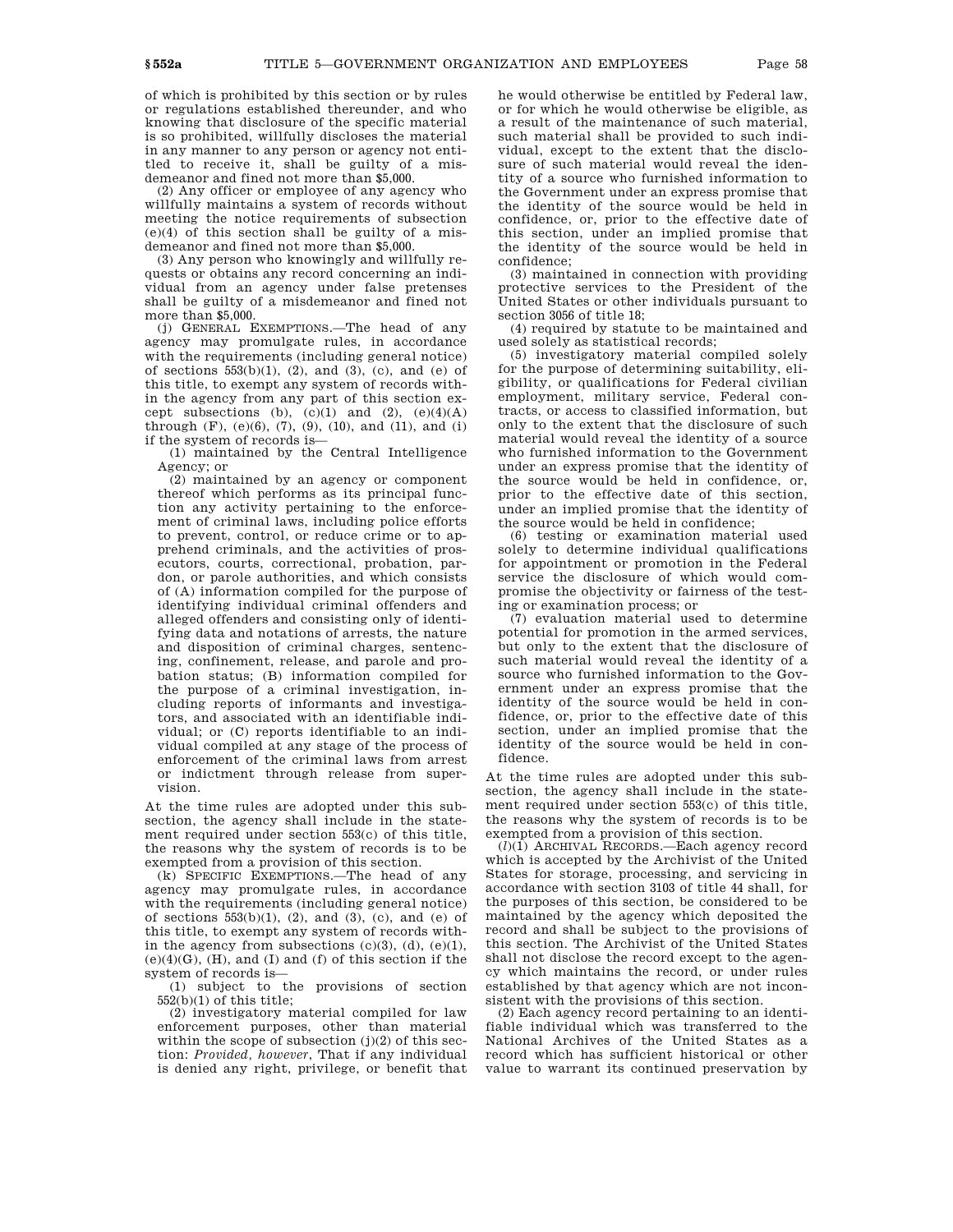of which is prohibited by this section or by rules or regulations established thereunder, and who knowing that disclosure of the specific material is so prohibited, willfully discloses the material in any manner to any person or agency not entitled to receive it, shall be guilty of a misdemeanor and fined not more than \$5,000.

(2) Any officer or employee of any agency who willfully maintains a system of records without meeting the notice requirements of subsection  $(e)(4)$  of this section shall be guilty of a misdemeanor and fined not more than \$5,000.

(3) Any person who knowingly and willfully requests or obtains any record concerning an individual from an agency under false pretenses shall be guilty of a misdemeanor and fined not more than \$5,000.

(j) GENERAL EXEMPTIONS.—The head of any agency may promulgate rules, in accordance with the requirements (including general notice) of sections  $553(b)(1)$ ,  $(2)$ , and  $(3)$ ,  $(c)$ , and  $(e)$  of this title, to exempt any system of records within the agency from any part of this section except subsections (b),  $(c)(1)$  and  $(2)$ ,  $(e)(4)(A)$ through (F), (e)(6), (7), (9), (10), and (11), and (i) if the system of records is—

(1) maintained by the Central Intelligence Agency; or

(2) maintained by an agency or component thereof which performs as its principal function any activity pertaining to the enforcement of criminal laws, including police efforts to prevent, control, or reduce crime or to apprehend criminals, and the activities of prosecutors, courts, correctional, probation, pardon, or parole authorities, and which consists of (A) information compiled for the purpose of identifying individual criminal offenders and alleged offenders and consisting only of identifying data and notations of arrests, the nature and disposition of criminal charges, sentencing, confinement, release, and parole and probation status; (B) information compiled for the purpose of a criminal investigation, including reports of informants and investigators, and associated with an identifiable individual; or (C) reports identifiable to an individual compiled at any stage of the process of enforcement of the criminal laws from arrest or indictment through release from supervision.

At the time rules are adopted under this subsection, the agency shall include in the statement required under section 553(c) of this title, the reasons why the system of records is to be exempted from a provision of this section.

(k) SPECIFIC EXEMPTIONS.—The head of any agency may promulgate rules, in accordance with the requirements (including general notice) of sections  $553(b)(1)$ ,  $(2)$ , and  $(3)$ ,  $(c)$ , and  $(e)$  of this title, to exempt any system of records within the agency from subsections  $(c)(3)$ ,  $(d)$ ,  $(e)(1)$ ,  $(e)(4)(G)$ ,  $(H)$ , and  $(I)$  and  $(f)$  of this section if the system of records is—

(1) subject to the provisions of section 552(b)(1) of this title;

(2) investigatory material compiled for law enforcement purposes, other than material within the scope of subsection  $(j)(2)$  of this section: *Provided, however*, That if any individual is denied any right, privilege, or benefit that he would otherwise be entitled by Federal law, or for which he would otherwise be eligible, as a result of the maintenance of such material, such material shall be provided to such individual, except to the extent that the disclosure of such material would reveal the identity of a source who furnished information to the Government under an express promise that the identity of the source would be held in confidence, or, prior to the effective date of this section, under an implied promise that the identity of the source would be held in confidence;

(3) maintained in connection with providing protective services to the President of the United States or other individuals pursuant to section 3056 of title 18;

(4) required by statute to be maintained and used solely as statistical records;

(5) investigatory material compiled solely for the purpose of determining suitability, eligibility, or qualifications for Federal civilian employment, military service, Federal contracts, or access to classified information, but only to the extent that the disclosure of such material would reveal the identity of a source who furnished information to the Government under an express promise that the identity of the source would be held in confidence, or, prior to the effective date of this section, under an implied promise that the identity of the source would be held in confidence;

(6) testing or examination material used solely to determine individual qualifications for appointment or promotion in the Federal service the disclosure of which would compromise the objectivity or fairness of the testing or examination process; or

(7) evaluation material used to determine potential for promotion in the armed services, but only to the extent that the disclosure of such material would reveal the identity of a source who furnished information to the Government under an express promise that the identity of the source would be held in confidence, or, prior to the effective date of this section, under an implied promise that the identity of the source would be held in confidence.

At the time rules are adopted under this subsection, the agency shall include in the statement required under section 553(c) of this title, the reasons why the system of records is to be exempted from a provision of this section.

 $(l)(\overline{l})$  ARCHIVAL RECORDS.—Each agency record which is accepted by the Archivist of the United States for storage, processing, and servicing in accordance with section 3103 of title 44 shall, for the purposes of this section, be considered to be maintained by the agency which deposited the record and shall be subject to the provisions of this section. The Archivist of the United States shall not disclose the record except to the agency which maintains the record, or under rules established by that agency which are not inconsistent with the provisions of this section.

(2) Each agency record pertaining to an identifiable individual which was transferred to the National Archives of the United States as a record which has sufficient historical or other value to warrant its continued preservation by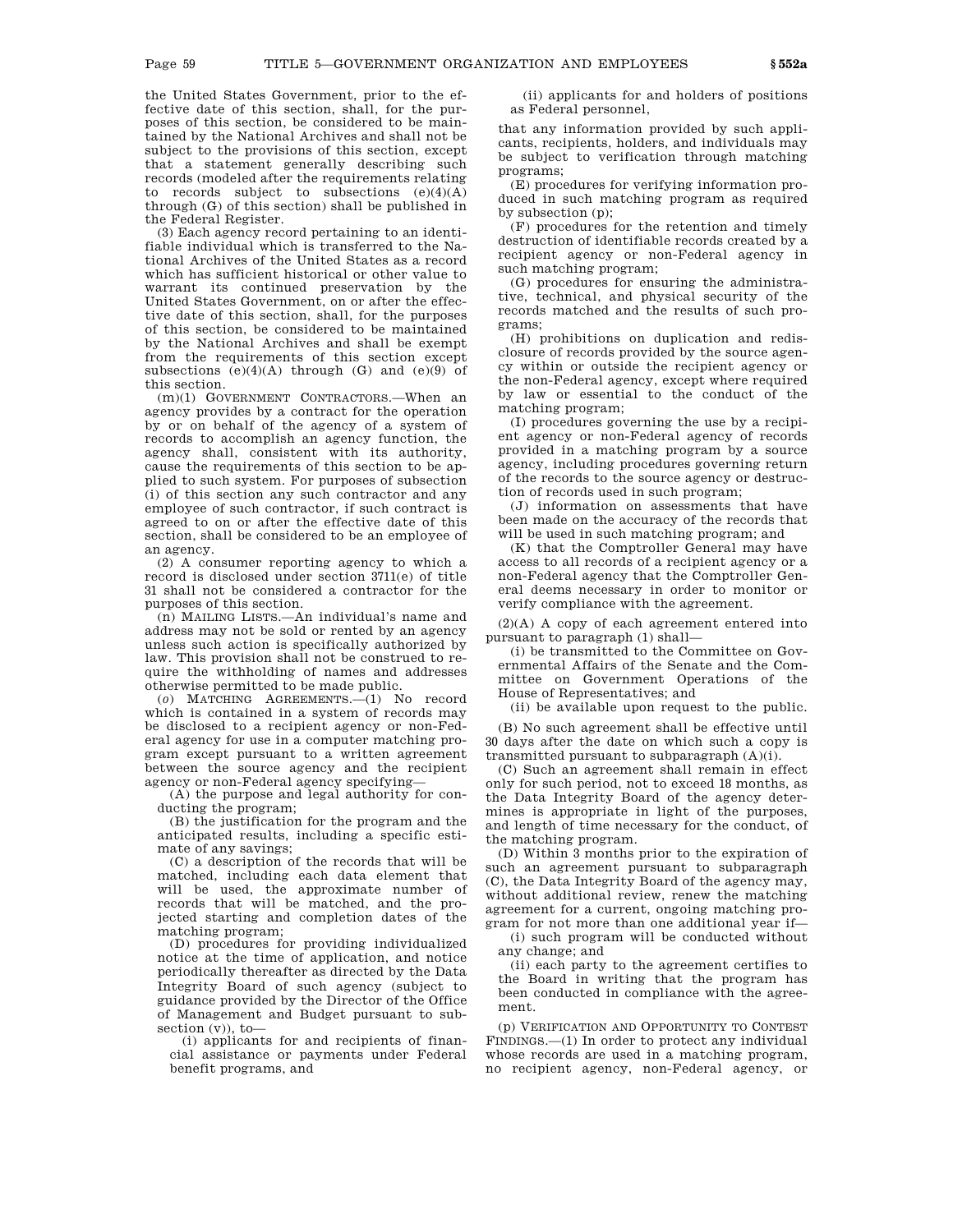the United States Government, prior to the effective date of this section, shall, for the purposes of this section, be considered to be maintained by the National Archives and shall not be subject to the provisions of this section, except that a statement generally describing such records (modeled after the requirements relating to records subject to subsections  $(e)(4)(A)$ through (G) of this section) shall be published in the Federal Register.

(3) Each agency record pertaining to an identifiable individual which is transferred to the National Archives of the United States as a record which has sufficient historical or other value to warrant its continued preservation by the United States Government, on or after the effective date of this section, shall, for the purposes of this section, be considered to be maintained by the National Archives and shall be exempt from the requirements of this section except subsections  $(e)(4)(A)$  through  $(G)$  and  $(e)(9)$  of this section.

(m)(1) GOVERNMENT CONTRACTORS.—When an agency provides by a contract for the operation by or on behalf of the agency of a system of records to accomplish an agency function, the agency shall, consistent with its authority, cause the requirements of this section to be applied to such system. For purposes of subsection (i) of this section any such contractor and any employee of such contractor, if such contract is agreed to on or after the effective date of this section, shall be considered to be an employee of an agency.

(2) A consumer reporting agency to which a record is disclosed under section 3711(e) of title 31 shall not be considered a contractor for the purposes of this section.

(n) MAILING LISTS.—An individual's name and address may not be sold or rented by an agency unless such action is specifically authorized by law. This provision shall not be construed to require the withholding of names and addresses otherwise permitted to be made public.

(*o*) MATCHING AGREEMENTS.—(1) No record which is contained in a system of records may be disclosed to a recipient agency or non-Federal agency for use in a computer matching program except pursuant to a written agreement between the source agency and the recipient agency or non-Federal agency specifying—

(A) the purpose and legal authority for conducting the program;

(B) the justification for the program and the anticipated results, including a specific estimate of any savings;

(C) a description of the records that will be matched, including each data element that will be used, the approximate number of records that will be matched, and the projected starting and completion dates of the matching program;

(D) procedures for providing individualized notice at the time of application, and notice periodically thereafter as directed by the Data Integrity Board of such agency (subject to guidance provided by the Director of the Office of Management and Budget pursuant to subsection  $(v)$ ), to-

(i) applicants for and recipients of financial assistance or payments under Federal benefit programs, and

(ii) applicants for and holders of positions as Federal personnel,

that any information provided by such applicants, recipients, holders, and individuals may be subject to verification through matching programs;

(E) procedures for verifying information produced in such matching program as required by subsection (p);

(F) procedures for the retention and timely destruction of identifiable records created by a recipient agency or non-Federal agency in such matching program;

(G) procedures for ensuring the administrative, technical, and physical security of the records matched and the results of such programs;

(H) prohibitions on duplication and redisclosure of records provided by the source agency within or outside the recipient agency or the non-Federal agency, except where required by law or essential to the conduct of the matching program;

(I) procedures governing the use by a recipient agency or non-Federal agency of records provided in a matching program by a source agency, including procedures governing return of the records to the source agency or destruction of records used in such program;

(J) information on assessments that have been made on the accuracy of the records that will be used in such matching program; and

(K) that the Comptroller General may have access to all records of a recipient agency or a non-Federal agency that the Comptroller General deems necessary in order to monitor or verify compliance with the agreement.

(2)(A) A copy of each agreement entered into pursuant to paragraph (1) shall—

(i) be transmitted to the Committee on Governmental Affairs of the Senate and the Committee on Government Operations of the House of Representatives; and

(ii) be available upon request to the public.

(B) No such agreement shall be effective until 30 days after the date on which such a copy is transmitted pursuant to subparagraph (A)(i).

(C) Such an agreement shall remain in effect only for such period, not to exceed 18 months, as the Data Integrity Board of the agency determines is appropriate in light of the purposes, and length of time necessary for the conduct, of the matching program.

(D) Within 3 months prior to the expiration of such an agreement pursuant to subparagraph (C), the Data Integrity Board of the agency may, without additional review, renew the matching agreement for a current, ongoing matching program for not more than one additional year if—

(i) such program will be conducted without any change; and

(ii) each party to the agreement certifies to the Board in writing that the program has been conducted in compliance with the agreement.

(p) VERIFICATION AND OPPORTUNITY TO CONTEST FINDINGS.—(1) In order to protect any individual whose records are used in a matching program, no recipient agency, non-Federal agency, or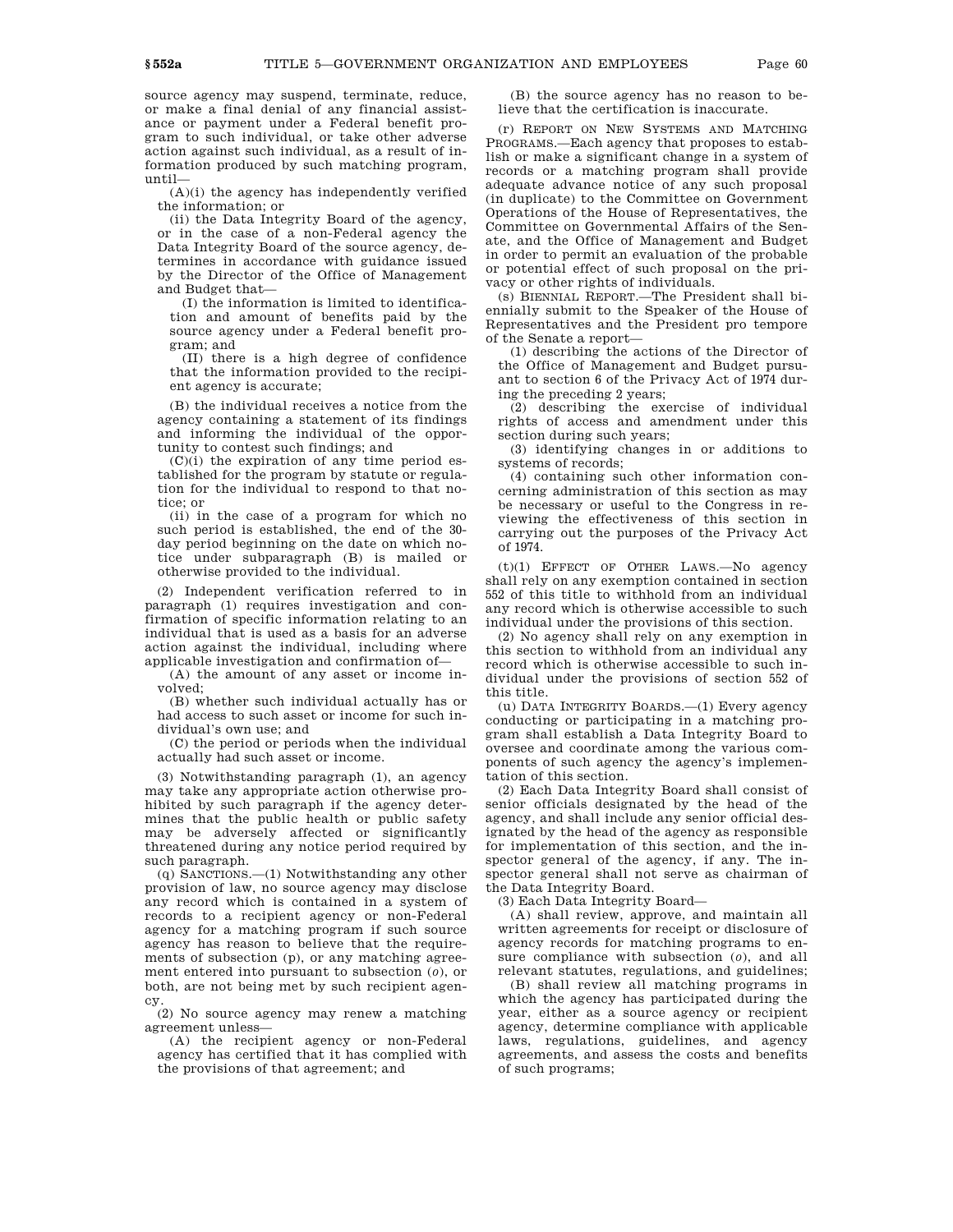source agency may suspend, terminate, reduce, or make a final denial of any financial assistance or payment under a Federal benefit program to such individual, or take other adverse action against such individual, as a result of information produced by such matching program, until—

(A)(i) the agency has independently verified the information; or

(ii) the Data Integrity Board of the agency, or in the case of a non-Federal agency the Data Integrity Board of the source agency, determines in accordance with guidance issued by the Director of the Office of Management and Budget that—

(I) the information is limited to identification and amount of benefits paid by the source agency under a Federal benefit program; and

(II) there is a high degree of confidence that the information provided to the recipient agency is accurate;

(B) the individual receives a notice from the agency containing a statement of its findings and informing the individual of the opportunity to contest such findings; and

(C)(i) the expiration of any time period established for the program by statute or regulation for the individual to respond to that notice; or

(ii) in the case of a program for which no such period is established, the end of the 30 day period beginning on the date on which notice under subparagraph (B) is mailed or otherwise provided to the individual.

(2) Independent verification referred to in paragraph (1) requires investigation and confirmation of specific information relating to an individual that is used as a basis for an adverse action against the individual, including where applicable investigation and confirmation of—

(A) the amount of any asset or income involved;

(B) whether such individual actually has or had access to such asset or income for such individual's own use; and

(C) the period or periods when the individual actually had such asset or income.

(3) Notwithstanding paragraph (1), an agency may take any appropriate action otherwise prohibited by such paragraph if the agency determines that the public health or public safety may be adversely affected or significantly threatened during any notice period required by such paragraph.

(q) SANCTIONS.—(1) Notwithstanding any other provision of law, no source agency may disclose any record which is contained in a system of records to a recipient agency or non-Federal agency for a matching program if such source agency has reason to believe that the requirements of subsection (p), or any matching agreement entered into pursuant to subsection (*o*), or both, are not being met by such recipient agency.

(2) No source agency may renew a matching agreement unless—

(A) the recipient agency or non-Federal agency has certified that it has complied with the provisions of that agreement; and

(B) the source agency has no reason to believe that the certification is inaccurate.

(r) REPORT ON NEW SYSTEMS AND MATCHING PROGRAMS.—Each agency that proposes to establish or make a significant change in a system of records or a matching program shall provide adequate advance notice of any such proposal (in duplicate) to the Committee on Government Operations of the House of Representatives, the Committee on Governmental Affairs of the Senate, and the Office of Management and Budget in order to permit an evaluation of the probable or potential effect of such proposal on the privacy or other rights of individuals.

(s) BIENNIAL REPORT.—The President shall biennially submit to the Speaker of the House of Representatives and the President pro tempore of the Senate a report—

(1) describing the actions of the Director of the Office of Management and Budget pursuant to section 6 of the Privacy Act of 1974 during the preceding 2 years;

(2) describing the exercise of individual rights of access and amendment under this section during such years;

(3) identifying changes in or additions to systems of records;

(4) containing such other information concerning administration of this section as may be necessary or useful to the Congress in reviewing the effectiveness of this section in carrying out the purposes of the Privacy Act of 1974.

(t)(1) EFFECT OF OTHER LAWS.—No agency shall rely on any exemption contained in section 552 of this title to withhold from an individual any record which is otherwise accessible to such individual under the provisions of this section.

(2) No agency shall rely on any exemption in this section to withhold from an individual any record which is otherwise accessible to such individual under the provisions of section 552 of this title.

(u) DATA INTEGRITY BOARDS.—(1) Every agency conducting or participating in a matching program shall establish a Data Integrity Board to oversee and coordinate among the various components of such agency the agency's implementation of this section.

(2) Each Data Integrity Board shall consist of senior officials designated by the head of the agency, and shall include any senior official designated by the head of the agency as responsible for implementation of this section, and the inspector general of the agency, if any. The inspector general shall not serve as chairman of the Data Integrity Board.

(3) Each Data Integrity Board—

(A) shall review, approve, and maintain all written agreements for receipt or disclosure of agency records for matching programs to ensure compliance with subsection (*o*), and all relevant statutes, regulations, and guidelines;

(B) shall review all matching programs in which the agency has participated during the year, either as a source agency or recipient agency, determine compliance with applicable laws, regulations, guidelines, and agency agreements, and assess the costs and benefits of such programs;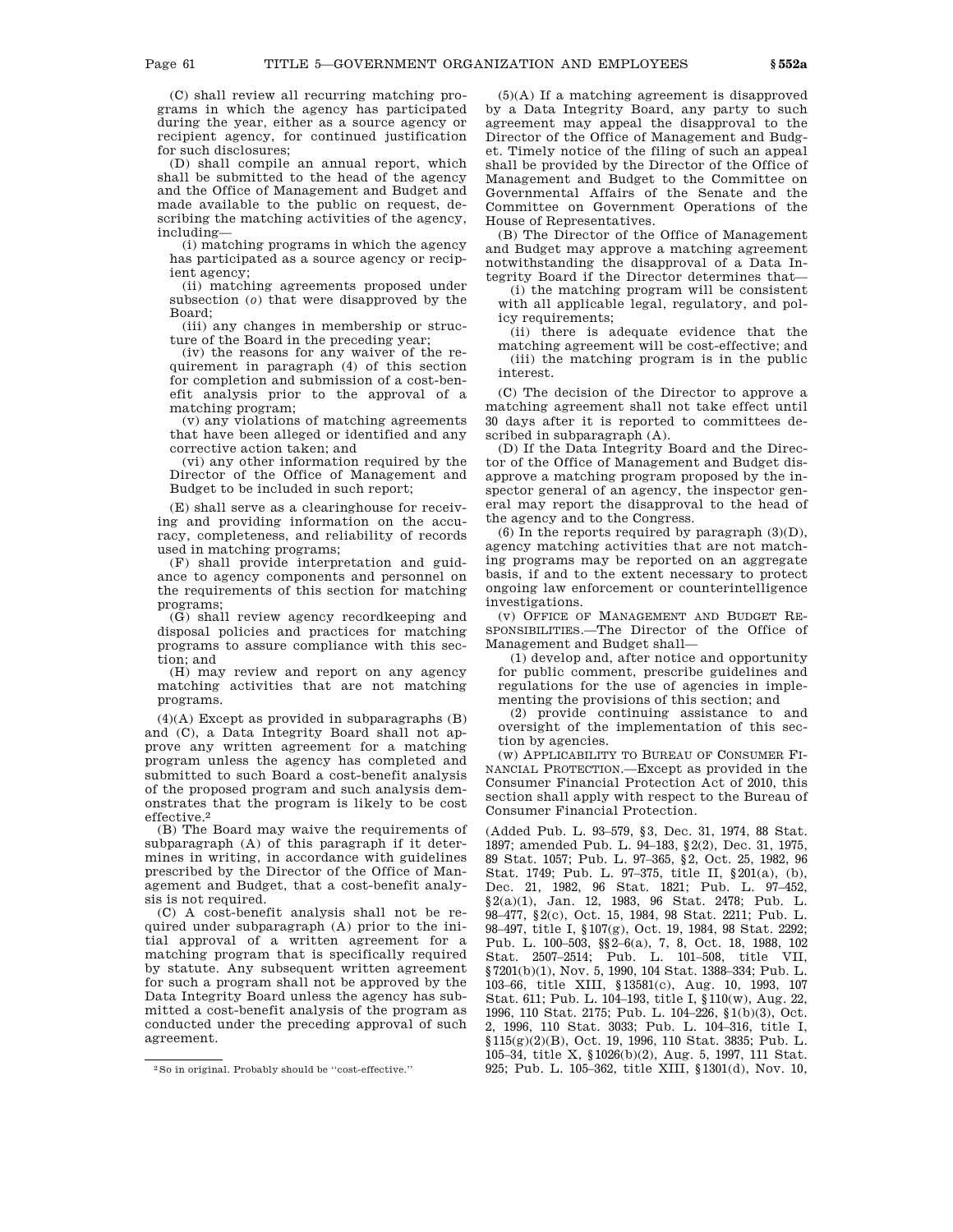(C) shall review all recurring matching programs in which the agency has participated during the year, either as a source agency or recipient agency, for continued justification for such disclosures;

(D) shall compile an annual report, which shall be submitted to the head of the agency and the Office of Management and Budget and made available to the public on request, describing the matching activities of the agency, including—

(i) matching programs in which the agency has participated as a source agency or recipient agency;

(ii) matching agreements proposed under subsection (*o*) that were disapproved by the Board;

(iii) any changes in membership or structure of the Board in the preceding year;

(iv) the reasons for any waiver of the requirement in paragraph (4) of this section for completion and submission of a cost-benefit analysis prior to the approval of a matching program;

(v) any violations of matching agreements that have been alleged or identified and any corrective action taken; and

(vi) any other information required by the Director of the Office of Management and Budget to be included in such report;

(E) shall serve as a clearinghouse for receiving and providing information on the accuracy, completeness, and reliability of records used in matching programs;

(F) shall provide interpretation and guidance to agency components and personnel on the requirements of this section for matching programs;

(G) shall review agency recordkeeping and disposal policies and practices for matching programs to assure compliance with this section; and

(H) may review and report on any agency matching activities that are not matching programs.

 $(4)(A)$  Except as provided in subparagraphs  $(B)$ and (C), a Data Integrity Board shall not approve any written agreement for a matching program unless the agency has completed and submitted to such Board a cost-benefit analysis of the proposed program and such analysis demonstrates that the program is likely to be cost effective.2

(B) The Board may waive the requirements of subparagraph (A) of this paragraph if it determines in writing, in accordance with guidelines prescribed by the Director of the Office of Management and Budget, that a cost-benefit analysis is not required.

(C) A cost-benefit analysis shall not be required under subparagraph (A) prior to the initial approval of a written agreement for a matching program that is specifically required by statute. Any subsequent written agreement for such a program shall not be approved by the Data Integrity Board unless the agency has submitted a cost-benefit analysis of the program as conducted under the preceding approval of such agreement.

(5)(A) If a matching agreement is disapproved by a Data Integrity Board, any party to such agreement may appeal the disapproval to the Director of the Office of Management and Budget. Timely notice of the filing of such an appeal shall be provided by the Director of the Office of Management and Budget to the Committee on Governmental Affairs of the Senate and the Committee on Government Operations of the House of Representatives.

(B) The Director of the Office of Management and Budget may approve a matching agreement notwithstanding the disapproval of a Data Integrity Board if the Director determines that—

(i) the matching program will be consistent with all applicable legal, regulatory, and policy requirements;

(ii) there is adequate evidence that the matching agreement will be cost-effective; and

(iii) the matching program is in the public interest.

(C) The decision of the Director to approve a matching agreement shall not take effect until 30 days after it is reported to committees described in subparagraph (A).

(D) If the Data Integrity Board and the Director of the Office of Management and Budget disapprove a matching program proposed by the inspector general of an agency, the inspector general may report the disapproval to the head of the agency and to the Congress.

(6) In the reports required by paragraph (3)(D), agency matching activities that are not matching programs may be reported on an aggregate basis, if and to the extent necessary to protect ongoing law enforcement or counterintelligence investigations.

(v) OFFICE OF MANAGEMENT AND BUDGET RE-SPONSIBILITIES.—The Director of the Office of Management and Budget shall—

(1) develop and, after notice and opportunity for public comment, prescribe guidelines and regulations for the use of agencies in implementing the provisions of this section; and

(2) provide continuing assistance to and oversight of the implementation of this section by agencies.

(w) APPLICABILITY TO BUREAU OF CONSUMER FI-NANCIAL PROTECTION.—Except as provided in the Consumer Financial Protection Act of 2010, this section shall apply with respect to the Bureau of Consumer Financial Protection.

(Added Pub. L. 93–579, §3, Dec. 31, 1974, 88 Stat. 1897; amended Pub. L. 94–183, §2(2), Dec. 31, 1975, 89 Stat. 1057; Pub. L. 97–365, §2, Oct. 25, 1982, 96 Stat. 1749; Pub. L. 97–375, title II, §201(a), (b), Dec. 21, 1982, 96 Stat. 1821; Pub. L. 97–452, §2(a)(1), Jan. 12, 1983, 96 Stat. 2478; Pub. L. 98–477, §2(c), Oct. 15, 1984, 98 Stat. 2211; Pub. L. 98–497, title I, §107(g), Oct. 19, 1984, 98 Stat. 2292; Pub. L. 100–503, §§2–6(a), 7, 8, Oct. 18, 1988, 102 Stat. 2507–2514; Pub. L. 101–508, title VII, §7201(b)(1), Nov. 5, 1990, 104 Stat. 1388–334; Pub. L. 103–66, title XIII, §13581(c), Aug. 10, 1993, 107 Stat. 611; Pub. L. 104–193, title I, §110(w), Aug. 22, 1996, 110 Stat. 2175; Pub. L. 104–226, §1(b)(3), Oct. 2, 1996, 110 Stat. 3033; Pub. L. 104–316, title I, §115(g)(2)(B), Oct. 19, 1996, 110 Stat. 3835; Pub. L. 105–34, title X, §1026(b)(2), Aug. 5, 1997, 111 Stat. 925; Pub. L. 105–362, title XIII, §1301(d), Nov. 10,

<sup>2</sup>So in original. Probably should be ''cost-effective.''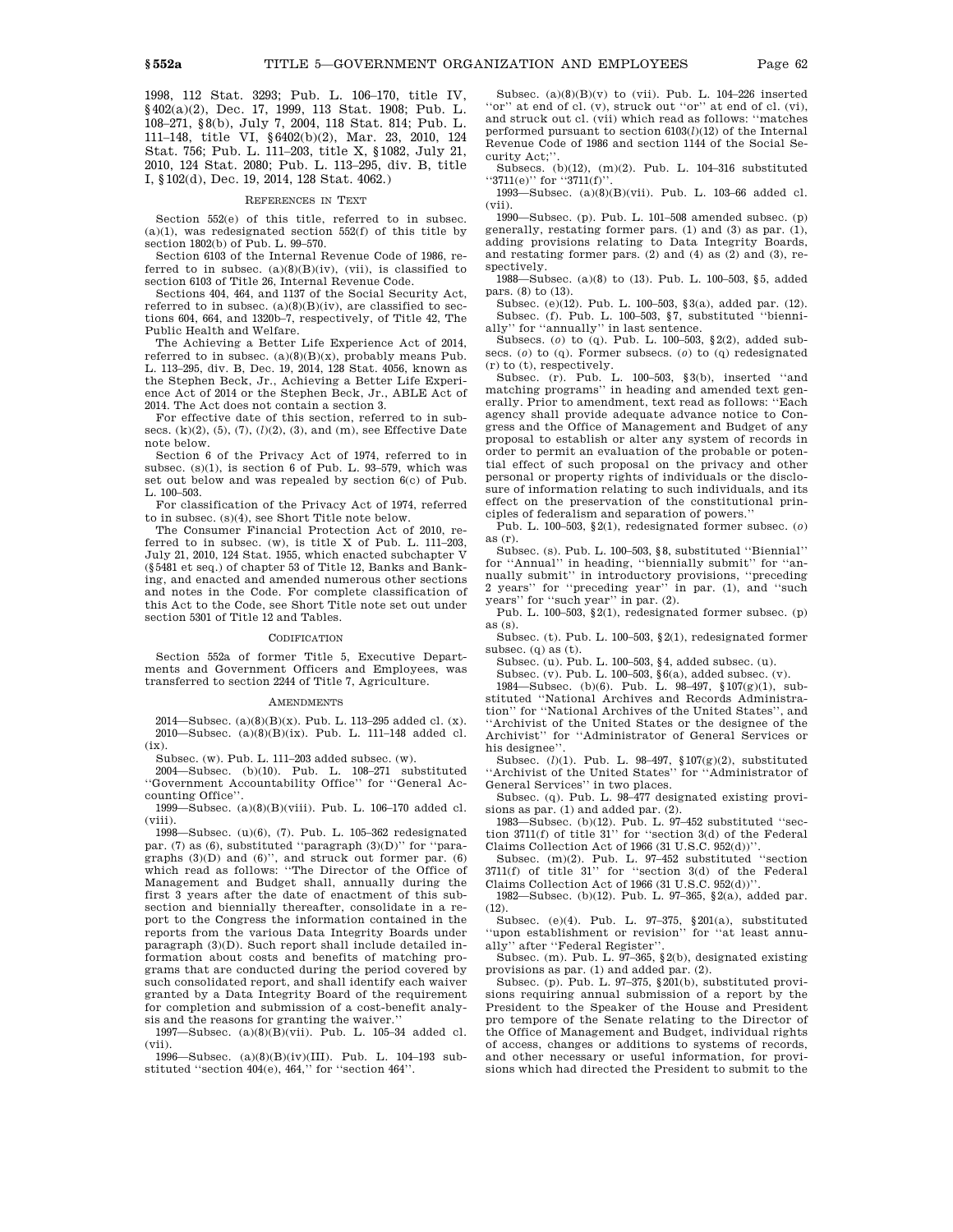1998, 112 Stat. 3293; Pub. L. 106–170, title IV, §402(a)(2), Dec. 17, 1999, 113 Stat. 1908; Pub. L. 108–271, §8(b), July 7, 2004, 118 Stat. 814; Pub. L. 111–148, title VI, §6402(b)(2), Mar. 23, 2010, 124 Stat. 756; Pub. L. 111–203, title X, §1082, July 21, 2010, 124 Stat. 2080; Pub. L. 113–295, div. B, title I, §102(d), Dec. 19, 2014, 128 Stat. 4062.)

#### REFERENCES IN TEXT

Section 552(e) of this title, referred to in subsec.  $(a)(1)$ , was redesignated section  $552(f)$  of this title by section 1802(b) of Pub. L. 99–570.

Section 6103 of the Internal Revenue Code of 1986, referred to in subsec.  $(a)(8)(B)(iv)$ , (vii), is classified to section 6103 of Title 26, Internal Revenue Code.

Sections 404, 464, and 1137 of the Social Security Act, referred to in subsec.  $(a)(8)(B)(iv)$ , are classified to sections 604, 664, and 1320b–7, respectively, of Title 42, The Public Health and Welfare.

The Achieving a Better Life Experience Act of 2014, referred to in subsec.  $(a)(8)(B)(x)$ , probably means Pub. L. 113–295, div. B, Dec. 19, 2014, 128 Stat. 4056, known as the Stephen Beck, Jr., Achieving a Better Life Experience Act of 2014 or the Stephen Beck, Jr., ABLE Act of 2014. The Act does not contain a section 3.

For effective date of this section, referred to in subsecs. (k)(2), (5), (7), (*l*)(2), (3), and (m), see Effective Date note below.

Section 6 of the Privacy Act of 1974, referred to in subsec. (s)(1), is section 6 of Pub. L. 93–579, which was set out below and was repealed by section 6(c) of Pub. L. 100–503.

For classification of the Privacy Act of 1974, referred to in subsec. (s)(4), see Short Title note below.

The Consumer Financial Protection Act of 2010, referred to in subsec. (w), is title X of Pub. L. 111–203, July 21, 2010, 124 Stat. 1955, which enacted subchapter V (§5481 et seq.) of chapter 53 of Title 12, Banks and Banking, and enacted and amended numerous other sections and notes in the Code. For complete classification of this Act to the Code, see Short Title note set out under section 5301 of Title 12 and Tables.

### CODIFICATION

Section 552a of former Title 5, Executive Departments and Government Officers and Employees, was transferred to section 2244 of Title 7, Agriculture.

#### **AMENDMENTS**

2014—Subsec. (a)(8)(B)(x). Pub. L. 113–295 added cl. (x). 2010—Subsec. (a)(8)(B)(ix). Pub. L. 111–148 added cl. (ix).

Subsec. (w). Pub. L. 111–203 added subsec. (w).

2004—Subsec. (b)(10). Pub. L. 108–271 substituted ''Government Accountability Office'' for ''General Accounting Office''.

1999—Subsec. (a)(8)(B)(viii). Pub. L. 106–170 added cl. (viii).

1998—Subsec. (u)(6), (7). Pub. L. 105–362 redesignated par. (7) as (6), substituted "paragraph (3)(D)" for "paragraphs (3)(D) and (6)'', and struck out former par. (6) which read as follows: ''The Director of the Office of Management and Budget shall, annually during the first 3 years after the date of enactment of this subsection and biennially thereafter, consolidate in a report to the Congress the information contained in the reports from the various Data Integrity Boards under paragraph (3)(D). Such report shall include detailed information about costs and benefits of matching programs that are conducted during the period covered by such consolidated report, and shall identify each waiver granted by a Data Integrity Board of the requirement for completion and submission of a cost-benefit analysis and the reasons for granting the waiver.''

1997—Subsec. (a)(8)(B)(vii). Pub. L. 105–34 added cl. (vii).

1996—Subsec. (a)(8)(B)(iv)(III). Pub. L. 104–193 substituted "section 404(e), 464," for "section 464".

Subsec.  $(a)(8)(B)(v)$  to (vii). Pub. L. 104-226 inserted "or" at end of cl. (v), struck out "or" at end of cl. (vi), and struck out cl. (vii) which read as follows: ''matches performed pursuant to section 6103(*l*)(12) of the Internal Revenue Code of 1986 and section 1144 of the Social Security Act;'

Subsecs. (b)(12), (m)(2). Pub. L. 104–316 substituted "3711(e)" for "3711(f)"

1993—Subsec. (a)(8)(B)(vii). Pub. L. 103–66 added cl. (vii).

1990—Subsec. (p). Pub. L. 101–508 amended subsec. (p) generally, restating former pars. (1) and (3) as par. (1), adding provisions relating to Data Integrity Boards, and restating former pars. (2) and (4) as (2) and (3), respectively.

1988—Subsec. (a)(8) to (13). Pub. L. 100–503, §5, added pars. (8) to (13).

Subsec. (e)(12). Pub. L. 100–503, §3(a), added par. (12). Subsec. (f). Pub. L. 100–503, §7, substituted ''biennially'' for ''annually'' in last sentence.

Subsecs. (*o*) to (q). Pub. L. 100–503, §2(2), added subsecs. (*o*) to (q). Former subsecs. (*o*) to (q) redesignated (r) to (t), respectively.

Subsec. (r). Pub. L. 100–503, §3(b), inserted ''and matching programs'' in heading and amended text generally. Prior to amendment, text read as follows: ''Each agency shall provide adequate advance notice to Congress and the Office of Management and Budget of any proposal to establish or alter any system of records in order to permit an evaluation of the probable or potential effect of such proposal on the privacy and other personal or property rights of individuals or the disclosure of information relating to such individuals, and its effect on the preservation of the constitutional principles of federalism and separation of powers.''

Pub. L. 100–503, §2(1), redesignated former subsec. (*o*) as (r).

Subsec. (s). Pub. L. 100–503, §8, substituted ''Biennial'' for ''Annual'' in heading, ''biennially submit'' for ''annually submit'' in introductory provisions, ''preceding 2 years'' for ''preceding year'' in par. (1), and ''such years'' for ''such year'' in par. (2).

Pub. L. 100–503,  $\S 2(1),$  redesignated former subsec.  $(p)$ as (s).

Subsec. (t). Pub. L. 100–503, §2(1), redesignated former subsec. (q) as (t).

Subsec. (u). Pub. L. 100–503, §4, added subsec. (u). Subsec. (v). Pub. L. 100–503, §6(a), added subsec. (v). 1984—Subsec. (b)(6). Pub. L. 98–497, §107(g)(1), substituted ''National Archives and Records Administration'' for ''National Archives of the United States'', and ''Archivist of the United States or the designee of the Archivist'' for ''Administrator of General Services or his designee''.

Subsec. (*l*)(1). Pub. L. 98–497, §107(g)(2), substituted "Archivist of the United States" for "Administrator of General Services'' in two places.

Subsec. (q). Pub. L. 98–477 designated existing provisions as par. (1) and added par. (2).

1983—Subsec. (b)(12). Pub. L. 97–452 substituted ''section 3711(f) of title 31'' for ''section 3(d) of the Federal Claims Collection Act of 1966 (31 U.S.C. 952(d))''.

Subsec. (m)(2). Pub. L. 97–452 substituted "section 3711(f) of title 31" for "section 3(d) of the Federal Claims Collection Act of 1966 (31 U.S.C. 952(d))''.

1982—Subsec. (b)(12). Pub. L. 97–365, §2(a), added par. (12).

Subsec. (e)(4). Pub. L. 97–375, §201(a), substituted "upon establishment or revision" for "at least annually'' after ''Federal Register''.

Subsec. (m). Pub. L. 97–365, §2(b), designated existing provisions as par. (1) and added par. (2).

Subsec. (p). Pub. L. 97–375, §201(b), substituted provisions requiring annual submission of a report by the President to the Speaker of the House and President pro tempore of the Senate relating to the Director of the Office of Management and Budget, individual rights of access, changes or additions to systems of records, and other necessary or useful information, for provisions which had directed the President to submit to the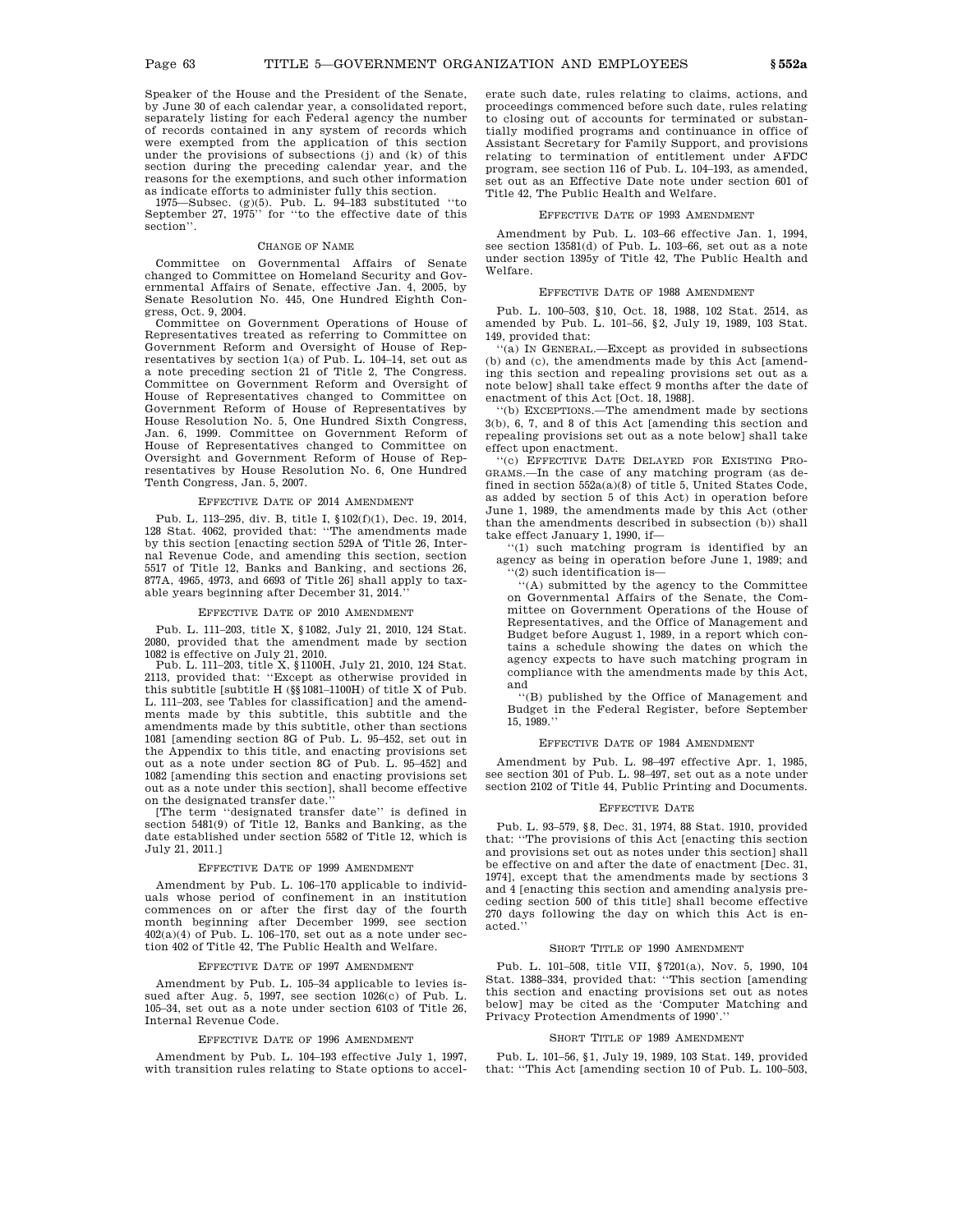Speaker of the House and the President of the Senate, by June 30 of each calendar year, a consolidated report, separately listing for each Federal agency the number of records contained in any system of records which were exempted from the application of this section under the provisions of subsections (j) and (k) of this section during the preceding calendar year, and the reasons for the exemptions, and such other information as indicate efforts to administer fully this section.

1975—Subsec. (g)(5). Pub. L. 94–183 substituted ''to September 27, 1975'' for ''to the effective date of this section''.

## CHANGE OF NAME

Committee on Governmental Affairs of Senate changed to Committee on Homeland Security and Governmental Affairs of Senate, effective Jan. 4, 2005, by Senate Resolution No. 445, One Hundred Eighth Congress, Oct. 9, 2004.

Committee on Government Operations of House of Representatives treated as referring to Committee on Government Reform and Oversight of House of Representatives by section 1(a) of Pub. L. 104–14, set out as a note preceding section 21 of Title 2, The Congress. Committee on Government Reform and Oversight of House of Representatives changed to Committee on Government Reform of House of Representatives by House Resolution No. 5, One Hundred Sixth Congress, Jan. 6, 1999. Committee on Government Reform of House of Representatives changed to Committee on Oversight and Government Reform of House of Representatives by House Resolution No. 6, One Hundred Tenth Congress, Jan. 5, 2007.

#### EFFECTIVE DATE OF 2014 AMENDMENT

Pub. L. 113–295, div. B, title I, §102(f)(1), Dec. 19, 2014, 128 Stat. 4062, provided that: "The amendments made by this section [enacting section 529A of Title 26, Internal Revenue Code, and amending this section, section 5517 of Title 12, Banks and Banking, and sections 26, 877A, 4965, 4973, and 6693 of Title 26] shall apply to taxable years beginning after December 31, 2014.''

#### EFFECTIVE DATE OF 2010 AMENDMENT

Pub. L. 111–203, title X, §1082, July 21, 2010, 124 Stat. 2080, provided that the amendment made by section 1082 is effective on July 21, 2010.

Pub. L. 111–203, title X, §1100H, July 21, 2010, 124 Stat. 2113, provided that: ''Except as otherwise provided in this subtitle [subtitle H (§§1081–1100H) of title X of Pub. L. 111–203, see Tables for classification] and the amendments made by this subtitle, this subtitle and the amendments made by this subtitle, other than sections 1081 [amending section 8G of Pub. L. 95–452, set out in the Appendix to this title, and enacting provisions set out as a note under section 8G of Pub. L. 95–452] and 1082 [amending this section and enacting provisions set out as a note under this section], shall become effective on the designated transfer date.'' [The term ''designated transfer date'' is defined in

section 5481(9) of Title 12, Banks and Banking, as the date established under section 5582 of Title 12, which is July 21, 2011.]

### EFFECTIVE DATE OF 1999 AMENDMENT

Amendment by Pub. L. 106–170 applicable to individuals whose period of confinement in an institution commences on or after the first day of the fourth month beginning after December 1999, see section  $402(a)(4)$  of Pub. L. 106–170, set out as a note under section 402 of Title 42, The Public Health and Welfare.

### EFFECTIVE DATE OF 1997 AMENDMENT

Amendment by Pub. L. 105–34 applicable to levies issued after Aug. 5, 1997, see section 1026(c) of Pub. L. 105–34, set out as a note under section 6103 of Title 26, Internal Revenue Code.

#### EFFECTIVE DATE OF 1996 AMENDMENT

Amendment by Pub. L. 104–193 effective July 1, 1997, with transition rules relating to State options to accelerate such date, rules relating to claims, actions, and proceedings commenced before such date, rules relating to closing out of accounts for terminated or substantially modified programs and continuance in office of Assistant Secretary for Family Support, and provisions relating to termination of entitlement under AFDC program, see section 116 of Pub. L. 104–193, as amended, set out as an Effective Date note under section 601 of Title 42, The Public Health and Welfare.

#### EFFECTIVE DATE OF 1993 AMENDMENT

Amendment by Pub. L. 103–66 effective Jan. 1, 1994, see section 13581(d) of Pub. L. 103–66, set out as a note under section 1395y of Title 42, The Public Health and Welfare.

## EFFECTIVE DATE OF 1988 AMENDMENT

Pub. L. 100–503, §10, Oct. 18, 1988, 102 Stat. 2514, as amended by Pub. L. 101–56, §2, July 19, 1989, 103 Stat. 149, provided that:

''(a) IN GENERAL.—Except as provided in subsections (b) and (c), the amendments made by this Act [amending this section and repealing provisions set out as a note below] shall take effect 9 months after the date of enactment of this Act [Oct. 18, 1988].

''(b) EXCEPTIONS.—The amendment made by sections 3(b), 6, 7, and 8 of this Act [amending this section and repealing provisions set out as a note below] shall take effect upon enactment.

''(c) EFFECTIVE DATE DELAYED FOR EXISTING PRO-GRAMS.—In the case of any matching program (as defined in section 552a(a)(8) of title 5, United States Code, as added by section 5 of this Act) in operation before June 1, 1989, the amendments made by this Act (other than the amendments described in subsection (b)) shall take effect January 1, 1990, if—

''(1) such matching program is identified by an agency as being in operation before June 1, 1989; and ''(2) such identification is—

''(A) submitted by the agency to the Committee on Governmental Affairs of the Senate, the Committee on Government Operations of the House of Representatives, and the Office of Management and Budget before August 1, 1989, in a report which contains a schedule showing the dates on which the agency expects to have such matching program in compliance with the amendments made by this Act, and

''(B) published by the Office of Management and Budget in the Federal Register, before September 15, 1989.''

#### EFFECTIVE DATE OF 1984 AMENDMENT

Amendment by Pub. L. 98–497 effective Apr. 1, 1985, see section 301 of Pub. L. 98–497, set out as a note under section 2102 of Title 44, Public Printing and Documents.

#### EFFECTIVE DATE

Pub. L. 93–579, §8, Dec. 31, 1974, 88 Stat. 1910, provided that: ''The provisions of this Act [enacting this section and provisions set out as notes under this section] shall be effective on and after the date of enactment [Dec. 31, 1974], except that the amendments made by sections 3 and 4 [enacting this section and amending analysis preceding section 500 of this title] shall become effective 270 days following the day on which this Act is enacted.''

## SHORT TITLE OF 1990 AMENDMENT

Pub. L. 101–508, title VII, §7201(a), Nov. 5, 1990, 104 Stat. 1388–334, provided that: ''This section [amending this section and enacting provisions set out as notes below] may be cited as the 'Computer Matching and Privacy Protection Amendments of 1990'.''

### SHORT TITLE OF 1989 AMENDMENT

Pub. L. 101–56, §1, July 19, 1989, 103 Stat. 149, provided that: ''This Act [amending section 10 of Pub. L. 100–503,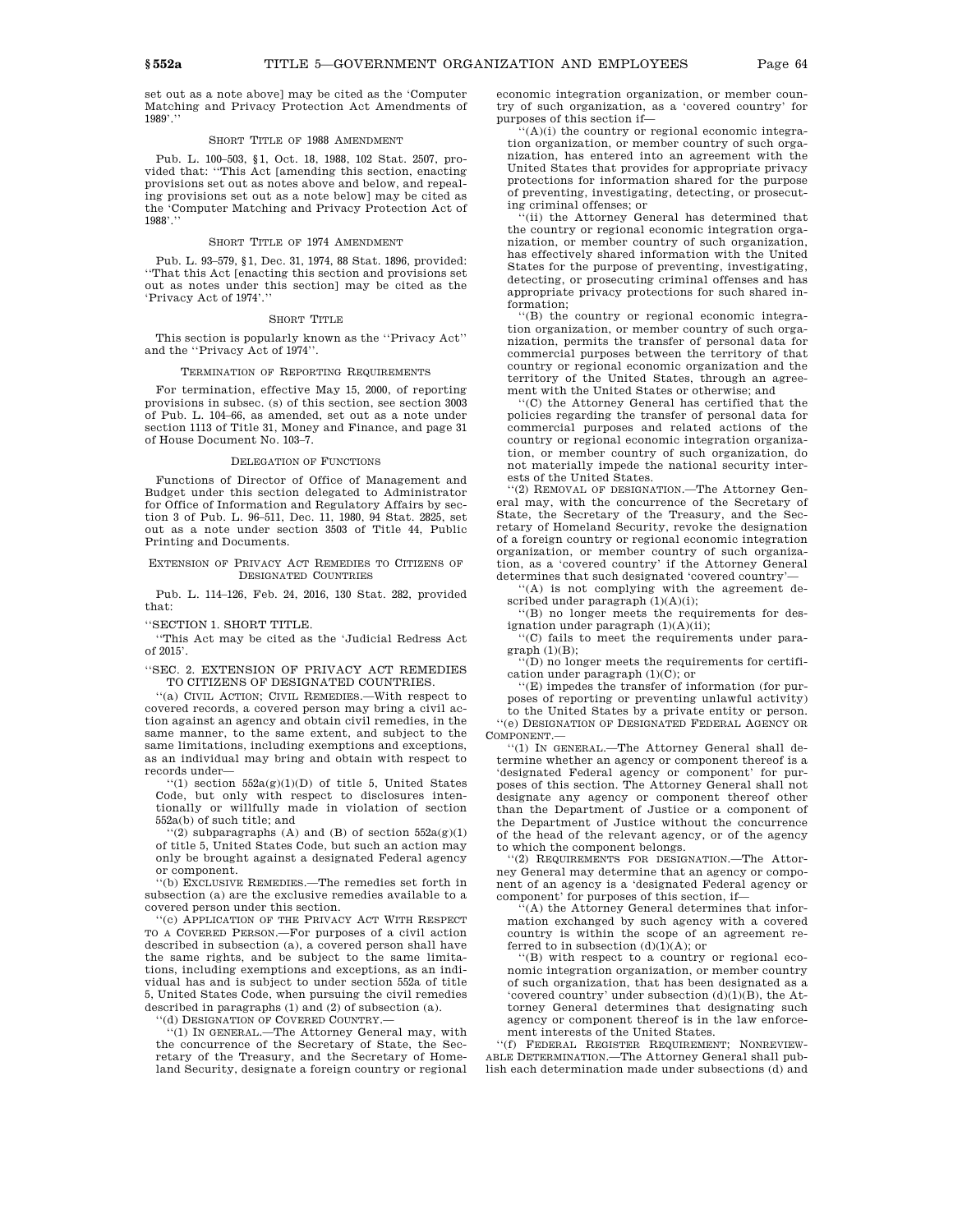set out as a note above] may be cited as the 'Computer Matching and Privacy Protection Act Amendments of 1989'.''

### SHORT TITLE OF 1988 AMENDMENT

Pub. L. 100–503, §1, Oct. 18, 1988, 102 Stat. 2507, provided that: ''This Act [amending this section, enacting provisions set out as notes above and below, and repealing provisions set out as a note below] may be cited as the 'Computer Matching and Privacy Protection Act of 1988'.''

#### SHORT TITLE OF 1974 AMENDMENT

Pub. L. 93–579, §1, Dec. 31, 1974, 88 Stat. 1896, provided: ''That this Act [enacting this section and provisions set out as notes under this section] may be cited as the 'Privacy Act of 1974'.''

### SHORT TITLE

This section is popularly known as the ''Privacy Act'' and the ''Privacy Act of 1974''.

#### TERMINATION OF REPORTING REQUIREMENTS

For termination, effective May 15, 2000, of reporting provisions in subsec. (s) of this section, see section 3003 of Pub. L. 104–66, as amended, set out as a note under section 1113 of Title 31, Money and Finance, and page 31 of House Document No. 103–7.

#### DELEGATION OF FUNCTIONS

Functions of Director of Office of Management and Budget under this section delegated to Administrator for Office of Information and Regulatory Affairs by section 3 of Pub. L. 96–511, Dec. 11, 1980, 94 Stat. 2825, set out as a note under section 3503 of Title 44, Public Printing and Documents.

EXTENSION OF PRIVACY ACT REMEDIES TO CITIZENS OF DESIGNATED COUNTRIES

Pub. L. 114–126, Feb. 24, 2016, 130 Stat. 282, provided that:

''SECTION 1. SHORT TITLE.

''This Act may be cited as the 'Judicial Redress Act of 2015'.

''SEC. 2. EXTENSION OF PRIVACY ACT REMEDIES TO CITIZENS OF DESIGNATED COUNTRIES.

''(a) CIVIL ACTION; CIVIL REMEDIES.—With respect to covered records, a covered person may bring a civil action against an agency and obtain civil remedies, in the same manner, to the same extent, and subject to the same limitations, including exemptions and exceptions, as an individual may bring and obtain with respect to records under—

 $''(1)$  section  $552a(g)(1)(D)$  of title 5, United States Code, but only with respect to disclosures intentionally or willfully made in violation of section 552a(b) of such title; and

 $(2)$  subparagraphs (A) and (B) of section  $552a(g)(1)$ of title 5, United States Code, but such an action may only be brought against a designated Federal agency or component.

''(b) EXCLUSIVE REMEDIES.—The remedies set forth in subsection (a) are the exclusive remedies available to a covered person under this section.

''(c) APPLICATION OF THE PRIVACY ACT WITH RESPECT TO A COVERED PERSON.—For purposes of a civil action described in subsection (a), a covered person shall have the same rights, and be subject to the same limitations, including exemptions and exceptions, as an individual has and is subject to under section 552a of title 5, United States Code, when pursuing the civil remedies described in paragraphs (1) and (2) of subsection (a).

'(d) DESIGNATION OF COVERED COUNTRY.

''(1) IN GENERAL.—The Attorney General may, with the concurrence of the Secretary of State, the Sec-retary of the Treasury, and the Secretary of Homeland Security, designate a foreign country or regional economic integration organization, or member country of such organization, as a 'covered country' for purposes of this section if—

 $'(A)(i)$  the country or regional economic integration organization, or member country of such organization, has entered into an agreement with the United States that provides for appropriate privacy protections for information shared for the purpose of preventing, investigating, detecting, or prosecuting criminal offenses; or

''(ii) the Attorney General has determined that the country or regional economic integration organization, or member country of such organization, has effectively shared information with the United States for the purpose of preventing, investigating, detecting, or prosecuting criminal offenses and has appropriate privacy protections for such shared information;

''(B) the country or regional economic integration organization, or member country of such organization, permits the transfer of personal data for commercial purposes between the territory of that country or regional economic organization and the territory of the United States, through an agreement with the United States or otherwise; and

''(C) the Attorney General has certified that the policies regarding the transfer of personal data for commercial purposes and related actions of the country or regional economic integration organization, or member country of such organization, do not materially impede the national security interests of the United States.

''(2) REMOVAL OF DESIGNATION.—The Attorney General may, with the concurrence of the Secretary of State, the Secretary of the Treasury, and the Secretary of Homeland Security, revoke the designation of a foreign country or regional economic integration organization, or member country of such organization, as a 'covered country' if the Attorney General determines that such designated 'covered country'—

''(A) is not complying with the agreement described under paragraph (1)(A)(i);

''(B) no longer meets the requirements for designation under paragraph  $(1)(A)(ii)$ ;

''(C) fails to meet the requirements under para $graph (1)(B);$ 

''(D) no longer meets the requirements for certification under paragraph  $(1)(C)$ ; or

''(E) impedes the transfer of information (for purposes of reporting or preventing unlawful activity) to the United States by a private entity or person. ''(e) DESIGNATION OF DESIGNATED FEDERAL AGENCY OR

COMPONENT.— ''(1) IN GENERAL.—The Attorney General shall determine whether an agency or component thereof is a 'designated Federal agency or component' for purposes of this section. The Attorney General shall not designate any agency or component thereof other than the Department of Justice or a component of the Department of Justice without the concurrence of the head of the relevant agency, or of the agency to which the component belongs.

''(2) REQUIREMENTS FOR DESIGNATION.—The Attorney General may determine that an agency or component of an agency is a 'designated Federal agency or component' for purposes of this section, if—

 $f(A)$  the Attorney General determines that information exchanged by such agency with a covered country is within the scope of an agreement referred to in subsection  $(d)(1)(A)$ ; or

''(B) with respect to a country or regional economic integration organization, or member country of such organization, that has been designated as a 'covered country' under subsection (d)(1)(B), the Attorney General determines that designating such agency or component thereof is in the law enforcement interests of the United States.

''(f) FEDERAL REGISTER REQUIREMENT; NONREVIEW-ABLE DETERMINATION.—The Attorney General shall publish each determination made under subsections (d) and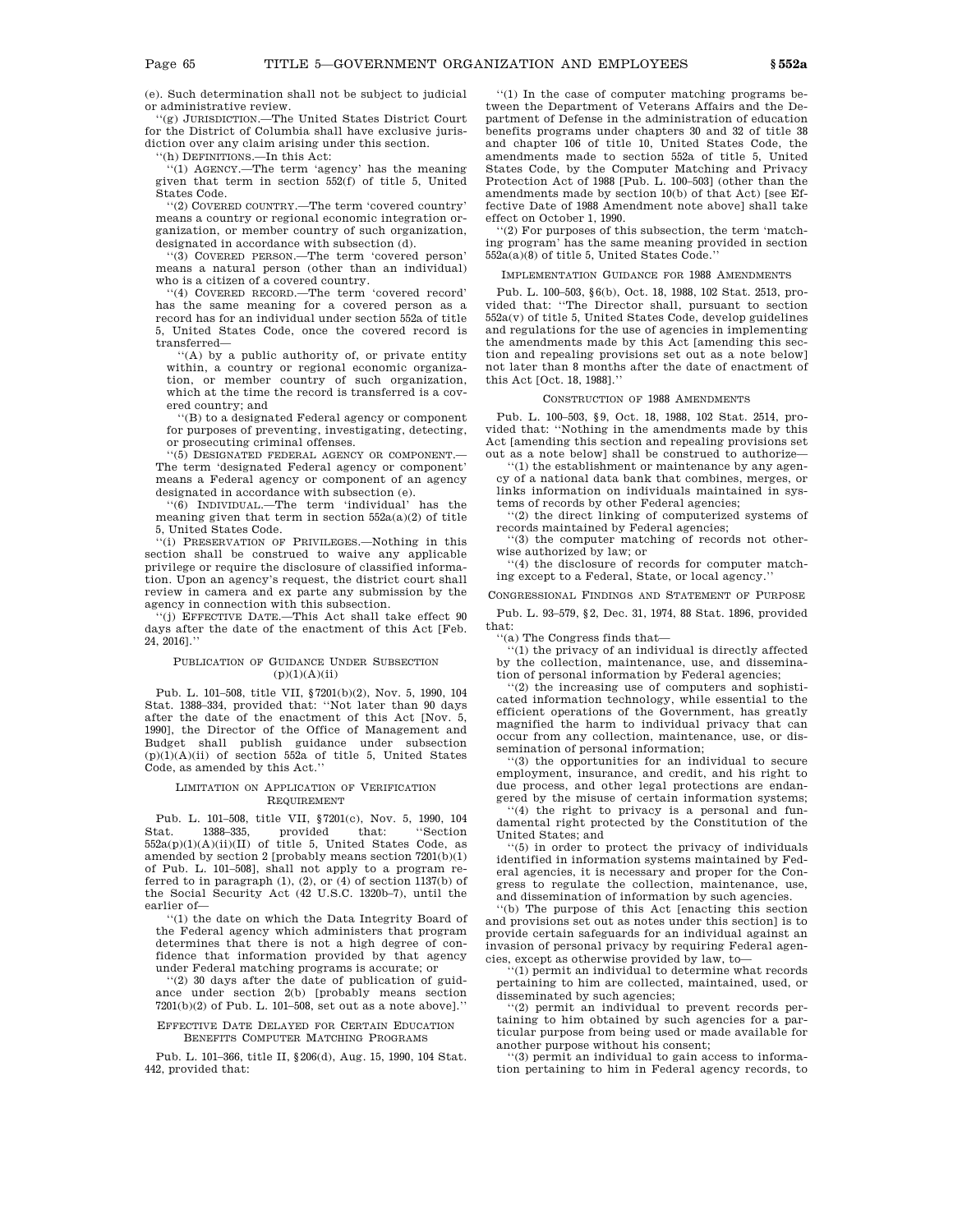(e). Such determination shall not be subject to judicial or administrative review.

''(g) JURISDICTION.—The United States District Court for the District of Columbia shall have exclusive jurisdiction over any claim arising under this section.

'(h) DEFINITIONS.—In this Act:

''(1) AGENCY.—The term 'agency' has the meaning given that term in section 552(f) of title 5, United States Code.

''(2) COVERED COUNTRY.—The term 'covered country' means a country or regional economic integration organization, or member country of such organization, designated in accordance with subsection (d).

''(3) COVERED PERSON.—The term 'covered person' means a natural person (other than an individual) who is a citizen of a covered country.

''(4) COVERED RECORD.—The term 'covered record' has the same meaning for a covered person as a record has for an individual under section 552a of title 5, United States Code, once the covered record is transferred—

''(A) by a public authority of, or private entity within, a country or regional economic organization, or member country of such organization, which at the time the record is transferred is a covered country; and

''(B) to a designated Federal agency or component for purposes of preventing, investigating, detecting, or prosecuting criminal offenses.

''(5) DESIGNATED FEDERAL AGENCY OR COMPONENT.— The term 'designated Federal agency or component' means a Federal agency or component of an agency designated in accordance with subsection (e).

''(6) INDIVIDUAL.—The term 'individual' has the meaning given that term in section 552a(a)(2) of title 5, United States Code.

''(i) PRESERVATION OF PRIVILEGES.—Nothing in this section shall be construed to waive any applicable privilege or require the disclosure of classified information. Upon an agency's request, the district court shall review in camera and ex parte any submission by the agency in connection with this subsection.

''(j) EFFECTIVE DATE.—This Act shall take effect 90 days after the date of the enactment of this Act [Feb. 24, 2016].''

### PUBLICATION OF GUIDANCE UNDER SUBSECTION  $(p)(1)(A)(ii)$

Pub. L. 101–508, title VII, §7201(b)(2), Nov. 5, 1990, 104 Stat. 1388–334, provided that: ''Not later than 90 days after the date of the enactment of this Act [Nov. 5, 1990], the Director of the Office of Management and Budget shall publish guidance under subsection  $(p)(1)(A)(ii)$  of section 552a of title 5, United States Code, as amended by this Act.''

### LIMITATION ON APPLICATION OF VERIFICATION REQUIREMENT

Pub. L. 101–508, title VII, §7201(c), Nov. 5, 1990, 104 Stat. 1388–335, provided that: 552a(p)(1)(A)(ii)(II) of title 5, United States Code, as amended by section 2 [probably means section 7201(b)(1) of Pub. L. 101–508], shall not apply to a program referred to in paragraph (1), (2), or (4) of section 1137(b) of the Social Security Act (42 U.S.C. 1320b–7), until the earlier of—

''(1) the date on which the Data Integrity Board of the Federal agency which administers that program determines that there is not a high degree of confidence that information provided by that agency under Federal matching programs is accurate; or

''(2) 30 days after the date of publication of guidance under section 2(b) [probably means section 7201(b)(2) of Pub. L. 101–508, set out as a note above].''

### EFFECTIVE DATE DELAYED FOR CERTAIN EDUCATION BENEFITS COMPUTER MATCHING PROGRAMS

Pub. L. 101–366, title II, §206(d), Aug. 15, 1990, 104 Stat. 442, provided that:

''(1) In the case of computer matching programs between the Department of Veterans Affairs and the Department of Defense in the administration of education benefits programs under chapters 30 and 32 of title 38 and chapter 106 of title 10, United States Code, the amendments made to section 552a of title 5, United States Code, by the Computer Matching and Privacy Protection Act of 1988 [Pub. L. 100–503] (other than the amendments made by section 10(b) of that Act) [see Effective Date of 1988 Amendment note above] shall take effect on October 1, 1990.

 $(2)$  For purposes of this subsection, the term 'matching program' has the same meaning provided in section  $552a(a)(8)$  of title 5, United States Code.

### IMPLEMENTATION GUIDANCE FOR 1988 AMENDMENTS

Pub. L. 100–503, §6(b), Oct. 18, 1988, 102 Stat. 2513, provided that: ''The Director shall, pursuant to section  $552a(v)$  of title 5, United States Code, develop guidelines and regulations for the use of agencies in implementing the amendments made by this Act [amending this section and repealing provisions set out as a note below] not later than 8 months after the date of enactment of this Act [Oct. 18, 1988].''

#### CONSTRUCTION OF 1988 AMENDMENTS

Pub. L. 100–503, §9, Oct. 18, 1988, 102 Stat. 2514, provided that: ''Nothing in the amendments made by this Act [amending this section and repealing provisions set out as a note below] shall be construed to authorize—

''(1) the establishment or maintenance by any agency of a national data bank that combines, merges, or links information on individuals maintained in systems of records by other Federal agencies;

''(2) the direct linking of computerized systems of records maintained by Federal agencies;

''(3) the computer matching of records not otherwise authorized by law; or

''(4) the disclosure of records for computer matching except to a Federal, State, or local agency.

CONGRESSIONAL FINDINGS AND STATEMENT OF PURPOSE

Pub. L. 93–579, §2, Dec. 31, 1974, 88 Stat. 1896, provided that:

''(a) The Congress finds that—

''(1) the privacy of an individual is directly affected by the collection, maintenance, use, and dissemination of personal information by Federal agencies;

''(2) the increasing use of computers and sophisticated information technology, while essential to the efficient operations of the Government, has greatly magnified the harm to individual privacy that can occur from any collection, maintenance, use, or dissemination of personal information;

''(3) the opportunities for an individual to secure employment, insurance, and credit, and his right to due process, and other legal protections are endangered by the misuse of certain information systems;

''(4) the right to privacy is a personal and fundamental right protected by the Constitution of the United States; and

''(5) in order to protect the privacy of individuals identified in information systems maintained by Federal agencies, it is necessary and proper for the Congress to regulate the collection, maintenance, use, and dissemination of information by such agencies.

''(b) The purpose of this Act [enacting this section and provisions set out as notes under this section] is to provide certain safeguards for an individual against an invasion of personal privacy by requiring Federal agencies, except as otherwise provided by law, to—

'(1) permit an individual to determine what records pertaining to him are collected, maintained, used, or disseminated by such agencies;

''(2) permit an individual to prevent records pertaining to him obtained by such agencies for a particular purpose from being used or made available for another purpose without his consent;

''(3) permit an individual to gain access to information pertaining to him in Federal agency records, to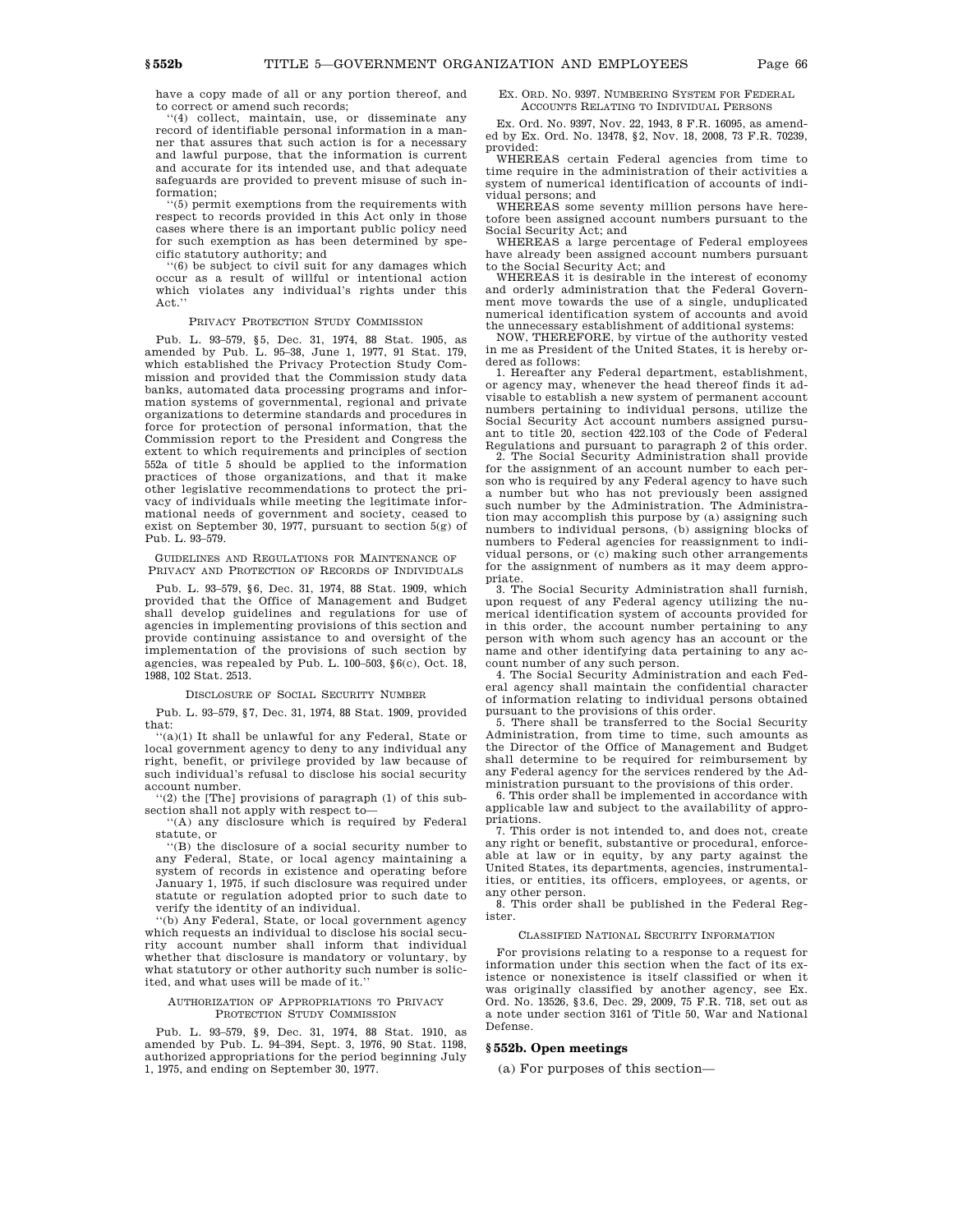have a copy made of all or any portion thereof, and to correct or amend such records;

''(4) collect, maintain, use, or disseminate any record of identifiable personal information in a manner that assures that such action is for a necessary and lawful purpose, that the information is current and accurate for its intended use, and that adequate safeguards are provided to prevent misuse of such information;

''(5) permit exemptions from the requirements with respect to records provided in this Act only in those cases where there is an important public policy need for such exemption as has been determined by specific statutory authority; and

''(6) be subject to civil suit for any damages which occur as a result of willful or intentional action which violates any individual's rights under this Act.''

### PRIVACY PROTECTION STUDY COMMISSION

Pub. L. 93–579, §5, Dec. 31, 1974, 88 Stat. 1905, as amended by Pub. L. 95–38, June 1, 1977, 91 Stat. 179, which established the Privacy Protection Study Commission and provided that the Commission study data banks, automated data processing programs and information systems of governmental, regional and private organizations to determine standards and procedures in force for protection of personal information, that the Commission report to the President and Congress the extent to which requirements and principles of section 552a of title 5 should be applied to the information practices of those organizations, and that it make other legislative recommendations to protect the privacy of individuals while meeting the legitimate informational needs of government and society, ceased to exist on September 30, 1977, pursuant to section 5(g) of Pub. L. 93–579.

GUIDELINES AND REGULATIONS FOR MAINTENANCE OF PRIVACY AND PROTECTION OF RECORDS OF INDIVIDUALS

Pub. L. 93–579, §6, Dec. 31, 1974, 88 Stat. 1909, which provided that the Office of Management and Budget shall develop guidelines and regulations for use of agencies in implementing provisions of this section and provide continuing assistance to and oversight of the implementation of the provisions of such section by agencies, was repealed by Pub. L. 100–503, §6(c), Oct. 18, 1988, 102 Stat. 2513.

DISCLOSURE OF SOCIAL SECURITY NUMBER

Pub. L. 93–579, §7, Dec. 31, 1974, 88 Stat. 1909, provided that:

''(a)(1) It shall be unlawful for any Federal, State or local government agency to deny to any individual any right, benefit, or privilege provided by law because of such individual's refusal to disclose his social security account number.

'(2) the [The] provisions of paragraph  $(1)$  of this subsection shall not apply with respect to—

''(A) any disclosure which is required by Federal statute, or

''(B) the disclosure of a social security number to any Federal, State, or local agency maintaining a system of records in existence and operating before January 1, 1975, if such disclosure was required under statute or regulation adopted prior to such date to verify the identity of an individual.

'(b) Any Federal, State, or local government agency which requests an individual to disclose his social security account number shall inform that individual whether that disclosure is mandatory or voluntary, by what statutory or other authority such number is solicited, and what uses will be made of it.''

### AUTHORIZATION OF APPROPRIATIONS TO PRIVACY PROTECTION STUDY COMMISSION

Pub. L. 93–579, §9, Dec. 31, 1974, 88 Stat. 1910, as amended by Pub. L. 94–394, Sept. 3, 1976, 90 Stat. 1198, authorized appropriations for the period beginning July 1, 1975, and ending on September 30, 1977.

EX. ORD. NO. 9397. NUMBERING SYSTEM FOR FEDERAL ACCOUNTS RELATING TO INDIVIDUAL PERSONS

Ex. Ord. No. 9397, Nov. 22, 1943, 8 F.R. 16095, as amended by Ex. Ord. No. 13478, §2, Nov. 18, 2008, 73 F.R. 70239, provided:

WHEREAS certain Federal agencies from time to time require in the administration of their activities a system of numerical identification of accounts of individual persons; and

WHEREAS some seventy million persons have heretofore been assigned account numbers pursuant to the Social Security Act; and

WHEREAS a large percentage of Federal employees have already been assigned account numbers pursuant to the Social Security Act; and

WHEREAS it is desirable in the interest of economy and orderly administration that the Federal Government move towards the use of a single, unduplicated numerical identification system of accounts and avoid the unnecessary establishment of additional systems:

NOW, THEREFORE, by virtue of the authority vested in me as President of the United States, it is hereby ordered as follows:

1. Hereafter any Federal department, establishment, or agency may, whenever the head thereof finds it advisable to establish a new system of permanent account numbers pertaining to individual persons, utilize the Social Security Act account numbers assigned pursuant to title 20, section 422.103 of the Code of Federal Regulations and pursuant to paragraph 2 of this order.

2. The Social Security Administration shall provide for the assignment of an account number to each person who is required by any Federal agency to have such a number but who has not previously been assigned such number by the Administration. The Administration may accomplish this purpose by (a) assigning such numbers to individual persons, (b) assigning blocks of numbers to Federal agencies for reassignment to individual persons, or (c) making such other arrangements for the assignment of numbers as it may deem appropriate.

3. The Social Security Administration shall furnish, upon request of any Federal agency utilizing the numerical identification system of accounts provided for in this order, the account number pertaining to any person with whom such agency has an account or the name and other identifying data pertaining to any account number of any such person.

4. The Social Security Administration and each Federal agency shall maintain the confidential character of information relating to individual persons obtained pursuant to the provisions of this order.

5. There shall be transferred to the Social Security Administration, from time to time, such amounts as the Director of the Office of Management and Budget shall determine to be required for reimbursement by any Federal agency for the services rendered by the Administration pursuant to the provisions of this order.

6. This order shall be implemented in accordance with applicable law and subject to the availability of appropriations.

7. This order is not intended to, and does not, create any right or benefit, substantive or procedural, enforceable at law or in equity, by any party against the United States, its departments, agencies, instrumentalities, or entities, its officers, employees, or agents, or any other person.

8. This order shall be published in the Federal Register.

### CLASSIFIED NATIONAL SECURITY INFORMATION

For provisions relating to a response to a request for information under this section when the fact of its existence or nonexistence is itself classified or when it was originally classified by another agency, see Ex. Ord. No. 13526, §3.6, Dec. 29, 2009, 75 F.R. 718, set out as a note under section 3161 of Title 50, War and National Defense.

### **§ 552b. Open meetings**

(a) For purposes of this section—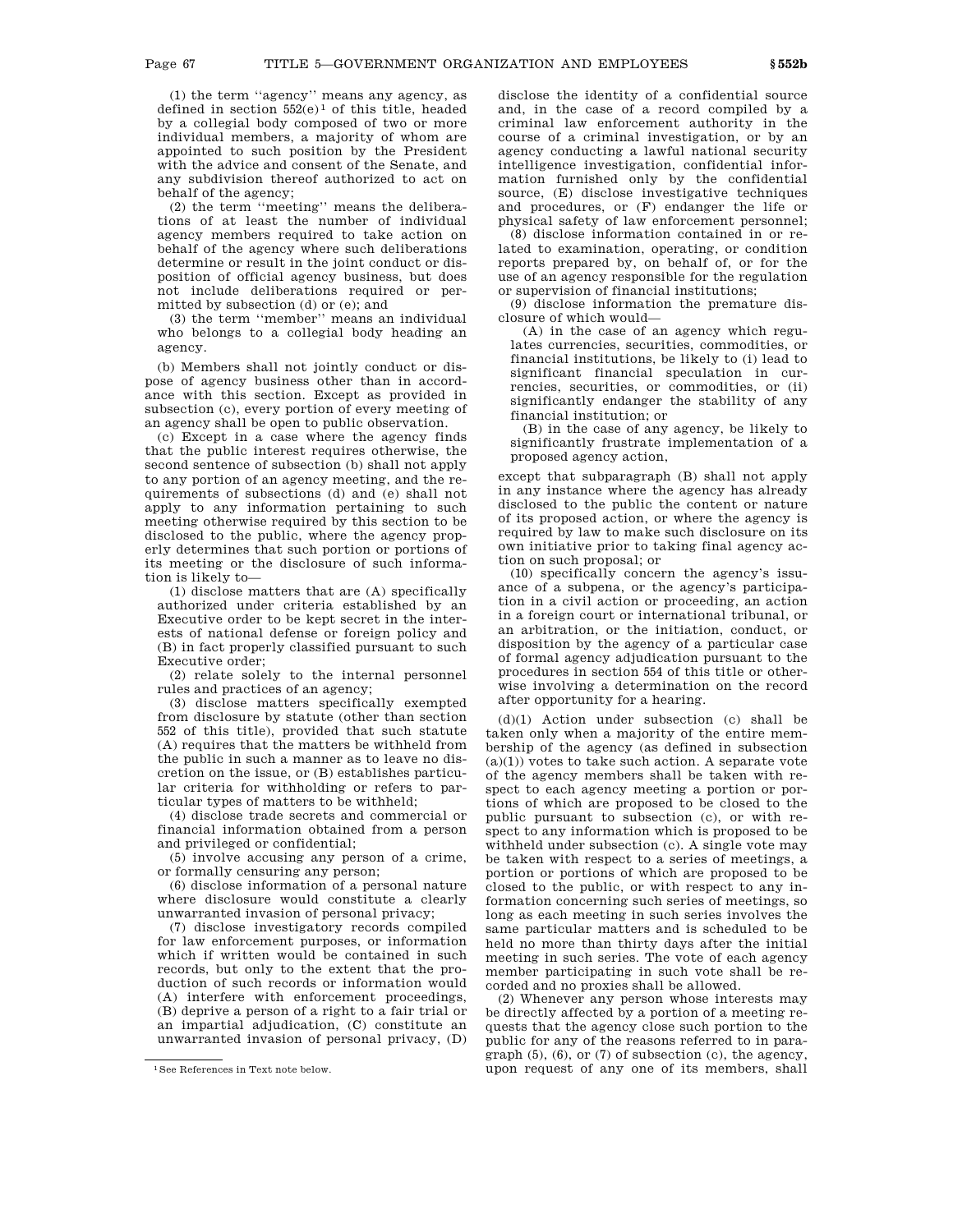(1) the term ''agency'' means any agency, as defined in section  $552(e)^1$  of this title, headed by a collegial body composed of two or more individual members, a majority of whom are appointed to such position by the President with the advice and consent of the Senate, and any subdivision thereof authorized to act on behalf of the agency;

(2) the term ''meeting'' means the deliberations of at least the number of individual agency members required to take action on behalf of the agency where such deliberations determine or result in the joint conduct or disposition of official agency business, but does not include deliberations required or permitted by subsection  $(d)$  or  $(e)$ ; and

(3) the term ''member'' means an individual who belongs to a collegial body heading an agency.

(b) Members shall not jointly conduct or dispose of agency business other than in accordance with this section. Except as provided in subsection (c), every portion of every meeting of an agency shall be open to public observation.

(c) Except in a case where the agency finds that the public interest requires otherwise, the second sentence of subsection (b) shall not apply to any portion of an agency meeting, and the requirements of subsections (d) and (e) shall not apply to any information pertaining to such meeting otherwise required by this section to be disclosed to the public, where the agency properly determines that such portion or portions of its meeting or the disclosure of such information is likely to—

(1) disclose matters that are (A) specifically authorized under criteria established by an Executive order to be kept secret in the interests of national defense or foreign policy and (B) in fact properly classified pursuant to such Executive order;

(2) relate solely to the internal personnel rules and practices of an agency;

(3) disclose matters specifically exempted from disclosure by statute (other than section 552 of this title), provided that such statute (A) requires that the matters be withheld from the public in such a manner as to leave no discretion on the issue, or (B) establishes particular criteria for withholding or refers to particular types of matters to be withheld;

(4) disclose trade secrets and commercial or financial information obtained from a person and privileged or confidential;

(5) involve accusing any person of a crime, or formally censuring any person;

(6) disclose information of a personal nature where disclosure would constitute a clearly unwarranted invasion of personal privacy;

(7) disclose investigatory records compiled for law enforcement purposes, or information which if written would be contained in such records, but only to the extent that the production of such records or information would (A) interfere with enforcement proceedings, (B) deprive a person of a right to a fair trial or an impartial adjudication, (C) constitute an unwarranted invasion of personal privacy, (D) disclose the identity of a confidential source and, in the case of a record compiled by a criminal law enforcement authority in the course of a criminal investigation, or by an agency conducting a lawful national security intelligence investigation, confidential information furnished only by the confidential source, (E) disclose investigative techniques and procedures, or (F) endanger the life or physical safety of law enforcement personnel;

(8) disclose information contained in or related to examination, operating, or condition reports prepared by, on behalf of, or for the use of an agency responsible for the regulation or supervision of financial institutions;

(9) disclose information the premature disclosure of which would—

(A) in the case of an agency which regulates currencies, securities, commodities, or financial institutions, be likely to (i) lead to significant financial speculation in currencies, securities, or commodities, or (ii) significantly endanger the stability of any financial institution; or

(B) in the case of any agency, be likely to significantly frustrate implementation of a proposed agency action,

except that subparagraph (B) shall not apply in any instance where the agency has already disclosed to the public the content or nature of its proposed action, or where the agency is required by law to make such disclosure on its own initiative prior to taking final agency action on such proposal; or

(10) specifically concern the agency's issuance of a subpena, or the agency's participation in a civil action or proceeding, an action in a foreign court or international tribunal, or an arbitration, or the initiation, conduct, or disposition by the agency of a particular case of formal agency adjudication pursuant to the procedures in section 554 of this title or otherwise involving a determination on the record after opportunity for a hearing.

(d)(1) Action under subsection (c) shall be taken only when a majority of the entire membership of the agency (as defined in subsection  $(a)(1)$ ) votes to take such action. A separate vote of the agency members shall be taken with respect to each agency meeting a portion or portions of which are proposed to be closed to the public pursuant to subsection (c), or with respect to any information which is proposed to be withheld under subsection (c). A single vote may be taken with respect to a series of meetings, a portion or portions of which are proposed to be closed to the public, or with respect to any information concerning such series of meetings, so long as each meeting in such series involves the same particular matters and is scheduled to be held no more than thirty days after the initial meeting in such series. The vote of each agency member participating in such vote shall be recorded and no proxies shall be allowed.

(2) Whenever any person whose interests may be directly affected by a portion of a meeting requests that the agency close such portion to the public for any of the reasons referred to in para $graph (5)$ ,  $(6)$ , or  $(7)$  of subsection  $(c)$ , the agency, upon request of any one of its members, shall

<sup>1</sup>See References in Text note below.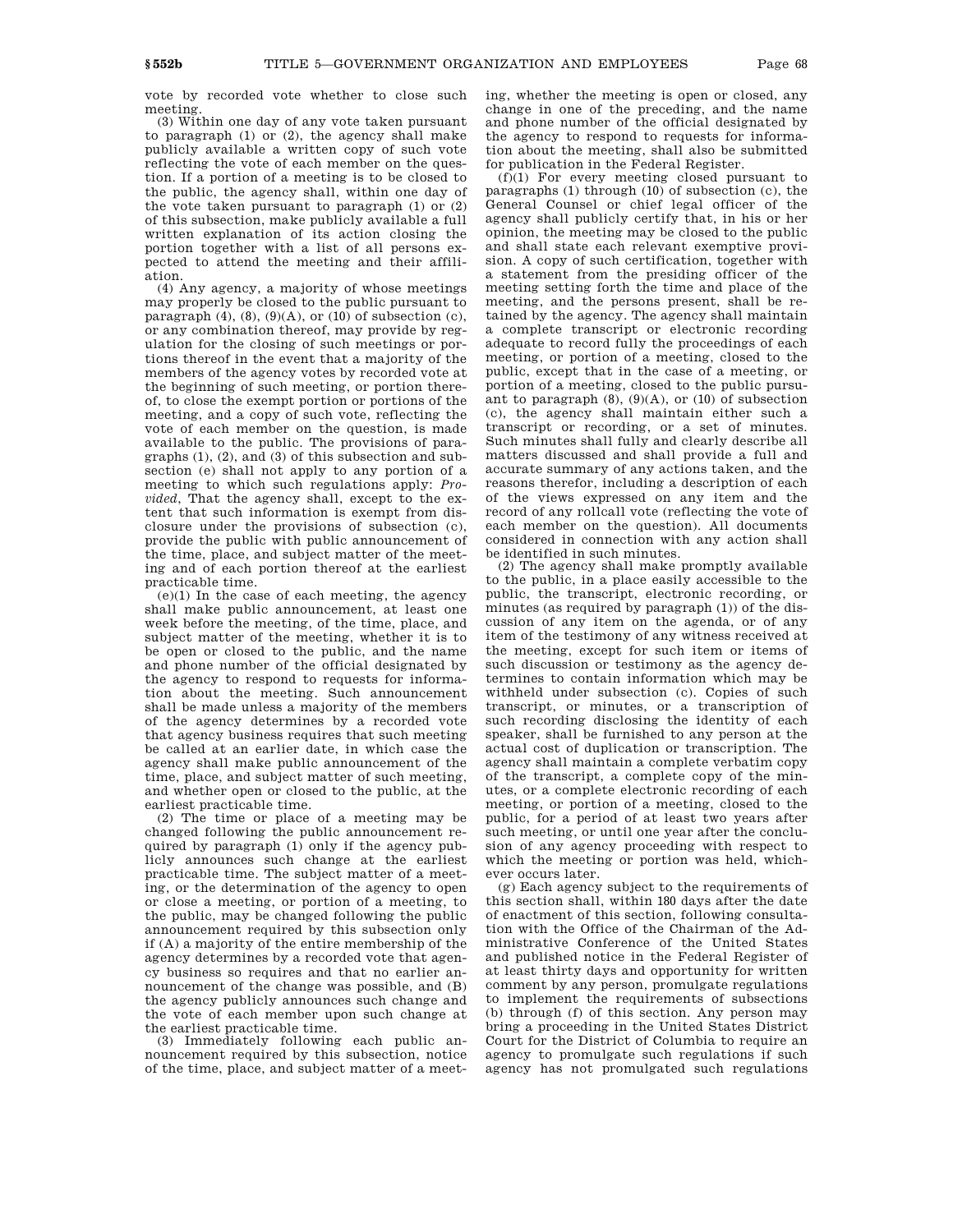vote by recorded vote whether to close such meeting.

(3) Within one day of any vote taken pursuant to paragraph (1) or (2), the agency shall make publicly available a written copy of such vote reflecting the vote of each member on the question. If a portion of a meeting is to be closed to the public, the agency shall, within one day of the vote taken pursuant to paragraph (1) or (2) of this subsection, make publicly available a full written explanation of its action closing the portion together with a list of all persons expected to attend the meeting and their affiliation.

(4) Any agency, a majority of whose meetings may properly be closed to the public pursuant to paragraph  $(4)$ ,  $(8)$ ,  $(9)(A)$ , or  $(10)$  of subsection  $(c)$ , or any combination thereof, may provide by regulation for the closing of such meetings or portions thereof in the event that a majority of the members of the agency votes by recorded vote at the beginning of such meeting, or portion thereof, to close the exempt portion or portions of the meeting, and a copy of such vote, reflecting the vote of each member on the question, is made available to the public. The provisions of paragraphs (1), (2), and (3) of this subsection and subsection (e) shall not apply to any portion of a meeting to which such regulations apply: *Provided*, That the agency shall, except to the extent that such information is exempt from disclosure under the provisions of subsection (c), provide the public with public announcement of the time, place, and subject matter of the meeting and of each portion thereof at the earliest practicable time.

 $(e)(1)$  In the case of each meeting, the agency shall make public announcement, at least one week before the meeting, of the time, place, and subject matter of the meeting, whether it is to be open or closed to the public, and the name and phone number of the official designated by the agency to respond to requests for information about the meeting. Such announcement shall be made unless a majority of the members of the agency determines by a recorded vote that agency business requires that such meeting be called at an earlier date, in which case the agency shall make public announcement of the time, place, and subject matter of such meeting, and whether open or closed to the public, at the earliest practicable time.

(2) The time or place of a meeting may be changed following the public announcement required by paragraph (1) only if the agency publicly announces such change at the earliest practicable time. The subject matter of a meeting, or the determination of the agency to open or close a meeting, or portion of a meeting, to the public, may be changed following the public announcement required by this subsection only if (A) a majority of the entire membership of the agency determines by a recorded vote that agency business so requires and that no earlier announcement of the change was possible, and (B) the agency publicly announces such change and the vote of each member upon such change at the earliest practicable time.

(3) Immediately following each public announcement required by this subsection, notice of the time, place, and subject matter of a meeting, whether the meeting is open or closed, any change in one of the preceding, and the name and phone number of the official designated by the agency to respond to requests for information about the meeting, shall also be submitted for publication in the Federal Register.

(f)(1) For every meeting closed pursuant to paragraphs (1) through (10) of subsection (c), the General Counsel or chief legal officer of the agency shall publicly certify that, in his or her opinion, the meeting may be closed to the public and shall state each relevant exemptive provision. A copy of such certification, together with a statement from the presiding officer of the meeting setting forth the time and place of the meeting, and the persons present, shall be retained by the agency. The agency shall maintain a complete transcript or electronic recording adequate to record fully the proceedings of each meeting, or portion of a meeting, closed to the public, except that in the case of a meeting, or portion of a meeting, closed to the public pursuant to paragraph  $(8)$ ,  $(9)(A)$ , or  $(10)$  of subsection (c), the agency shall maintain either such a transcript or recording, or a set of minutes. Such minutes shall fully and clearly describe all matters discussed and shall provide a full and accurate summary of any actions taken, and the reasons therefor, including a description of each of the views expressed on any item and the record of any rollcall vote (reflecting the vote of each member on the question). All documents considered in connection with any action shall be identified in such minutes.

(2) The agency shall make promptly available to the public, in a place easily accessible to the public, the transcript, electronic recording, or minutes (as required by paragraph (1)) of the discussion of any item on the agenda, or of any item of the testimony of any witness received at the meeting, except for such item or items of such discussion or testimony as the agency determines to contain information which may be withheld under subsection (c). Copies of such transcript, or minutes, or a transcription of such recording disclosing the identity of each speaker, shall be furnished to any person at the actual cost of duplication or transcription. The agency shall maintain a complete verbatim copy of the transcript, a complete copy of the minutes, or a complete electronic recording of each meeting, or portion of a meeting, closed to the public, for a period of at least two years after such meeting, or until one year after the conclusion of any agency proceeding with respect to which the meeting or portion was held, whichever occurs later.

(g) Each agency subject to the requirements of this section shall, within 180 days after the date of enactment of this section, following consultation with the Office of the Chairman of the Administrative Conference of the United States and published notice in the Federal Register of at least thirty days and opportunity for written comment by any person, promulgate regulations to implement the requirements of subsections (b) through (f) of this section. Any person may bring a proceeding in the United States District Court for the District of Columbia to require an agency to promulgate such regulations if such agency has not promulgated such regulations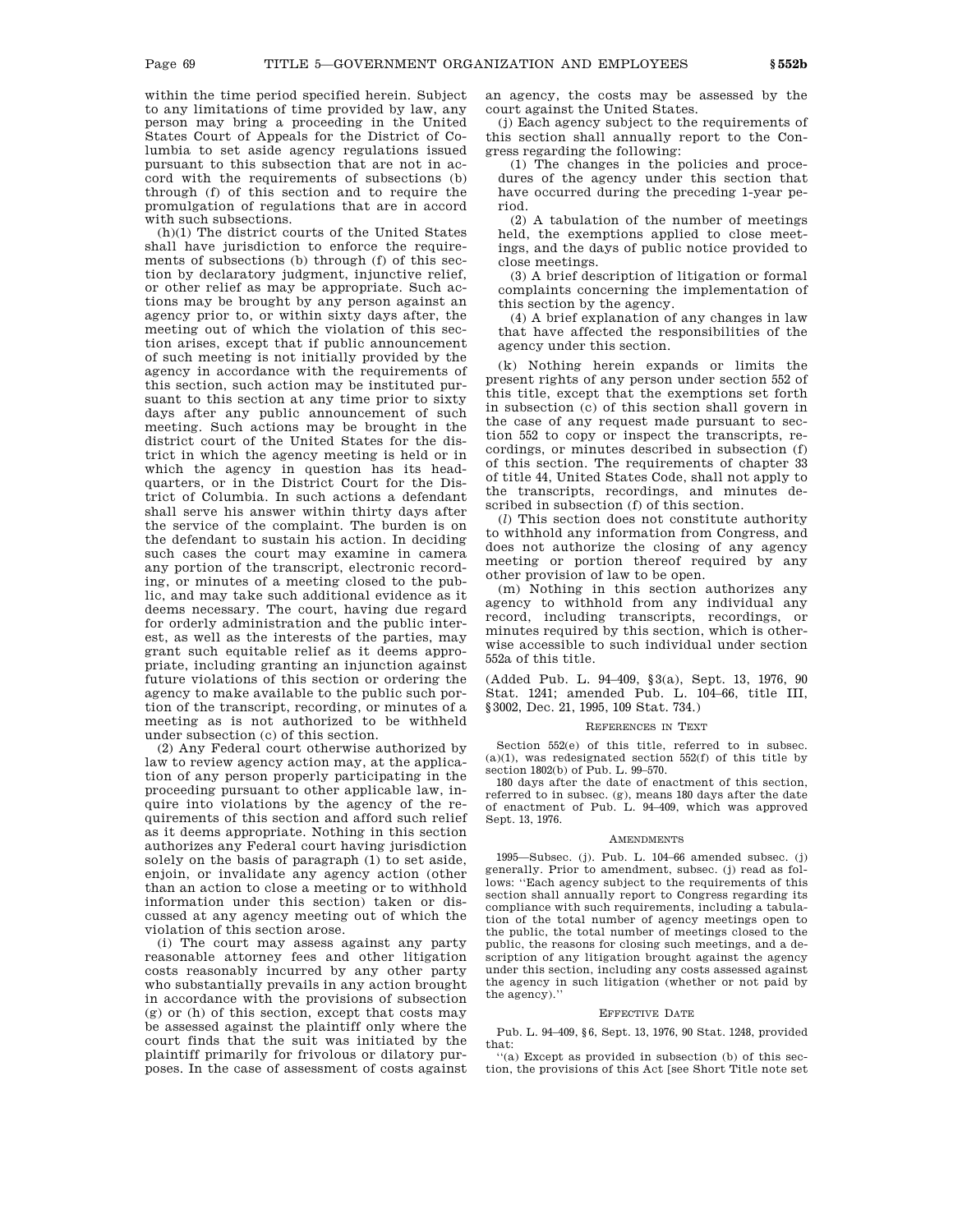within the time period specified herein. Subject to any limitations of time provided by law, any person may bring a proceeding in the United States Court of Appeals for the District of Columbia to set aside agency regulations issued pursuant to this subsection that are not in accord with the requirements of subsections (b) through (f) of this section and to require the promulgation of regulations that are in accord with such subsections.

(h)(1) The district courts of the United States shall have jurisdiction to enforce the requirements of subsections (b) through (f) of this section by declaratory judgment, injunctive relief, or other relief as may be appropriate. Such actions may be brought by any person against an agency prior to, or within sixty days after, the meeting out of which the violation of this section arises, except that if public announcement of such meeting is not initially provided by the agency in accordance with the requirements of this section, such action may be instituted pursuant to this section at any time prior to sixty days after any public announcement of such meeting. Such actions may be brought in the district court of the United States for the district in which the agency meeting is held or in which the agency in question has its headquarters, or in the District Court for the District of Columbia. In such actions a defendant shall serve his answer within thirty days after the service of the complaint. The burden is on the defendant to sustain his action. In deciding such cases the court may examine in camera any portion of the transcript, electronic recording, or minutes of a meeting closed to the public, and may take such additional evidence as it deems necessary. The court, having due regard for orderly administration and the public interest, as well as the interests of the parties, may grant such equitable relief as it deems appropriate, including granting an injunction against future violations of this section or ordering the agency to make available to the public such portion of the transcript, recording, or minutes of a meeting as is not authorized to be withheld under subsection (c) of this section.

(2) Any Federal court otherwise authorized by law to review agency action may, at the application of any person properly participating in the proceeding pursuant to other applicable law, inquire into violations by the agency of the requirements of this section and afford such relief as it deems appropriate. Nothing in this section authorizes any Federal court having jurisdiction solely on the basis of paragraph (1) to set aside, enjoin, or invalidate any agency action (other than an action to close a meeting or to withhold information under this section) taken or discussed at any agency meeting out of which the violation of this section arose.

(i) The court may assess against any party reasonable attorney fees and other litigation costs reasonably incurred by any other party who substantially prevails in any action brought in accordance with the provisions of subsection (g) or (h) of this section, except that costs may be assessed against the plaintiff only where the court finds that the suit was initiated by the plaintiff primarily for frivolous or dilatory purposes. In the case of assessment of costs against an agency, the costs may be assessed by the court against the United States.

(j) Each agency subject to the requirements of this section shall annually report to the Congress regarding the following:

(1) The changes in the policies and procedures of the agency under this section that have occurred during the preceding 1-year period.

(2) A tabulation of the number of meetings held, the exemptions applied to close meetings, and the days of public notice provided to close meetings.

(3) A brief description of litigation or formal complaints concerning the implementation of this section by the agency.

(4) A brief explanation of any changes in law that have affected the responsibilities of the agency under this section.

(k) Nothing herein expands or limits the present rights of any person under section 552 of this title, except that the exemptions set forth in subsection (c) of this section shall govern in the case of any request made pursuant to section 552 to copy or inspect the transcripts, recordings, or minutes described in subsection (f) of this section. The requirements of chapter 33 of title 44, United States Code, shall not apply to the transcripts, recordings, and minutes described in subsection (f) of this section.

(*l*) This section does not constitute authority to withhold any information from Congress, and does not authorize the closing of any agency meeting or portion thereof required by any other provision of law to be open.

(m) Nothing in this section authorizes any agency to withhold from any individual any record, including transcripts, recordings, or minutes required by this section, which is otherwise accessible to such individual under section 552a of this title.

(Added Pub. L. 94–409, §3(a), Sept. 13, 1976, 90 Stat. 1241; amended Pub. L. 104–66, title III, §3002, Dec. 21, 1995, 109 Stat. 734.)

### REFERENCES IN TEXT

Section 552(e) of this title, referred to in subsec.  $(a)(1)$ , was redesignated section  $552(f)$  of this title by section 1802(b) of Pub. L. 99–570.

180 days after the date of enactment of this section, referred to in subsec. (g), means 180 days after the date of enactment of Pub. L. 94–409, which was approved Sept. 13, 1976.

#### **AMENDMENTS**

1995—Subsec. (j). Pub. L. 104–66 amended subsec. (j) generally. Prior to amendment, subsec. (j) read as follows: ''Each agency subject to the requirements of this section shall annually report to Congress regarding its compliance with such requirements, including a tabulation of the total number of agency meetings open to the public, the total number of meetings closed to the public, the reasons for closing such meetings, and a description of any litigation brought against the agency under this section, including any costs assessed against the agency in such litigation (whether or not paid by the agency).''

#### EFFECTIVE DATE

Pub. L. 94–409, §6, Sept. 13, 1976, 90 Stat. 1248, provided that:

''(a) Except as provided in subsection (b) of this section, the provisions of this Act [see Short Title note set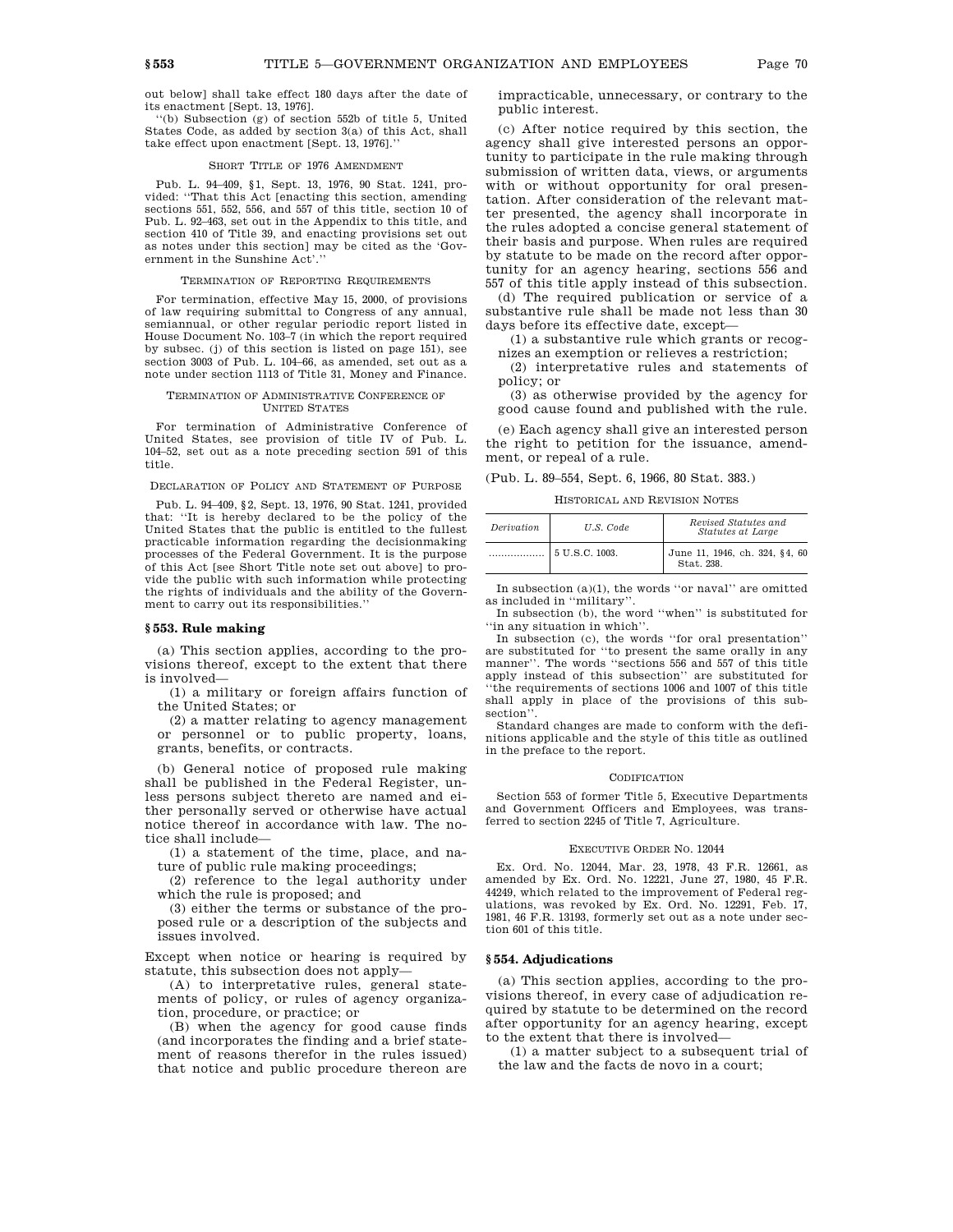out below] shall take effect 180 days after the date of its enactment [Sept. 13, 1976].

''(b) Subsection (g) of section 552b of title 5, United States Code, as added by section 3(a) of this Act, shall take effect upon enactment [Sept. 13, 1976].''

### SHORT TITLE OF 1976 AMENDMENT

Pub. L. 94–409, §1, Sept. 13, 1976, 90 Stat. 1241, provided: ''That this Act [enacting this section, amending sections 551, 552, 556, and 557 of this title, section 10 of Pub. L. 92–463, set out in the Appendix to this title, and section 410 of Title 39, and enacting provisions set out as notes under this section] may be cited as the 'Government in the Sunshine Act'.

### TERMINATION OF REPORTING REQUIREMENTS

For termination, effective May 15, 2000, of provisions of law requiring submittal to Congress of any annual, semiannual, or other regular periodic report listed in House Document No. 103–7 (in which the report required by subsec. (j) of this section is listed on page 151), see section 3003 of Pub. L. 104–66, as amended, set out as a note under section 1113 of Title 31, Money and Finance.

#### TERMINATION OF ADMINISTRATIVE CONFERENCE OF UNITED STATES

For termination of Administrative Conference of United States, see provision of title IV of Pub. L. 104–52, set out as a note preceding section 591 of this title.

DECLARATION OF POLICY AND STATEMENT OF PURPOSE

Pub. L. 94–409, §2, Sept. 13, 1976, 90 Stat. 1241, provided that: ''It is hereby declared to be the policy of the United States that the public is entitled to the fullest practicable information regarding the decisionmaking processes of the Federal Government. It is the purpose of this Act [see Short Title note set out above] to provide the public with such information while protecting the rights of individuals and the ability of the Government to carry out its responsibilities.''

## **§ 553. Rule making**

(a) This section applies, according to the provisions thereof, except to the extent that there is involved—

(1) a military or foreign affairs function of the United States; or

(2) a matter relating to agency management or personnel or to public property, loans, grants, benefits, or contracts.

(b) General notice of proposed rule making shall be published in the Federal Register, unless persons subject thereto are named and either personally served or otherwise have actual notice thereof in accordance with law. The notice shall include—

(1) a statement of the time, place, and nature of public rule making proceedings;

(2) reference to the legal authority under which the rule is proposed; and

(3) either the terms or substance of the proposed rule or a description of the subjects and issues involved.

Except when notice or hearing is required by statute, this subsection does not apply—

(A) to interpretative rules, general statements of policy, or rules of agency organization, procedure, or practice; or

(B) when the agency for good cause finds (and incorporates the finding and a brief statement of reasons therefor in the rules issued) that notice and public procedure thereon are

impracticable, unnecessary, or contrary to the public interest.

(c) After notice required by this section, the agency shall give interested persons an opportunity to participate in the rule making through submission of written data, views, or arguments with or without opportunity for oral presentation. After consideration of the relevant matter presented, the agency shall incorporate in the rules adopted a concise general statement of their basis and purpose. When rules are required by statute to be made on the record after opportunity for an agency hearing, sections 556 and 557 of this title apply instead of this subsection.

(d) The required publication or service of a substantive rule shall be made not less than 30 days before its effective date, except—

(1) a substantive rule which grants or recognizes an exemption or relieves a restriction;

(2) interpretative rules and statements of policy; or

(3) as otherwise provided by the agency for good cause found and published with the rule.

(e) Each agency shall give an interested person the right to petition for the issuance, amendment, or repeal of a rule.

(Pub. L. 89–554, Sept. 6, 1966, 80 Stat. 383.)

HISTORICAL AND REVISION NOTES

| Derivation | U.S. Code      | Revised Statutes and<br>Statutes at Large    |
|------------|----------------|----------------------------------------------|
|            | 5 U.S.C. 1003. | June 11, 1946, ch. 324, §4, 60<br>Stat. 238. |

In subsection (a)(1), the words ''or naval'' are omitted as included in ''military''.

In subsection (b), the word ''when'' is substituted for ''in any situation in which''.

In subsection (c), the words ''for oral presentation'' are substituted for ''to present the same orally in any manner''. The words ''sections 556 and 557 of this title apply instead of this subsection'' are substituted for ''the requirements of sections 1006 and 1007 of this title shall apply in place of the provisions of this subsection''.

Standard changes are made to conform with the definitions applicable and the style of this title as outlined in the preface to the report.

#### CODIFICATION

Section 553 of former Title 5, Executive Departments and Government Officers and Employees, was transferred to section 2245 of Title 7, Agriculture.

### EXECUTIVE ORDER NO. 12044

Ex. Ord. No. 12044, Mar. 23, 1978, 43 F.R. 12661, as amended by Ex. Ord. No. 12221, June 27, 1980, 45 F.R. 44249, which related to the improvement of Federal regulations, was revoked by Ex. Ord. No. 12291, Feb. 17, 1981, 46 F.R. 13193, formerly set out as a note under section 601 of this title.

### **§ 554. Adjudications**

(a) This section applies, according to the provisions thereof, in every case of adjudication required by statute to be determined on the record after opportunity for an agency hearing, except to the extent that there is involved—

(1) a matter subject to a subsequent trial of the law and the facts de novo in a court;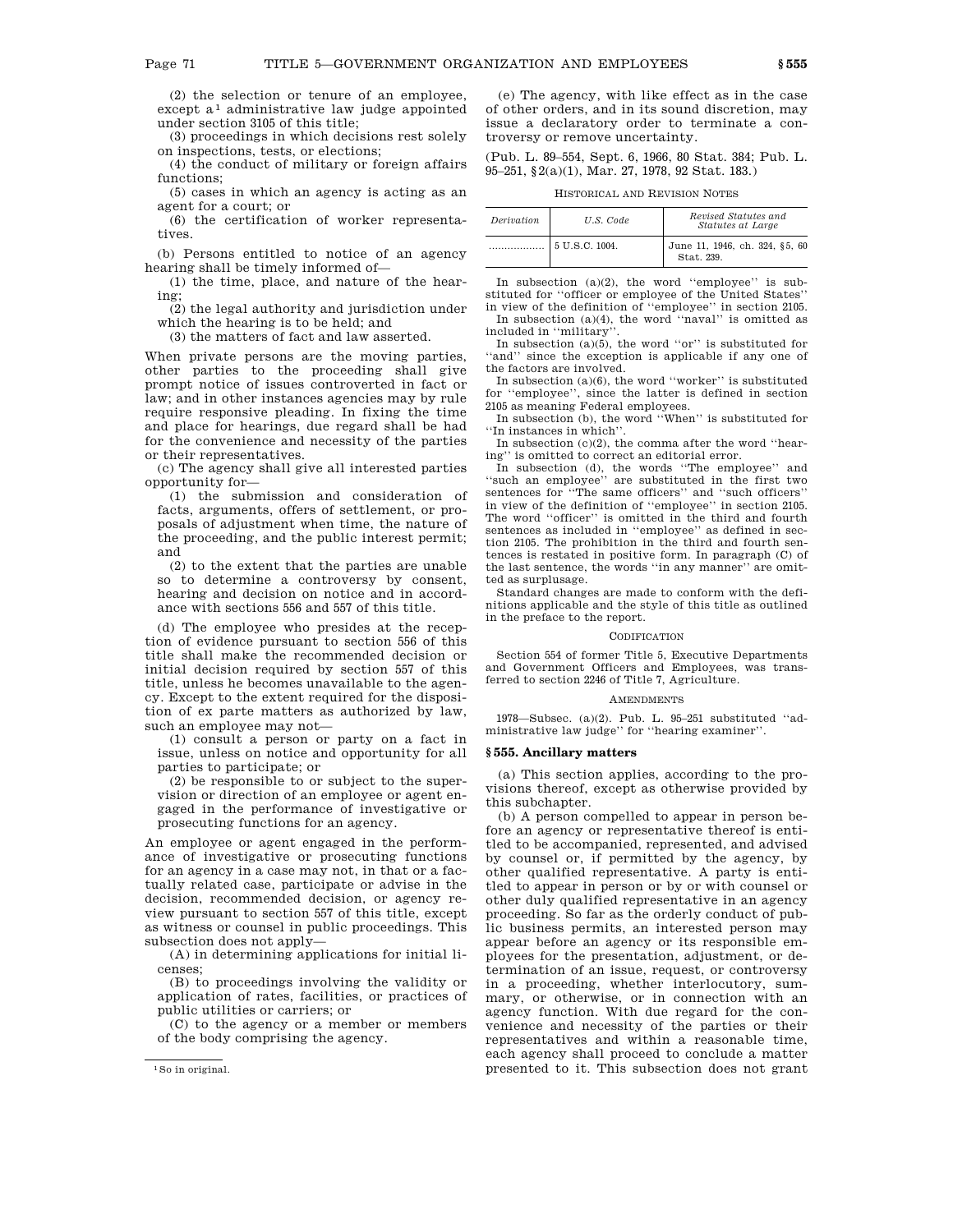(2) the selection or tenure of an employee, except  $a<sup>1</sup>$  administrative law judge appointed under section 3105 of this title;

(3) proceedings in which decisions rest solely on inspections, tests, or elections;

(4) the conduct of military or foreign affairs functions;

(5) cases in which an agency is acting as an agent for a court; or

(6) the certification of worker representatives.

(b) Persons entitled to notice of an agency hearing shall be timely informed of—

(1) the time, place, and nature of the hearing;

(2) the legal authority and jurisdiction under which the hearing is to be held; and

(3) the matters of fact and law asserted.

When private persons are the moving parties, other parties to the proceeding shall give prompt notice of issues controverted in fact or law; and in other instances agencies may by rule require responsive pleading. In fixing the time and place for hearings, due regard shall be had for the convenience and necessity of the parties or their representatives.

(c) The agency shall give all interested parties opportunity for—

(1) the submission and consideration of facts, arguments, offers of settlement, or proposals of adjustment when time, the nature of the proceeding, and the public interest permit; and

(2) to the extent that the parties are unable so to determine a controversy by consent, hearing and decision on notice and in accordance with sections 556 and 557 of this title.

(d) The employee who presides at the reception of evidence pursuant to section 556 of this title shall make the recommended decision or initial decision required by section 557 of this title, unless he becomes unavailable to the agency. Except to the extent required for the disposition of ex parte matters as authorized by law, such an employee may not—

(1) consult a person or party on a fact in issue, unless on notice and opportunity for all parties to participate; or

(2) be responsible to or subject to the supervision or direction of an employee or agent engaged in the performance of investigative or prosecuting functions for an agency.

An employee or agent engaged in the performance of investigative or prosecuting functions for an agency in a case may not, in that or a factually related case, participate or advise in the decision, recommended decision, or agency review pursuant to section 557 of this title, except as witness or counsel in public proceedings. This subsection does not apply—

(A) in determining applications for initial licenses;

(B) to proceedings involving the validity or application of rates, facilities, or practices of public utilities or carriers; or

(C) to the agency or a member or members of the body comprising the agency.

(e) The agency, with like effect as in the case of other orders, and in its sound discretion, may issue a declaratory order to terminate a controversy or remove uncertainty.

(Pub. L. 89–554, Sept. 6, 1966, 80 Stat. 384; Pub. L. 95–251, §2(a)(1), Mar. 27, 1978, 92 Stat. 183.)

HISTORICAL AND REVISION NOTES

| Derivation | U.S. Code      | Revised Statutes and<br>Statutes at Large    |
|------------|----------------|----------------------------------------------|
|            | 5 U.S.C. 1004. | June 11, 1946, ch. 324, §5, 60<br>Stat. 239. |

In subsection (a)(2), the word ''employee'' is substituted for ''officer or employee of the United States'' in view of the definition of ''employee'' in section 2105.

In subsection (a)(4), the word ''naval'' is omitted as included in ''military''.

In subsection (a)(5), the word ''or'' is substituted for "and" since the exception is applicable if any one of the factors are involved.

In subsection (a)(6), the word ''worker'' is substituted for ''employee'', since the latter is defined in section 2105 as meaning Federal employees.

In subsection (b), the word ''When'' is substituted for ''In instances in which''.

In subsection (c)(2), the comma after the word ''hearing'' is omitted to correct an editorial error.

In subsection (d), the words ''The employee'' and ''such an employee'' are substituted in the first two sentences for ''The same officers'' and ''such officers'' in view of the definition of ''employee'' in section 2105. The word ''officer'' is omitted in the third and fourth sentences as included in ''employee'' as defined in section 2105. The prohibition in the third and fourth sentences is restated in positive form. In paragraph (C) of the last sentence, the words ''in any manner'' are omitted as surplusage.

Standard changes are made to conform with the definitions applicable and the style of this title as outlined in the preface to the report.

#### CODIFICATION

Section 554 of former Title 5, Executive Departments and Government Officers and Employees, was transferred to section 2246 of Title 7, Agriculture.

#### AMENDMENTS

1978—Subsec. (a)(2). Pub. L. 95–251 substituted ''administrative law judge'' for ''hearing examiner''.

### **§ 555. Ancillary matters**

(a) This section applies, according to the provisions thereof, except as otherwise provided by this subchapter.

(b) A person compelled to appear in person before an agency or representative thereof is entitled to be accompanied, represented, and advised by counsel or, if permitted by the agency, by other qualified representative. A party is entitled to appear in person or by or with counsel or other duly qualified representative in an agency proceeding. So far as the orderly conduct of public business permits, an interested person may appear before an agency or its responsible employees for the presentation, adjustment, or determination of an issue, request, or controversy in a proceeding, whether interlocutory, summary, or otherwise, or in connection with an agency function. With due regard for the convenience and necessity of the parties or their representatives and within a reasonable time, each agency shall proceed to conclude a matter presented to it. This subsection does not grant

<sup>1</sup>So in original.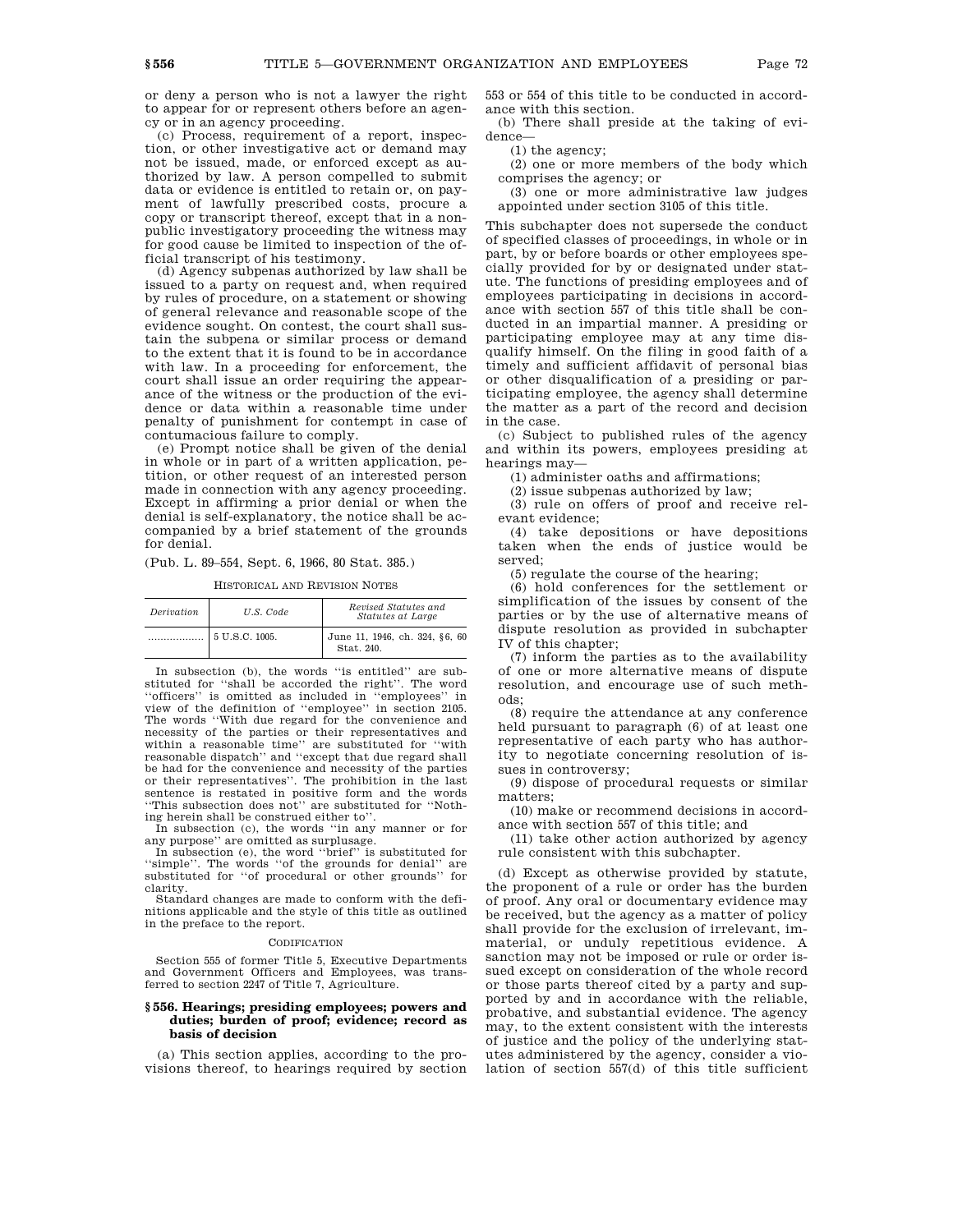or deny a person who is not a lawyer the right to appear for or represent others before an agency or in an agency proceeding.

(c) Process, requirement of a report, inspection, or other investigative act or demand may not be issued, made, or enforced except as authorized by law. A person compelled to submit data or evidence is entitled to retain or, on payment of lawfully prescribed costs, procure a copy or transcript thereof, except that in a nonpublic investigatory proceeding the witness may for good cause be limited to inspection of the official transcript of his testimony.

(d) Agency subpenas authorized by law shall be issued to a party on request and, when required by rules of procedure, on a statement or showing of general relevance and reasonable scope of the evidence sought. On contest, the court shall sustain the subpena or similar process or demand to the extent that it is found to be in accordance with law. In a proceeding for enforcement, the court shall issue an order requiring the appearance of the witness or the production of the evidence or data within a reasonable time under penalty of punishment for contempt in case of contumacious failure to comply.

(e) Prompt notice shall be given of the denial in whole or in part of a written application, petition, or other request of an interested person made in connection with any agency proceeding. Except in affirming a prior denial or when the denial is self-explanatory, the notice shall be accompanied by a brief statement of the grounds for denial.

## (Pub. L. 89–554, Sept. 6, 1966, 80 Stat. 385.)

HISTORICAL AND REVISION NOTES

| Derivation | U.S. Code      | Revised Statutes and<br>Statutes at Large    |
|------------|----------------|----------------------------------------------|
|            | 5 U.S.C. 1005. | June 11, 1946, ch. 324, §6, 60<br>Stat. 240. |

In subsection (b), the words ''is entitled'' are substituted for ''shall be accorded the right''. The word ''officers'' is omitted as included in ''employees'' in view of the definition of ''employee'' in section 2105. The words ''With due regard for the convenience and necessity of the parties or their representatives and within a reasonable time'' are substituted for ''with reasonable dispatch'' and ''except that due regard shall be had for the convenience and necessity of the parties or their representatives''. The prohibition in the last sentence is restated in positive form and the words ''This subsection does not'' are substituted for ''Nothing herein shall be construed either to''.

In subsection (c), the words ''in any manner or for any purpose'' are omitted as surplusage.

In subsection (e), the word "brief" is substituted for "simple". The words "of the grounds for denial" are substituted for "of procedural or other grounds" for clarity.

Standard changes are made to conform with the definitions applicable and the style of this title as outlined in the preface to the report.

#### CODIFICATION

Section 555 of former Title 5, Executive Departments and Government Officers and Employees, was transferred to section 2247 of Title 7, Agriculture.

## **§ 556. Hearings; presiding employees; powers and duties; burden of proof; evidence; record as basis of decision**

(a) This section applies, according to the provisions thereof, to hearings required by section 553 or 554 of this title to be conducted in accordance with this section.

(b) There shall preside at the taking of evidence—

(1) the agency;

(2) one or more members of the body which comprises the agency; or

(3) one or more administrative law judges appointed under section 3105 of this title.

This subchapter does not supersede the conduct of specified classes of proceedings, in whole or in part, by or before boards or other employees specially provided for by or designated under statute. The functions of presiding employees and of employees participating in decisions in accordance with section 557 of this title shall be conducted in an impartial manner. A presiding or participating employee may at any time disqualify himself. On the filing in good faith of a timely and sufficient affidavit of personal bias or other disqualification of a presiding or participating employee, the agency shall determine the matter as a part of the record and decision in the case.

(c) Subject to published rules of the agency and within its powers, employees presiding at hearings may—

(1) administer oaths and affirmations;

(2) issue subpenas authorized by law;

(3) rule on offers of proof and receive relevant evidence;

(4) take depositions or have depositions taken when the ends of justice would be served;

(5) regulate the course of the hearing;

(6) hold conferences for the settlement or simplification of the issues by consent of the parties or by the use of alternative means of dispute resolution as provided in subchapter IV of this chapter;

(7) inform the parties as to the availability of one or more alternative means of dispute resolution, and encourage use of such methods;

(8) require the attendance at any conference held pursuant to paragraph (6) of at least one representative of each party who has authority to negotiate concerning resolution of issues in controversy;

(9) dispose of procedural requests or similar matters;

(10) make or recommend decisions in accordance with section 557 of this title; and

(11) take other action authorized by agency rule consistent with this subchapter.

(d) Except as otherwise provided by statute, the proponent of a rule or order has the burden of proof. Any oral or documentary evidence may be received, but the agency as a matter of policy shall provide for the exclusion of irrelevant, immaterial, or unduly repetitious evidence. A sanction may not be imposed or rule or order issued except on consideration of the whole record or those parts thereof cited by a party and supported by and in accordance with the reliable, probative, and substantial evidence. The agency may, to the extent consistent with the interests of justice and the policy of the underlying statutes administered by the agency, consider a violation of section 557(d) of this title sufficient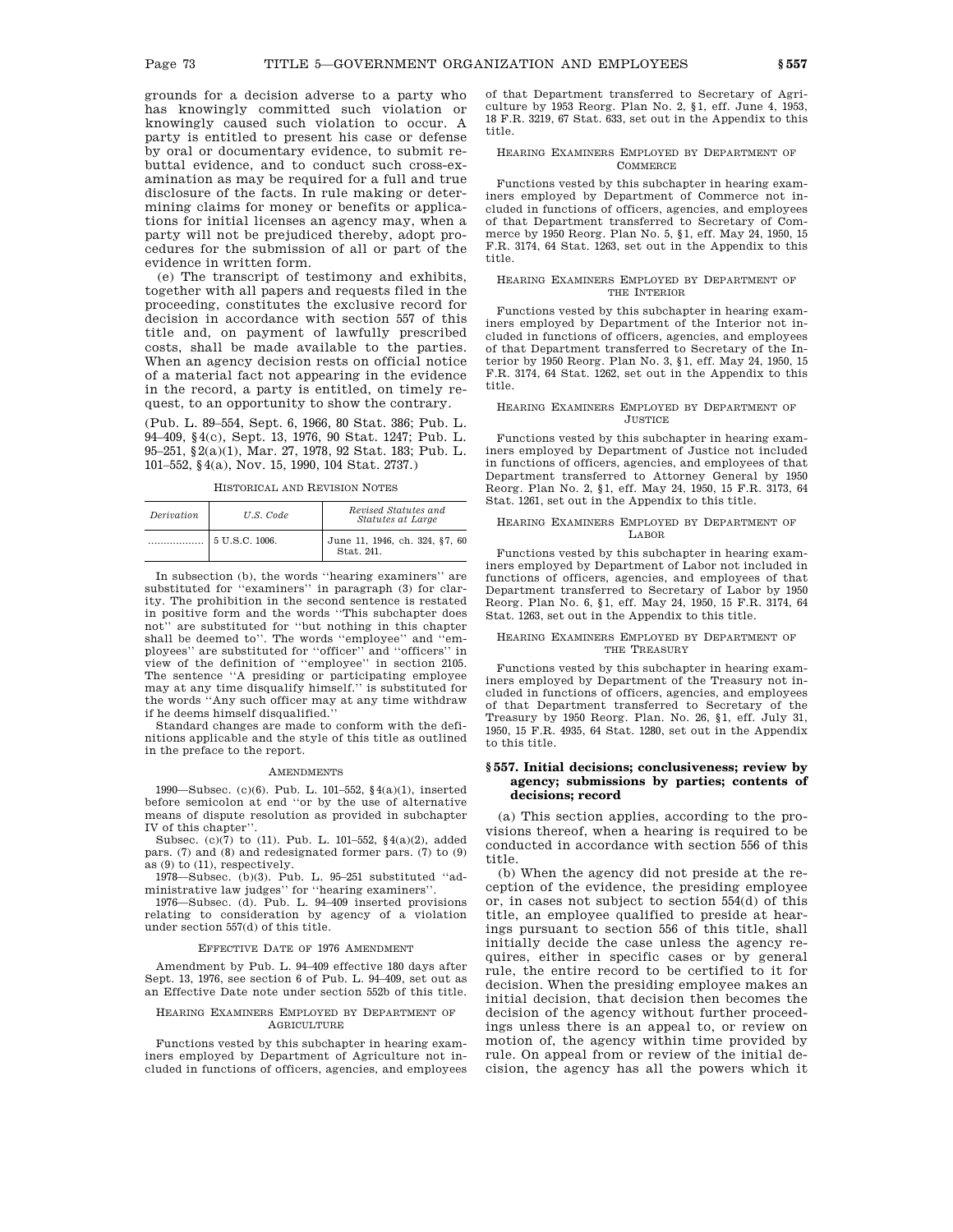grounds for a decision adverse to a party who has knowingly committed such violation or knowingly caused such violation to occur. A party is entitled to present his case or defense by oral or documentary evidence, to submit rebuttal evidence, and to conduct such cross-examination as may be required for a full and true disclosure of the facts. In rule making or determining claims for money or benefits or applications for initial licenses an agency may, when a party will not be prejudiced thereby, adopt procedures for the submission of all or part of the evidence in written form.

(e) The transcript of testimony and exhibits, together with all papers and requests filed in the proceeding, constitutes the exclusive record for decision in accordance with section 557 of this title and, on payment of lawfully prescribed costs, shall be made available to the parties. When an agency decision rests on official notice of a material fact not appearing in the evidence in the record, a party is entitled, on timely request, to an opportunity to show the contrary.

(Pub. L. 89–554, Sept. 6, 1966, 80 Stat. 386; Pub. L. 94–409, §4(c), Sept. 13, 1976, 90 Stat. 1247; Pub. L. 95–251, §2(a)(1), Mar. 27, 1978, 92 Stat. 183; Pub. L. 101–552, §4(a), Nov. 15, 1990, 104 Stat. 2737.)

HISTORICAL AND REVISION NOTES

| <i>Derivation</i> | U.S. Code      | Revised Statutes and<br>Statutes at Large    |
|-------------------|----------------|----------------------------------------------|
|                   | 5 U.S.C. 1006. | June 11, 1946, ch. 324, §7, 60<br>Stat. 241. |

In subsection (b), the words ''hearing examiners'' are substituted for "examiners" in paragraph (3) for clarity. The prohibition in the second sentence is restated in positive form and the words ''This subchapter does not'' are substituted for ''but nothing in this chapter shall be deemed to''. The words ''employee'' and ''employees'' are substituted for ''officer'' and ''officers'' in view of the definition of ''employee'' in section 2105. The sentence ''A presiding or participating employee may at any time disqualify himself.'' is substituted for the words ''Any such officer may at any time withdraw if he deems himself disqualified.''

Standard changes are made to conform with the definitions applicable and the style of this title as outlined in the preface to the report.

### **AMENDMENTS**

1990—Subsec. (c)(6). Pub. L. 101–552, §4(a)(1), inserted before semicolon at end ''or by the use of alternative means of dispute resolution as provided in subchapter IV of this chapter''.

Subsec. (c)(7) to (11). Pub. L. 101–552, §4(a)(2), added pars. (7) and (8) and redesignated former pars. (7) to (9) as (9) to (11), respectively.

1978—Subsec. (b)(3). Pub. L. 95–251 substituted ''administrative law judges'' for ''hearing examiners''.

1976—Subsec. (d). Pub. L. 94–409 inserted provisions relating to consideration by agency of a violation under section 557(d) of this title.

## EFFECTIVE DATE OF 1976 AMENDMENT

Amendment by Pub. L. 94–409 effective 180 days after Sept. 13, 1976, see section 6 of Pub. L. 94–409, set out as an Effective Date note under section 552b of this title.

#### HEARING EXAMINERS EMPLOYED BY DEPARTMENT OF AGRICULTURE

Functions vested by this subchapter in hearing examiners employed by Department of Agriculture not included in functions of officers, agencies, and employees of that Department transferred to Secretary of Agriculture by 1953 Reorg. Plan No. 2, §1, eff. June 4, 1953, 18 F.R. 3219, 67 Stat. 633, set out in the Appendix to this title.

## HEARING EXAMINERS EMPLOYED BY DEPARTMENT OF **COMMERCE**

Functions vested by this subchapter in hearing examiners employed by Department of Commerce not included in functions of officers, agencies, and employees of that Department transferred to Secretary of Commerce by 1950 Reorg. Plan No. 5, §1, eff. May 24, 1950, 15 F.R. 3174, 64 Stat. 1263, set out in the Appendix to this title.

### HEARING EXAMINERS EMPLOYED BY DEPARTMENT OF THE INTERIOR

Functions vested by this subchapter in hearing examiners employed by Department of the Interior not included in functions of officers, agencies, and employees of that Department transferred to Secretary of the Interior by 1950 Reorg. Plan No. 3, §1, eff. May 24, 1950, 15 F.R. 3174, 64 Stat. 1262, set out in the Appendix to this title.

#### HEARING EXAMINERS EMPLOYED BY DEPARTMENT OF **JUSTICE**

Functions vested by this subchapter in hearing examiners employed by Department of Justice not included in functions of officers, agencies, and employees of that Department transferred to Attorney General by 1950 Reorg. Plan No. 2, §1, eff. May 24, 1950, 15 F.R. 3173, 64 Stat. 1261, set out in the Appendix to this title.

#### HEARING EXAMINERS EMPLOYED BY DEPARTMENT OF LABOR

Functions vested by this subchapter in hearing examiners employed by Department of Labor not included in functions of officers, agencies, and employees of that Department transferred to Secretary of Labor by 1950 Reorg. Plan No. 6, §1, eff. May 24, 1950, 15 F.R. 3174, 64 Stat. 1263, set out in the Appendix to this title.

### HEARING EXAMINERS EMPLOYED BY DEPARTMENT OF THE TREASURY

Functions vested by this subchapter in hearing examiners employed by Department of the Treasury not included in functions of officers, agencies, and employees of that Department transferred to Secretary of the Treasury by 1950 Reorg. Plan. No. 26, §1, eff. July 31, 1950, 15 F.R. 4935, 64 Stat. 1280, set out in the Appendix to this title.

## **§ 557. Initial decisions; conclusiveness; review by agency; submissions by parties; contents of decisions; record**

(a) This section applies, according to the provisions thereof, when a hearing is required to be conducted in accordance with section 556 of this title.

(b) When the agency did not preside at the reception of the evidence, the presiding employee or, in cases not subject to section 554(d) of this title, an employee qualified to preside at hearings pursuant to section 556 of this title, shall initially decide the case unless the agency requires, either in specific cases or by general rule, the entire record to be certified to it for decision. When the presiding employee makes an initial decision, that decision then becomes the decision of the agency without further proceedings unless there is an appeal to, or review on motion of, the agency within time provided by rule. On appeal from or review of the initial decision, the agency has all the powers which it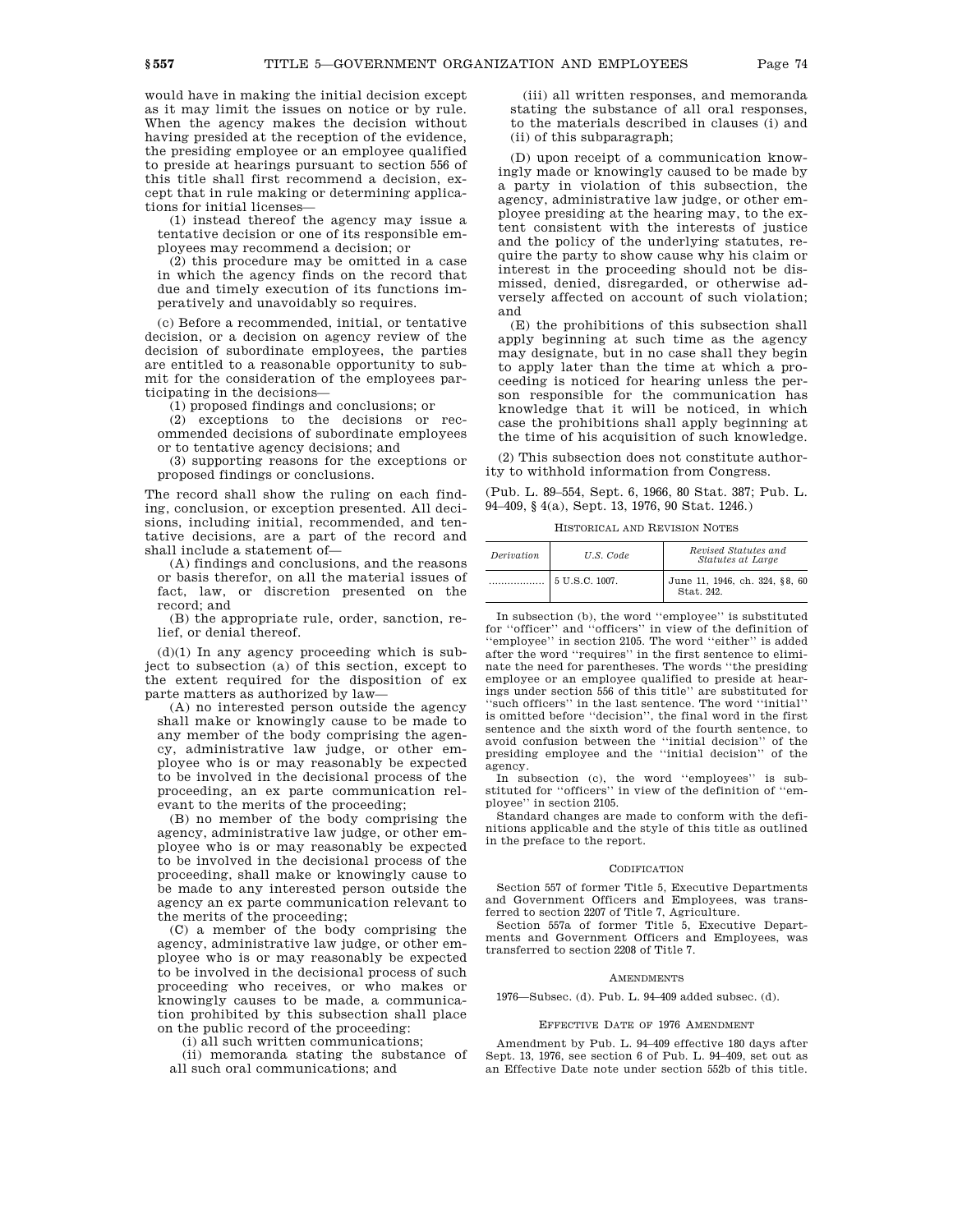would have in making the initial decision except as it may limit the issues on notice or by rule. When the agency makes the decision without having presided at the reception of the evidence, the presiding employee or an employee qualified to preside at hearings pursuant to section 556 of this title shall first recommend a decision, except that in rule making or determining applications for initial licenses—

(1) instead thereof the agency may issue a tentative decision or one of its responsible employees may recommend a decision; or

(2) this procedure may be omitted in a case in which the agency finds on the record that due and timely execution of its functions imperatively and unavoidably so requires.

(c) Before a recommended, initial, or tentative decision, or a decision on agency review of the decision of subordinate employees, the parties are entitled to a reasonable opportunity to submit for the consideration of the employees participating in the decisions—

(1) proposed findings and conclusions; or

(2) exceptions to the decisions or recommended decisions of subordinate employees or to tentative agency decisions; and

(3) supporting reasons for the exceptions or proposed findings or conclusions.

The record shall show the ruling on each finding, conclusion, or exception presented. All decisions, including initial, recommended, and tentative decisions, are a part of the record and shall include a statement of—

(A) findings and conclusions, and the reasons or basis therefor, on all the material issues of fact, law, or discretion presented on the record; and

(B) the appropriate rule, order, sanction, relief, or denial thereof.

 $(d)(1)$  In any agency proceeding which is subject to subsection (a) of this section, except to the extent required for the disposition of ex parte matters as authorized by law—

(A) no interested person outside the agency shall make or knowingly cause to be made to any member of the body comprising the agency, administrative law judge, or other employee who is or may reasonably be expected to be involved in the decisional process of the proceeding, an ex parte communication relevant to the merits of the proceeding;

(B) no member of the body comprising the agency, administrative law judge, or other employee who is or may reasonably be expected to be involved in the decisional process of the proceeding, shall make or knowingly cause to be made to any interested person outside the agency an ex parte communication relevant to the merits of the proceeding;

(C) a member of the body comprising the agency, administrative law judge, or other employee who is or may reasonably be expected to be involved in the decisional process of such proceeding who receives, or who makes or knowingly causes to be made, a communication prohibited by this subsection shall place on the public record of the proceeding:

(i) all such written communications;

(ii) memoranda stating the substance of all such oral communications; and

(iii) all written responses, and memoranda stating the substance of all oral responses, to the materials described in clauses (i) and (ii) of this subparagraph;

(D) upon receipt of a communication knowingly made or knowingly caused to be made by a party in violation of this subsection, the agency, administrative law judge, or other employee presiding at the hearing may, to the extent consistent with the interests of justice and the policy of the underlying statutes, require the party to show cause why his claim or interest in the proceeding should not be dismissed, denied, disregarded, or otherwise adversely affected on account of such violation; and

(E) the prohibitions of this subsection shall apply beginning at such time as the agency may designate, but in no case shall they begin to apply later than the time at which a proceeding is noticed for hearing unless the person responsible for the communication has knowledge that it will be noticed, in which case the prohibitions shall apply beginning at the time of his acquisition of such knowledge.

(2) This subsection does not constitute authority to withhold information from Congress.

(Pub. L. 89–554, Sept. 6, 1966, 80 Stat. 387; Pub. L. 94–409, § 4(a), Sept. 13, 1976, 90 Stat. 1246.)

HISTORICAL AND REVISION NOTES

| <i>Derivation</i> | U.S. Code      | Revised Statutes and<br>Statutes at Large    |
|-------------------|----------------|----------------------------------------------|
|                   | 5 U.S.C. 1007. | June 11, 1946, ch. 324, §8, 60<br>Stat. 242. |

In subsection (b), the word ''employee'' is substituted for ''officer'' and ''officers'' in view of the definition of 'employee'' in section 2105. The word "either" is added after the word ''requires'' in the first sentence to eliminate the need for parentheses. The words ''the presiding employee or an employee qualified to preside at hearings under section 556 of this title'' are substituted for ''such officers'' in the last sentence. The word ''initial'' is omitted before ''decision'', the final word in the first sentence and the sixth word of the fourth sentence, to avoid confusion between the ''initial decision'' of the presiding employee and the ''initial decision'' of the agency.

In subsection (c), the word ''employees'' is substituted for ''officers'' in view of the definition of ''employee'' in section 2105.

Standard changes are made to conform with the definitions applicable and the style of this title as outlined in the preface to the report.

#### CODIFICATION

Section 557 of former Title 5, Executive Departments and Government Officers and Employees, was transferred to section 2207 of Title 7, Agriculture.

Section 557a of former Title 5, Executive Departments and Government Officers and Employees, was transferred to section 2208 of Title 7.

## **AMENDMENTS**

### 1976—Subsec. (d). Pub. L. 94–409 added subsec. (d).

### EFFECTIVE DATE OF 1976 AMENDMENT

Amendment by Pub. L. 94–409 effective 180 days after Sept. 13, 1976, see section 6 of Pub. L. 94–409, set out as an Effective Date note under section 552b of this title.